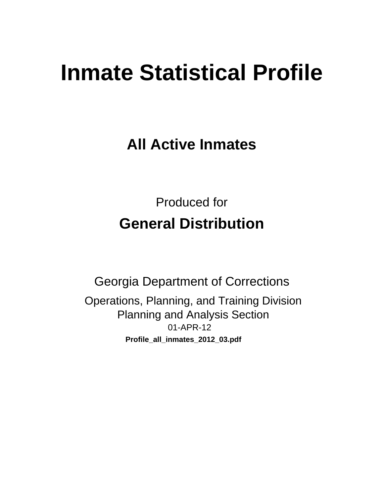# **Inmate Statistical Profile**

**All Active Inmates** 

**Produced for General Distribution** 

**Georgia Department of Corrections** Operations, Planning, and Training Division **Planning and Analysis Section** 01-APR-12 Profile\_all\_inmates\_2012\_03.pdf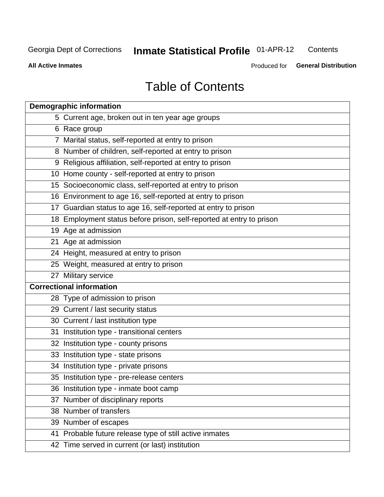#### **Inmate Statistical Profile 01-APR-12** Contents

**All Active Inmates** 

Produced for General Distribution

## **Table of Contents**

|    | <b>Demographic information</b>                                       |
|----|----------------------------------------------------------------------|
|    | 5 Current age, broken out in ten year age groups                     |
|    | 6 Race group                                                         |
|    | 7 Marital status, self-reported at entry to prison                   |
|    | 8 Number of children, self-reported at entry to prison               |
|    | 9 Religious affiliation, self-reported at entry to prison            |
|    | 10 Home county - self-reported at entry to prison                    |
|    | 15 Socioeconomic class, self-reported at entry to prison             |
|    | 16 Environment to age 16, self-reported at entry to prison           |
|    | 17 Guardian status to age 16, self-reported at entry to prison       |
|    | 18 Employment status before prison, self-reported at entry to prison |
|    | 19 Age at admission                                                  |
|    | 21 Age at admission                                                  |
|    | 24 Height, measured at entry to prison                               |
|    | 25 Weight, measured at entry to prison                               |
|    | 27 Military service                                                  |
|    | <b>Correctional information</b>                                      |
|    | 28 Type of admission to prison                                       |
|    | 29 Current / last security status                                    |
|    | 30 Current / last institution type                                   |
|    | 31 Institution type - transitional centers                           |
|    | 32 Institution type - county prisons                                 |
|    | 33 Institution type - state prisons                                  |
|    | 34 Institution type - private prisons                                |
|    | 35 Institution type - pre-release centers                            |
|    | 36 Institution type - inmate boot camp                               |
| 37 | Number of disciplinary reports                                       |
|    | 38 Number of transfers                                               |
|    | 39 Number of escapes                                                 |
|    | 41 Probable future release type of still active inmates              |
|    | 42 Time served in current (or last) institution                      |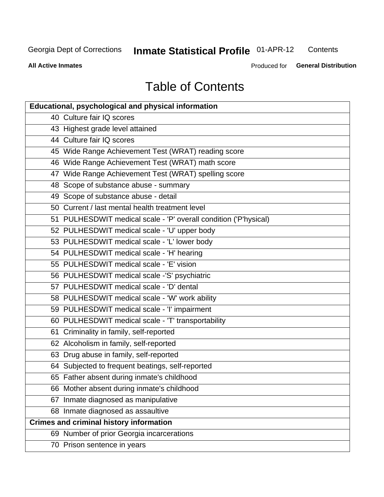#### Inmate Statistical Profile 01-APR-12 Contents

**All Active Inmates** 

Produced for General Distribution

## **Table of Contents**

| <b>Educational, psychological and physical information</b>       |
|------------------------------------------------------------------|
| 40 Culture fair IQ scores                                        |
| 43 Highest grade level attained                                  |
| 44 Culture fair IQ scores                                        |
| 45 Wide Range Achievement Test (WRAT) reading score              |
| 46 Wide Range Achievement Test (WRAT) math score                 |
| 47 Wide Range Achievement Test (WRAT) spelling score             |
| 48 Scope of substance abuse - summary                            |
| 49 Scope of substance abuse - detail                             |
| 50 Current / last mental health treatment level                  |
| 51 PULHESDWIT medical scale - 'P' overall condition ('P'hysical) |
| 52 PULHESDWIT medical scale - 'U' upper body                     |
| 53 PULHESDWIT medical scale - 'L' lower body                     |
| 54 PULHESDWIT medical scale - 'H' hearing                        |
| 55 PULHESDWIT medical scale - 'E' vision                         |
| 56 PULHESDWIT medical scale -'S' psychiatric                     |
| 57 PULHESDWIT medical scale - 'D' dental                         |
| 58 PULHESDWIT medical scale - 'W' work ability                   |
| 59 PULHESDWIT medical scale - 'I' impairment                     |
| 60 PULHESDWIT medical scale - 'T' transportability               |
| 61 Criminality in family, self-reported                          |
| 62 Alcoholism in family, self-reported                           |
| 63 Drug abuse in family, self-reported                           |
| 64 Subjected to frequent beatings, self-reported                 |
| 65 Father absent during inmate's childhood                       |
| 66 Mother absent during inmate's childhood                       |
| 67 Inmate diagnosed as manipulative                              |
| 68 Inmate diagnosed as assaultive                                |
| <b>Crimes and criminal history information</b>                   |
| 69 Number of prior Georgia incarcerations                        |
| 70 Prison sentence in years                                      |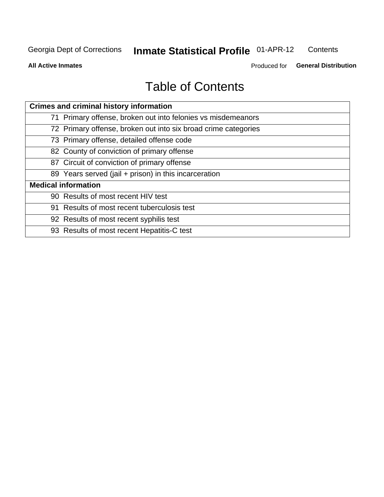#### **Inmate Statistical Profile 01-APR-12** Contents

**All Active Inmates** 

Produced for General Distribution

## **Table of Contents**

| <b>Crimes and criminal history information</b>                 |
|----------------------------------------------------------------|
| 71 Primary offense, broken out into felonies vs misdemeanors   |
| 72 Primary offense, broken out into six broad crime categories |
| 73 Primary offense, detailed offense code                      |
| 82 County of conviction of primary offense                     |
| 87 Circuit of conviction of primary offense                    |
| 89 Years served (jail + prison) in this incarceration          |
| <b>Medical information</b>                                     |
| 90 Results of most recent HIV test                             |
| 91 Results of most recent tuberculosis test                    |
| 92 Results of most recent syphilis test                        |
| 93 Results of most recent Hepatitis-C test                     |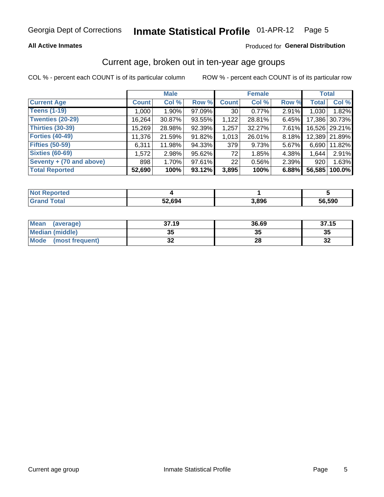## **All Active Inmates**

## Produced for General Distribution

## Current age, broken out in ten-year age groups

COL % - percent each COUNT is of its particular column

|                          |              | <b>Male</b> |        |              | <b>Female</b> |          | <b>Total</b> |               |
|--------------------------|--------------|-------------|--------|--------------|---------------|----------|--------------|---------------|
| <b>Current Age</b>       | <b>Count</b> | Col %       | Row %  | <b>Count</b> | Col %         | Row %    | <b>Total</b> | Col %         |
| <b>Teens (1-19)</b>      | 1,000        | $1.90\%$    | 97.09% | 30           | 0.77%         | 2.91%    | 1,030        | 1.82%         |
| <b>Twenties (20-29)</b>  | 16,264       | 30.87%      | 93.55% | 1,122        | 28.81%        | 6.45%    | 17,386       | 30.73%        |
| <b>Thirties (30-39)</b>  | 15,269       | 28.98%      | 92.39% | 1,257        | 32.27%        | $7.61\%$ |              | 16,526 29.21% |
| <b>Forties (40-49)</b>   | 11,376       | 21.59%      | 91.82% | 1,013        | 26.01%        | 8.18%    |              | 12,389 21.89% |
| <b>Fifties (50-59)</b>   | 6,311        | 11.98%      | 94.33% | 379          | 9.73%         | 5.67%    | 6,690        | 11.82%        |
| <b>Sixties (60-69)</b>   | 1,572        | 2.98%       | 95.62% | 72           | 1.85%         | 4.38%    | 1.644        | 2.91%         |
| Seventy + (70 and above) | 898          | 1.70%       | 97.61% | 22           | 0.56%         | 2.39%    | 920          | 1.63%         |
| <b>Total Reported</b>    | 52,690       | 100%        | 93.12% | 3,895        | 100%          | 6.88%    | 56,585       | 100.0%        |

| <b>Not Reported</b> |        |       |        |
|---------------------|--------|-------|--------|
| <b>Total</b><br>Gra | 52,694 | 3,896 | 56,590 |

| <b>Mean</b><br>(average)       | 37.19    | 36.69 | 37.15                      |
|--------------------------------|----------|-------|----------------------------|
| Median (middle)                | つん<br>vu | JJ    | 35                         |
| <b>Mode</b><br>(most frequent) | n,<br>◡▴ | 28    | $\ddot{\phantom{0}}$<br>⊾ت |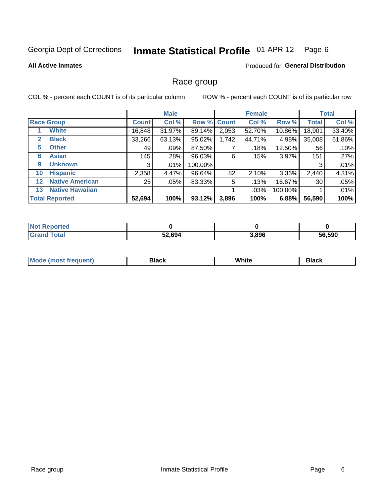#### **Inmate Statistical Profile 01-APR-12** Page 6

### **All Active Inmates**

## Produced for General Distribution

## Race group

COL % - percent each COUNT is of its particular column

|                   |                        |              | <b>Male</b> |         |             | <b>Female</b> |         |              | <b>Total</b> |
|-------------------|------------------------|--------------|-------------|---------|-------------|---------------|---------|--------------|--------------|
|                   | <b>Race Group</b>      | <b>Count</b> | Col %       |         | Row % Count | Col %         | Row %   | <b>Total</b> | Col %        |
|                   | <b>White</b>           | 16,848       | 31.97%      | 89.14%  | 2,053       | 52.70%        | 10.86%  | 18,901       | 33.40%       |
| 2                 | <b>Black</b>           | 33,266       | 63.13%      | 95.02%  | 1,742       | 44.71%        | 4.98%   | 35,008       | 61.86%       |
| 5                 | <b>Other</b>           | 49           | .09%        | 87.50%  |             | .18%          | 12.50%  | 56           | .10%         |
| 6                 | <b>Asian</b>           | 145          | .28%        | 96.03%  | 6           | .15%          | 3.97%   | 151          | .27%         |
| 9                 | <b>Unknown</b>         | 3            | $.01\%$     | 100.00% |             |               |         | 3            | .01%         |
| 10                | <b>Hispanic</b>        | 2,358        | 4.47%       | 96.64%  | 82          | 2.10%         | 3.36%   | 2,440        | 4.31%        |
| $12 \overline{ }$ | <b>Native American</b> | 25           | .05%        | 83.33%  | 5           | .13%          | 16.67%  | 30           | .05%         |
| 13                | <b>Native Hawaiian</b> |              |             |         |             | .03%          | 100.00% |              | .01%         |
|                   | <b>Total Reported</b>  | 52,694       | 100%        | 93.12%  | 3,896       | 100%          | 6.88%   | 56,590       | 100%         |

| <b>Not Reported</b>               |        |       |        |
|-----------------------------------|--------|-------|--------|
| <b>Total</b><br>Gran <sub>(</sub> | 52,694 | 3,896 | 56,590 |

| Mode (<br>most freduent) | ⊃lack | White | ا تا 1 |
|--------------------------|-------|-------|--------|
|                          |       |       |        |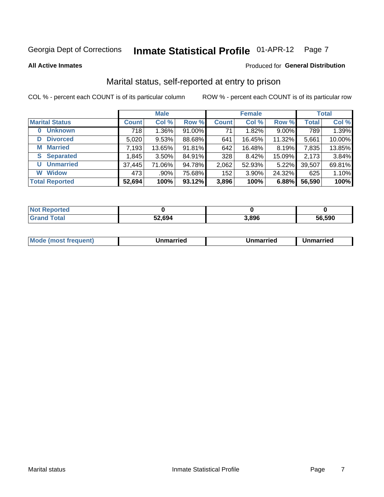#### **Inmate Statistical Profile 01-APR-12** Page 7

**All Active Inmates** 

### Produced for General Distribution

## Marital status, self-reported at entry to prison

COL % - percent each COUNT is of its particular column

|                            |              | <b>Male</b> |        |              | <b>Female</b> |        |              | <b>Total</b> |
|----------------------------|--------------|-------------|--------|--------------|---------------|--------|--------------|--------------|
| <b>Marital Status</b>      | <b>Count</b> | Col %       | Row %  | <b>Count</b> | Col %         | Row %  | <b>Total</b> | Col %        |
| <b>Unknown</b><br>$\bf{0}$ | 718          | 1.36%       | 91.00% | 71           | 1.82%         | 9.00%  | 789          | 1.39%        |
| <b>Divorced</b><br>D       | 5,020        | 9.53%       | 88.68% | 641          | 16.45%        | 11.32% | 5,661        | 10.00%       |
| <b>Married</b><br>М        | 7,193        | 13.65%      | 91.81% | 642          | 16.48%        | 8.19%  | 7,835        | 13.85%       |
| <b>Separated</b><br>S.     | 1,845        | $3.50\%$    | 84.91% | 328          | 8.42%         | 15.09% | 2,173        | 3.84%        |
| <b>Unmarried</b><br>U      | 37,445       | 71.06%      | 94.78% | 2,062        | 52.93%        | 5.22%  | 39,507       | 69.81%       |
| <b>Widow</b><br>W          | 473          | .90%        | 75.68% | 152          | 3.90%         | 24.32% | 625          | 1.10%        |
| <b>Total Reported</b>      | 52,694       | 100%        | 93.12% | 3,896        | 100%          | 6.88%  | 56,590       | 100%         |

| orted<br>I NOT |        |       |        |
|----------------|--------|-------|--------|
| $\sim$ 10      | 52,694 | 3.896 | 56.590 |

| <b>Mode (most frequent)</b><br>Unmarried<br>Unmarried<br>Jnmarried |
|--------------------------------------------------------------------|
|--------------------------------------------------------------------|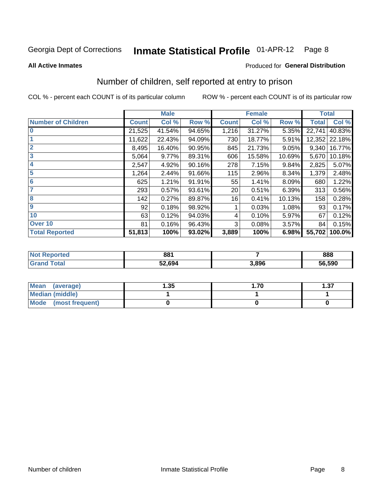#### **Inmate Statistical Profile 01-APR-12** Page 8

**All Active Inmates** 

## **Produced for General Distribution**

## Number of children, self reported at entry to prison

COL % - percent each COUNT is of its particular column

|                           |              | <b>Male</b> |        |              | <b>Female</b> |        | <b>Total</b> |        |
|---------------------------|--------------|-------------|--------|--------------|---------------|--------|--------------|--------|
| <b>Number of Children</b> | <b>Count</b> | Col %       | Row %  | <b>Count</b> | Col %         | Row %  | <b>Total</b> | Col %  |
| $\bf{0}$                  | 21,525       | 41.54%      | 94.65% | 1,216        | 31.27%        | 5.35%  | 22,741       | 40.83% |
|                           | 11,622       | 22.43%      | 94.09% | 730          | 18.77%        | 5.91%  | 12,352       | 22.18% |
| $\overline{2}$            | 8,495        | 16.40%      | 90.95% | 845          | 21.73%        | 9.05%  | 9,340        | 16.77% |
| 3                         | 5,064        | 9.77%       | 89.31% | 606          | 15.58%        | 10.69% | 5,670        | 10.18% |
| 4                         | 2,547        | 4.92%       | 90.16% | 278          | 7.15%         | 9.84%  | 2,825        | 5.07%  |
| 5                         | 1,264        | 2.44%       | 91.66% | 115          | 2.96%         | 8.34%  | 1,379        | 2.48%  |
| 6                         | 625          | 1.21%       | 91.91% | 55           | 1.41%         | 8.09%  | 680          | 1.22%  |
| 7                         | 293          | 0.57%       | 93.61% | 20           | 0.51%         | 6.39%  | 313          | 0.56%  |
| 8                         | 142          | 0.27%       | 89.87% | 16           | 0.41%         | 10.13% | 158          | 0.28%  |
| $\boldsymbol{9}$          | 92           | 0.18%       | 98.92% |              | 0.03%         | 1.08%  | 93           | 0.17%  |
| 10                        | 63           | 0.12%       | 94.03% | 4            | 0.10%         | 5.97%  | 67           | 0.12%  |
| Over 10                   | 81           | 0.16%       | 96.43% | 3            | 0.08%         | 3.57%  | 84           | 0.15%  |
| <b>Total Reported</b>     | 51,813       | 100%        | 93.02% | 3,889        | 100%          | 6.98%  | 55,702       | 100.0% |

| NO | 881    |       | 888    |
|----|--------|-------|--------|
|    | 52.694 | 3.896 | 56,590 |

| <b>Mean</b><br>(average)       | .35 | .70 | 1.37 |
|--------------------------------|-----|-----|------|
| <b>Median (middle)</b>         |     |     |      |
| <b>Mode</b><br>(most frequent) |     |     |      |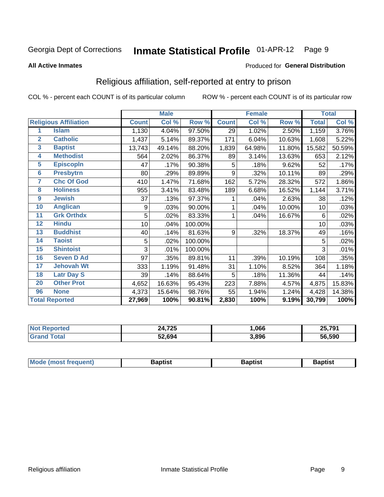#### **Inmate Statistical Profile 01-APR-12** Page 9

### **All Active Inmates**

### Produced for General Distribution

## Religious affiliation, self-reported at entry to prison

COL % - percent each COUNT is of its particular column

|                         |                              |              | <b>Male</b>                |         |              | <b>Female</b> |        |              | <b>Total</b> |
|-------------------------|------------------------------|--------------|----------------------------|---------|--------------|---------------|--------|--------------|--------------|
|                         | <b>Religious Affiliation</b> | <b>Count</b> | $\overline{\text{Col }^9}$ | Row %   | <b>Count</b> | Col %         | Row %  | <b>Total</b> | Col %        |
| 1                       | <b>Islam</b>                 | 1,130        | 4.04%                      | 97.50%  | 29           | 1.02%         | 2.50%  | 1,159        | 3.76%        |
| $\overline{2}$          | <b>Catholic</b>              | 1,437        | 5.14%                      | 89.37%  | 171          | 6.04%         | 10.63% | 1,608        | 5.22%        |
| $\overline{\mathbf{3}}$ | <b>Baptist</b>               | 13,743       | 49.14%                     | 88.20%  | 1,839        | 64.98%        | 11.80% | 15,582       | 50.59%       |
| $\overline{\mathbf{4}}$ | <b>Methodist</b>             | 564          | 2.02%                      | 86.37%  | 89           | 3.14%         | 13.63% | 653          | 2.12%        |
| $\overline{5}$          | <b>EpiscopIn</b>             | 47           | .17%                       | 90.38%  | 5            | .18%          | 9.62%  | 52           | .17%         |
| $6\overline{6}$         | <b>Presbytrn</b>             | 80           | .29%                       | 89.89%  | 9            | .32%          | 10.11% | 89           | .29%         |
| 7                       | <b>Chc Of God</b>            | 410          | 1.47%                      | 71.68%  | 162          | 5.72%         | 28.32% | 572          | 1.86%        |
| 8                       | <b>Holiness</b>              | 955          | 3.41%                      | 83.48%  | 189          | 6.68%         | 16.52% | 1,144        | 3.71%        |
| $\boldsymbol{9}$        | <b>Jewish</b>                | 37           | .13%                       | 97.37%  |              | .04%          | 2.63%  | 38           | .12%         |
| 10                      | <b>Anglican</b>              | 9            | .03%                       | 90.00%  |              | .04%          | 10.00% | 10           | .03%         |
| 11                      | <b>Grk Orthdx</b>            | 5            | .02%                       | 83.33%  | 1            | .04%          | 16.67% | 6            | .02%         |
| 12                      | <b>Hindu</b>                 | 10           | .04%                       | 100.00% |              |               |        | 10           | .03%         |
| 13                      | <b>Buddhist</b>              | 40           | .14%                       | 81.63%  | 9            | .32%          | 18.37% | 49           | .16%         |
| 14                      | <b>Taoist</b>                | 5            | .02%                       | 100.00% |              |               |        | 5            | .02%         |
| 15                      | <b>Shintoist</b>             | 3            | .01%                       | 100.00% |              |               |        | 3            | .01%         |
| 16                      | <b>Seven D Ad</b>            | 97           | .35%                       | 89.81%  | 11           | .39%          | 10.19% | 108          | .35%         |
| 17                      | <b>Jehovah Wt</b>            | 333          | 1.19%                      | 91.48%  | 31           | 1.10%         | 8.52%  | 364          | 1.18%        |
| 18                      | <b>Latr Day S</b>            | 39           | .14%                       | 88.64%  | 5            | .18%          | 11.36% | 44           | .14%         |
| 20                      | <b>Other Prot</b>            | 4,652        | 16.63%                     | 95.43%  | 223          | 7.88%         | 4.57%  | 4,875        | 15.83%       |
| 96                      | <b>None</b>                  | 4,373        | 15.64%                     | 98.76%  | 55           | 1.94%         | 1.24%  | 4,428        | 14.38%       |
|                         | <b>Total Reported</b>        | 27,969       | 100%                       | 90.81%  | 2,830        | 100%          | 9.19%  | 30,799       | 100%         |

| フクト<br>24,<br>1 Z.J | ,066  | 25.791 |
|---------------------|-------|--------|
| 2,694د              | 3,896 | 56.590 |

| Mode (most frequent) | <b>3aptist</b> | 3aptist | <b>Baptist</b> |
|----------------------|----------------|---------|----------------|
|                      |                |         |                |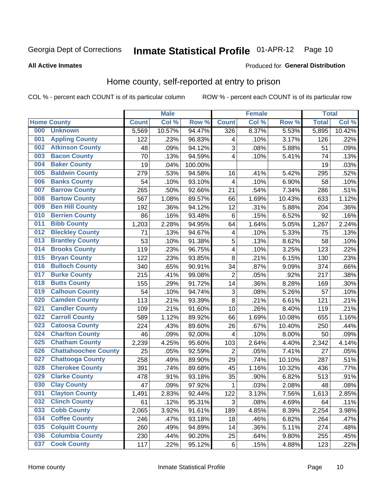## Inmate Statistical Profile 01-APR-12 Page 10

Produced for General Distribution

## **All Active Inmates**

## Home county, self-reported at entry to prison

COL % - percent each COUNT is of its particular column

|     |                             |              | <b>Male</b> |         |                | <b>Female</b> |        | <b>Total</b> |        |
|-----|-----------------------------|--------------|-------------|---------|----------------|---------------|--------|--------------|--------|
|     | <b>Home County</b>          | <b>Count</b> | Col %       | Row %   | <b>Count</b>   | Col %         | Row %  | <b>Total</b> | Col %  |
| 000 | <b>Unknown</b>              | 5,569        | 10.57%      | 94.47%  | 326            | 8.37%         | 5.53%  | 5,895        | 10.42% |
| 001 | <b>Appling County</b>       | 122          | .23%        | 96.83%  | 4              | .10%          | 3.17%  | 126          | .22%   |
| 002 | <b>Atkinson County</b>      | 48           | .09%        | 94.12%  | 3              | .08%          | 5.88%  | 51           | .09%   |
| 003 | <b>Bacon County</b>         | 70           | .13%        | 94.59%  | 4              | .10%          | 5.41%  | 74           | .13%   |
| 004 | <b>Baker County</b>         | 19           | .04%        | 100.00% |                |               |        | 19           | .03%   |
| 005 | <b>Baldwin County</b>       | 279          | .53%        | 94.58%  | 16             | .41%          | 5.42%  | 295          | .52%   |
| 006 | <b>Banks County</b>         | 54           | .10%        | 93.10%  | $\overline{4}$ | .10%          | 6.90%  | 58           | .10%   |
| 007 | <b>Barrow County</b>        | 265          | .50%        | 92.66%  | 21             | .54%          | 7.34%  | 286          | .51%   |
| 008 | <b>Bartow County</b>        | 567          | 1.08%       | 89.57%  | 66             | 1.69%         | 10.43% | 633          | 1.12%  |
| 009 | <b>Ben Hill County</b>      | 192          | .36%        | 94.12%  | 12             | .31%          | 5.88%  | 204          | .36%   |
| 010 | <b>Berrien County</b>       | 86           | .16%        | 93.48%  | 6              | .15%          | 6.52%  | 92           | .16%   |
| 011 | <b>Bibb County</b>          | 1,203        | 2.28%       | 94.95%  | 64             | 1.64%         | 5.05%  | 1,267        | 2.24%  |
| 012 | <b>Bleckley County</b>      | 71           | .13%        | 94.67%  | 4              | .10%          | 5.33%  | 75           | .13%   |
| 013 | <b>Brantley County</b>      | 53           | .10%        | 91.38%  | 5              | .13%          | 8.62%  | 58           | .10%   |
| 014 | <b>Brooks County</b>        | 119          | .23%        | 96.75%  | 4              | .10%          | 3.25%  | 123          | .22%   |
| 015 | <b>Bryan County</b>         | 122          | .23%        | 93.85%  | 8              | .21%          | 6.15%  | 130          | .23%   |
| 016 | <b>Bulloch County</b>       | 340          | .65%        | 90.91%  | 34             | .87%          | 9.09%  | 374          | .66%   |
| 017 | <b>Burke County</b>         | 215          | .41%        | 99.08%  | $\overline{2}$ | .05%          | .92%   | 217          | .38%   |
| 018 | <b>Butts County</b>         | 155          | .29%        | 91.72%  | 14             | .36%          | 8.28%  | 169          | .30%   |
| 019 | <b>Calhoun County</b>       | 54           | .10%        | 94.74%  | 3              | .08%          | 5.26%  | 57           | .10%   |
| 020 | <b>Camden County</b>        | 113          | .21%        | 93.39%  | 8              | .21%          | 6.61%  | 121          | .21%   |
| 021 | <b>Candler County</b>       | 109          | .21%        | 91.60%  | 10             | .26%          | 8.40%  | 119          | .21%   |
| 022 | <b>Carroll County</b>       | 589          | 1.12%       | 89.92%  | 66             | 1.69%         | 10.08% | 655          | 1.16%  |
| 023 | <b>Catoosa County</b>       | 224          | .43%        | 89.60%  | 26             | .67%          | 10.40% | 250          | .44%   |
| 024 | <b>Charlton County</b>      | 46           | .09%        | 92.00%  | 4              | .10%          | 8.00%  | 50           | .09%   |
| 025 | <b>Chatham County</b>       | 2,239        | 4.25%       | 95.60%  | 103            | 2.64%         | 4.40%  | 2,342        | 4.14%  |
| 026 | <b>Chattahoochee County</b> | 25           | .05%        | 92.59%  | $\overline{2}$ | .05%          | 7.41%  | 27           | .05%   |
| 027 | <b>Chattooga County</b>     | 258          | .49%        | 89.90%  | 29             | .74%          | 10.10% | 287          | .51%   |
| 028 | <b>Cherokee County</b>      | 391          | .74%        | 89.68%  | 45             | 1.16%         | 10.32% | 436          | .77%   |
| 029 | <b>Clarke County</b>        | 478          | .91%        | 93.18%  | 35             | .90%          | 6.82%  | 513          | .91%   |
| 030 | <b>Clay County</b>          | 47           | .09%        | 97.92%  | 1              | .03%          | 2.08%  | 48           | .08%   |
| 031 | <b>Clayton County</b>       | 1,491        | 2.83%       | 92.44%  | 122            | 3.13%         | 7.56%  | 1,613        | 2.85%  |
| 032 | <b>Clinch County</b>        | 61           | .12%        | 95.31%  | 3              | .08%          | 4.69%  | 64           | .11%   |
| 033 | <b>Cobb County</b>          | 2,065        | 3.92%       | 91.61%  | 189            | 4.85%         | 8.39%  | 2,254        | 3.98%  |
| 034 | <b>Coffee County</b>        | 246          | .47%        | 93.18%  | 18             | .46%          | 6.82%  | 264          | .47%   |
| 035 | <b>Colquitt County</b>      | 260          | .49%        | 94.89%  | 14             | .36%          | 5.11%  | 274          | .48%   |
| 036 | <b>Columbia County</b>      | 230          | .44%        | 90.20%  | 25             | .64%          | 9.80%  | 255          | .45%   |
| 037 | <b>Cook County</b>          | 117          | .22%        | 95.12%  | $\,6$          | .15%          | 4.88%  | 123          | .22%   |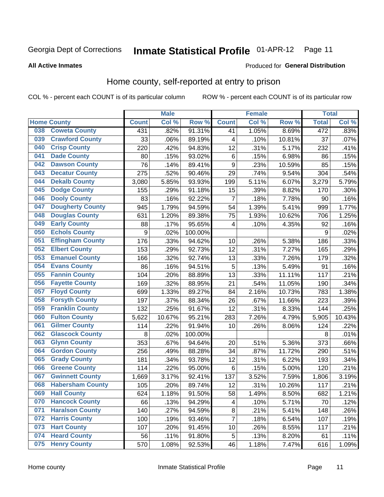## Inmate Statistical Profile 01-APR-12 Page 11

### **All Active Inmates**

### Produced for General Distribution

## Home county, self-reported at entry to prison

COL % - percent each COUNT is of its particular column

|     |                         |                  | <b>Male</b> |         |                         | <b>Female</b> |        | <b>Total</b> |        |
|-----|-------------------------|------------------|-------------|---------|-------------------------|---------------|--------|--------------|--------|
|     | <b>Home County</b>      | <b>Count</b>     | Col %       | Row %   | <b>Count</b>            | Col %         | Row %  | <b>Total</b> | Col %  |
| 038 | <b>Coweta County</b>    | 431              | .82%        | 91.31%  | 41                      | 1.05%         | 8.69%  | 472          | .83%   |
| 039 | <b>Crawford County</b>  | 33               | .06%        | 89.19%  | 4                       | .10%          | 10.81% | 37           | .07%   |
| 040 | <b>Crisp County</b>     | 220              | .42%        | 94.83%  | 12                      | .31%          | 5.17%  | 232          | .41%   |
| 041 | <b>Dade County</b>      | 80               | .15%        | 93.02%  | $\,6$                   | .15%          | 6.98%  | 86           | .15%   |
| 042 | <b>Dawson County</b>    | 76               | .14%        | 89.41%  | $\boldsymbol{9}$        | .23%          | 10.59% | 85           | .15%   |
| 043 | <b>Decatur County</b>   | 275              | .52%        | 90.46%  | 29                      | .74%          | 9.54%  | 304          | .54%   |
| 044 | <b>Dekalb County</b>    | 3,080            | 5.85%       | 93.93%  | 199                     | 5.11%         | 6.07%  | 3,279        | 5.79%  |
| 045 | <b>Dodge County</b>     | 155              | .29%        | 91.18%  | 15                      | .39%          | 8.82%  | 170          | .30%   |
| 046 | <b>Dooly County</b>     | 83               | .16%        | 92.22%  | $\overline{7}$          | .18%          | 7.78%  | 90           | .16%   |
| 047 | <b>Dougherty County</b> | 945              | 1.79%       | 94.59%  | 54                      | 1.39%         | 5.41%  | 999          | 1.77%  |
| 048 | <b>Douglas County</b>   | 631              | 1.20%       | 89.38%  | 75                      | 1.93%         | 10.62% | 706          | 1.25%  |
| 049 | <b>Early County</b>     | 88               | .17%        | 95.65%  | 4                       | .10%          | 4.35%  | 92           | .16%   |
| 050 | <b>Echols County</b>    | $\boldsymbol{9}$ | .02%        | 100.00% |                         |               |        | 9            | .02%   |
| 051 | <b>Effingham County</b> | 176              | .33%        | 94.62%  | 10                      | .26%          | 5.38%  | 186          | .33%   |
| 052 | <b>Elbert County</b>    | 153              | .29%        | 92.73%  | 12                      | .31%          | 7.27%  | 165          | .29%   |
| 053 | <b>Emanuel County</b>   | 166              | .32%        | 92.74%  | 13                      | .33%          | 7.26%  | 179          | .32%   |
| 054 | <b>Evans County</b>     | 86               | .16%        | 94.51%  | 5                       | .13%          | 5.49%  | 91           | .16%   |
| 055 | <b>Fannin County</b>    | 104              | .20%        | 88.89%  | 13                      | .33%          | 11.11% | 117          | .21%   |
| 056 | <b>Fayette County</b>   | 169              | .32%        | 88.95%  | 21                      | .54%          | 11.05% | 190          | .34%   |
| 057 | <b>Floyd County</b>     | 699              | 1.33%       | 89.27%  | 84                      | 2.16%         | 10.73% | 783          | 1.38%  |
| 058 | <b>Forsyth County</b>   | 197              | .37%        | 88.34%  | 26                      | .67%          | 11.66% | 223          | .39%   |
| 059 | <b>Franklin County</b>  | 132              | .25%        | 91.67%  | 12                      | .31%          | 8.33%  | 144          | .25%   |
| 060 | <b>Fulton County</b>    | 5,622            | 10.67%      | 95.21%  | 283                     | 7.26%         | 4.79%  | 5,905        | 10.43% |
| 061 | <b>Gilmer County</b>    | 114              | .22%        | 91.94%  | 10                      | .26%          | 8.06%  | 124          | .22%   |
| 062 | <b>Glascock County</b>  | 8                | .02%        | 100.00% |                         |               |        | 8            | .01%   |
| 063 | <b>Glynn County</b>     | 353              | .67%        | 94.64%  | 20                      | .51%          | 5.36%  | 373          | .66%   |
| 064 | <b>Gordon County</b>    | 256              | .49%        | 88.28%  | 34                      | .87%          | 11.72% | 290          | .51%   |
| 065 | <b>Grady County</b>     | 181              | .34%        | 93.78%  | 12                      | .31%          | 6.22%  | 193          | .34%   |
| 066 | <b>Greene County</b>    | 114              | .22%        | 95.00%  | $\,6$                   | .15%          | 5.00%  | 120          | .21%   |
| 067 | <b>Gwinnett County</b>  | 1,669            | 3.17%       | 92.41%  | 137                     | 3.52%         | 7.59%  | 1,806        | 3.19%  |
| 068 | <b>Habersham County</b> | 105              | .20%        | 89.74%  | 12                      | .31%          | 10.26% | 117          | .21%   |
| 069 | <b>Hall County</b>      | 624              | 1.18%       | 91.50%  | 58                      | 1.49%         | 8.50%  | 682          | 1.21%  |
| 070 | <b>Hancock County</b>   | 66               | .13%        | 94.29%  | $\overline{\mathbf{4}}$ | .10%          | 5.71%  | 70           | .12%   |
| 071 | <b>Haralson County</b>  | 140              | .27%        | 94.59%  | $\bf 8$                 | .21%          | 5.41%  | 148          | .26%   |
| 072 | <b>Harris County</b>    | 100              | .19%        | 93.46%  | $\overline{7}$          | .18%          | 6.54%  | 107          | .19%   |
| 073 | <b>Hart County</b>      | 107              | .20%        | 91.45%  | 10                      | .26%          | 8.55%  | 117          | .21%   |
| 074 | <b>Heard County</b>     | 56               | .11%        | 91.80%  | 5                       | .13%          | 8.20%  | 61           | .11%   |
| 075 | <b>Henry County</b>     | 570              | 1.08%       | 92.53%  | 46                      | 1.18%         | 7.47%  | 616          | 1.09%  |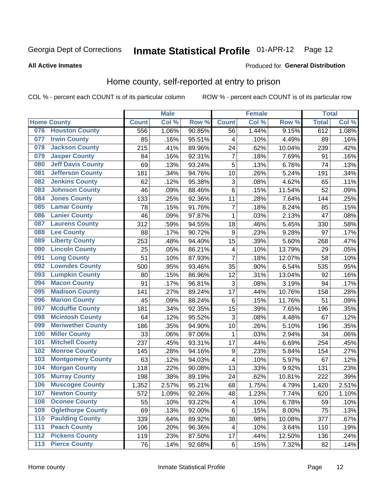## Inmate Statistical Profile 01-APR-12 Page 12

## **All Active Inmates**

### Produced for General Distribution

## Home county, self-reported at entry to prison

COL % - percent each COUNT is of its particular column

|                  |                          |              | <b>Male</b> |                  |                         | <b>Female</b>     |        | <b>Total</b> |       |
|------------------|--------------------------|--------------|-------------|------------------|-------------------------|-------------------|--------|--------------|-------|
|                  | <b>Home County</b>       | <b>Count</b> | Col %       | Row <sup>%</sup> | <b>Count</b>            | Col %             | Row %  | <b>Total</b> | Col % |
| 076              | <b>Houston County</b>    | 556          | 1.06%       | 90.85%           | 56                      | 1.44%             | 9.15%  | 612          | 1.08% |
| 077              | <b>Irwin County</b>      | 85           | .16%        | 95.51%           | 4                       | .10%              | 4.49%  | 89           | .16%  |
| 078              | <b>Jackson County</b>    | 215          | .41%        | 89.96%           | 24                      | .62%              | 10.04% | 239          | .42%  |
| 079              | <b>Jasper County</b>     | 84           | .16%        | 92.31%           | $\overline{7}$          | .18%              | 7.69%  | 91           | .16%  |
| 080              | <b>Jeff Davis County</b> | 69           | .13%        | 93.24%           | 5                       | .13%              | 6.76%  | 74           | .13%  |
| 081              | <b>Jefferson County</b>  | 181          | .34%        | 94.76%           | 10                      | .26%              | 5.24%  | 191          | .34%  |
| 082              | <b>Jenkins County</b>    | 62           | .12%        | 95.38%           | 3                       | .08%              | 4.62%  | 65           | .11%  |
| 083              | <b>Johnson County</b>    | 46           | .09%        | 88.46%           | 6                       | .15%              | 11.54% | 52           | .09%  |
| 084              | <b>Jones County</b>      | 133          | .25%        | 92.36%           | 11                      | .28%              | 7.64%  | 144          | .25%  |
| 085              | <b>Lamar County</b>      | 78           | .15%        | 91.76%           | $\overline{7}$          | .18%              | 8.24%  | 85           | .15%  |
| 086              | <b>Lanier County</b>     | 46           | .09%        | 97.87%           | 1                       | .03%              | 2.13%  | 47           | .08%  |
| 087              | <b>Laurens County</b>    | 312          | .59%        | 94.55%           | 18                      | .46%              | 5.45%  | 330          | .58%  |
| 088              | <b>Lee County</b>        | 88           | .17%        | 90.72%           | 9                       | $\overline{.}23%$ | 9.28%  | 97           | .17%  |
| 089              | <b>Liberty County</b>    | 253          | .48%        | 94.40%           | 15                      | .39%              | 5.60%  | 268          | .47%  |
| 090              | <b>Lincoln County</b>    | 25           | .05%        | 86.21%           | 4                       | .10%              | 13.79% | 29           | .05%  |
| 091              | <b>Long County</b>       | 51           | .10%        | 87.93%           | $\overline{7}$          | .18%              | 12.07% | 58           | .10%  |
| 092              | <b>Lowndes County</b>    | 500          | .95%        | 93.46%           | 35                      | .90%              | 6.54%  | 535          | .95%  |
| 093              | <b>Lumpkin County</b>    | 80           | .15%        | 86.96%           | 12                      | .31%              | 13.04% | 92           | .16%  |
| 094              | <b>Macon County</b>      | 91           | .17%        | 96.81%           | 3                       | .08%              | 3.19%  | 94           | .17%  |
| 095              | <b>Madison County</b>    | 141          | .27%        | 89.24%           | 17                      | .44%              | 10.76% | 158          | .28%  |
| 096              | <b>Marion County</b>     | 45           | .09%        | 88.24%           | 6                       | .15%              | 11.76% | 51           | .09%  |
| 097              | <b>Mcduffie County</b>   | 181          | .34%        | 92.35%           | 15                      | .39%              | 7.65%  | 196          | .35%  |
| 098              | <b>Mcintosh County</b>   | 64           | .12%        | 95.52%           | 3                       | .08%              | 4.48%  | 67           | .12%  |
| 099              | <b>Meriwether County</b> | 186          | .35%        | 94.90%           | 10                      | .26%              | 5.10%  | 196          | .35%  |
| 100              | <b>Miller County</b>     | 33           | .06%        | 97.06%           | 1                       | .03%              | 2.94%  | 34           | .06%  |
| 101              | <b>Mitchell County</b>   | 237          | .45%        | 93.31%           | 17                      | .44%              | 6.69%  | 254          | .45%  |
| 102              | <b>Monroe County</b>     | 145          | .28%        | 94.16%           | $\boldsymbol{9}$        | .23%              | 5.84%  | 154          | .27%  |
| 103              | <b>Montgomery County</b> | 63           | .12%        | 94.03%           | $\overline{\mathbf{4}}$ | .10%              | 5.97%  | 67           | .12%  |
| 104              | <b>Morgan County</b>     | 118          | .22%        | 90.08%           | 13                      | .33%              | 9.92%  | 131          | .23%  |
| 105              | <b>Murray County</b>     | 198          | .38%        | 89.19%           | 24                      | .62%              | 10.81% | 222          | .39%  |
| 106              | <b>Muscogee County</b>   | 1,352        | 2.57%       | 95.21%           | 68                      | 1.75%             | 4.79%  | 1,420        | 2.51% |
| 107              | <b>Newton County</b>     | 572          | 1.09%       | 92.26%           | 48                      | 1.23%             | 7.74%  | 620          | 1.10% |
| 108              | <b>Oconee County</b>     | 55           | .10%        | 93.22%           | 4                       | .10%              | 6.78%  | 59           | .10%  |
| 109              | <b>Oglethorpe County</b> | 69           | .13%        | 92.00%           | 6                       | .15%              | 8.00%  | 75           | .13%  |
| 110              | <b>Paulding County</b>   | 339          | .64%        | 89.92%           | 38                      | .98%              | 10.08% | 377          | .67%  |
| 111              | <b>Peach County</b>      | 106          | .20%        | 96.36%           | $\overline{\mathbf{4}}$ | .10%              | 3.64%  | 110          | .19%  |
| $\overline{112}$ | <b>Pickens County</b>    | 119          | .23%        | 87.50%           | 17                      | .44%              | 12.50% | 136          | .24%  |
| 113              | <b>Pierce County</b>     | 76           | .14%        | 92.68%           | $\,6$                   | .15%              | 7.32%  | 82           | .14%  |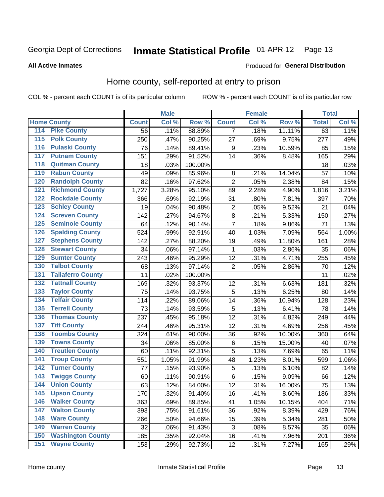## Inmate Statistical Profile 01-APR-12 Page 13

## **All Active Inmates**

## **Produced for General Distribution**

## Home county, self-reported at entry to prison

COL % - percent each COUNT is of its particular column

|                  |                          |              | <b>Male</b> |         |                           | <b>Female</b> |        | <b>Total</b> |       |
|------------------|--------------------------|--------------|-------------|---------|---------------------------|---------------|--------|--------------|-------|
|                  | <b>Home County</b>       | <b>Count</b> | Col %       | Row %   | <b>Count</b>              | Col %         | Row %  | <b>Total</b> | Col % |
| 114              | <b>Pike County</b>       | 56           | .11%        | 88.89%  | 7                         | .18%          | 11.11% | 63           | .11%  |
| 115              | <b>Polk County</b>       | 250          | .47%        | 90.25%  | 27                        | .69%          | 9.75%  | 277          | .49%  |
| 116              | <b>Pulaski County</b>    | 76           | .14%        | 89.41%  | 9                         | .23%          | 10.59% | 85           | .15%  |
| 117              | <b>Putnam County</b>     | 151          | .29%        | 91.52%  | 14                        | .36%          | 8.48%  | 165          | .29%  |
| 118              | <b>Quitman County</b>    | 18           | .03%        | 100.00% |                           |               |        | 18           | .03%  |
| 119              | <b>Rabun County</b>      | 49           | .09%        | 85.96%  | 8                         | .21%          | 14.04% | 57           | .10%  |
| 120              | <b>Randolph County</b>   | 82           | .16%        | 97.62%  | $\overline{2}$            | .05%          | 2.38%  | 84           | .15%  |
| $\overline{121}$ | <b>Richmond County</b>   | 1,727        | 3.28%       | 95.10%  | 89                        | 2.28%         | 4.90%  | 1,816        | 3.21% |
| 122              | <b>Rockdale County</b>   | 366          | .69%        | 92.19%  | 31                        | .80%          | 7.81%  | 397          | .70%  |
| 123              | <b>Schley County</b>     | 19           | .04%        | 90.48%  | $\overline{2}$            | .05%          | 9.52%  | 21           | .04%  |
| 124              | <b>Screven County</b>    | 142          | .27%        | 94.67%  | $\, 8$                    | .21%          | 5.33%  | 150          | .27%  |
| 125              | <b>Seminole County</b>   | 64           | .12%        | 90.14%  | $\overline{7}$            | .18%          | 9.86%  | 71           | .13%  |
| 126              | <b>Spalding County</b>   | 524          | .99%        | 92.91%  | 40                        | 1.03%         | 7.09%  | 564          | 1.00% |
| 127              | <b>Stephens County</b>   | 142          | .27%        | 88.20%  | 19                        | .49%          | 11.80% | 161          | .28%  |
| 128              | <b>Stewart County</b>    | 34           | .06%        | 97.14%  | 1                         | .03%          | 2.86%  | 35           | .06%  |
| 129              | <b>Sumter County</b>     | 243          | .46%        | 95.29%  | 12                        | .31%          | 4.71%  | 255          | .45%  |
| 130              | <b>Talbot County</b>     | 68           | .13%        | 97.14%  | $\overline{2}$            | .05%          | 2.86%  | 70           | .12%  |
| 131              | <b>Taliaferro County</b> | 11           | .02%        | 100.00% |                           |               |        | 11           | .02%  |
| 132              | <b>Tattnall County</b>   | 169          | .32%        | 93.37%  | 12                        | .31%          | 6.63%  | 181          | .32%  |
| 133              | <b>Taylor County</b>     | 75           | .14%        | 93.75%  | 5                         | .13%          | 6.25%  | 80           | .14%  |
| 134              | <b>Telfair County</b>    | 114          | .22%        | 89.06%  | 14                        | .36%          | 10.94% | 128          | .23%  |
| 135              | <b>Terrell County</b>    | 73           | .14%        | 93.59%  | 5                         | .13%          | 6.41%  | 78           | .14%  |
| 136              | <b>Thomas County</b>     | 237          | .45%        | 95.18%  | 12                        | .31%          | 4.82%  | 249          | .44%  |
| 137              | <b>Tift County</b>       | 244          | .46%        | 95.31%  | 12                        | .31%          | 4.69%  | 256          | .45%  |
| 138              | <b>Toombs County</b>     | 324          | .61%        | 90.00%  | 36                        | .92%          | 10.00% | 360          | .64%  |
| 139              | <b>Towns County</b>      | 34           | .06%        | 85.00%  | $\,6$                     | .15%          | 15.00% | 40           | .07%  |
| 140              | <b>Treutlen County</b>   | 60           | .11%        | 92.31%  | 5                         | .13%          | 7.69%  | 65           | .11%  |
| 141              | <b>Troup County</b>      | 551          | 1.05%       | 91.99%  | 48                        | 1.23%         | 8.01%  | 599          | 1.06% |
| 142              | <b>Turner County</b>     | 77           | .15%        | 93.90%  | 5                         | .13%          | 6.10%  | 82           | .14%  |
| 143              | <b>Twiggs County</b>     | 60           | .11%        | 90.91%  | $\,6$                     | .15%          | 9.09%  | 66           | .12%  |
| 144              | <b>Union County</b>      | 63           | .12%        | 84.00%  | 12                        | .31%          | 16.00% | 75           | .13%  |
| 145              | <b>Upson County</b>      | 170          | .32%        | 91.40%  | 16                        | .41%          | 8.60%  | 186          | .33%  |
| 146              | <b>Walker County</b>     | 363          | .69%        | 89.85%  | 41                        | 1.05%         | 10.15% | 404          | .71%  |
| 147              | <b>Walton County</b>     | 393          | .75%        | 91.61%  | 36                        | .92%          | 8.39%  | 429          | .76%  |
| 148              | <b>Ware County</b>       | 266          | .50%        | 94.66%  | 15                        | .39%          | 5.34%  | 281          | .50%  |
| 149              | <b>Warren County</b>     | 32           | .06%        | 91.43%  | $\ensuremath{\mathsf{3}}$ | .08%          | 8.57%  | 35           | .06%  |
| 150              | <b>Washington County</b> | 185          | .35%        | 92.04%  | 16                        | .41%          | 7.96%  | 201          | .36%  |
| 151              | <b>Wayne County</b>      | 153          | .29%        | 92.73%  | 12                        | .31%          | 7.27%  | 165          | .29%  |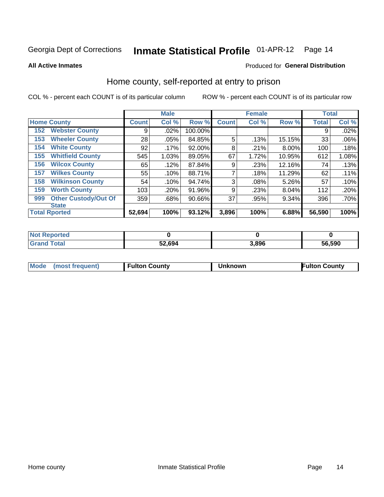## Inmate Statistical Profile 01-APR-12 Page 14

**All Active Inmates** 

## **Produced for General Distribution**

## Home county, self-reported at entry to prison

COL % - percent each COUNT is of its particular column

|     |                             |              | <b>Male</b> |         |              | <b>Female</b> |        | <b>Total</b> |       |
|-----|-----------------------------|--------------|-------------|---------|--------------|---------------|--------|--------------|-------|
|     | <b>Home County</b>          | <b>Count</b> | Col %       | Row %   | <b>Count</b> | Col %         | Row %  | <b>Total</b> | Col % |
| 152 | <b>Webster County</b>       | 9            | .02%        | 100.00% |              |               |        | 9            | .02%  |
| 153 | <b>Wheeler County</b>       | 28           | .05%        | 84.85%  | 5            | .13%          | 15.15% | 33           | .06%  |
| 154 | <b>White County</b>         | 92           | $.17\%$     | 92.00%  | 8            | .21%          | 8.00%  | 100          | .18%  |
| 155 | <b>Whitfield County</b>     | 545          | 1.03%       | 89.05%  | 67           | 1.72%         | 10.95% | 612          | 1.08% |
| 156 | <b>Wilcox County</b>        | 65           | .12%        | 87.84%  | 9            | .23%          | 12.16% | 74           | .13%  |
| 157 | <b>Wilkes County</b>        | 55           | .10%        | 88.71%  | 7            | .18%          | 11.29% | 62           | .11%  |
| 158 | <b>Wilkinson County</b>     | 54           | .10%        | 94.74%  | 3            | .08%          | 5.26%  | 57           | .10%  |
| 159 | <b>Worth County</b>         | 103          | .20%        | 91.96%  | 9            | .23%          | 8.04%  | 112          | .20%  |
| 999 | <b>Other Custody/Out Of</b> | 359          | .68%        | 90.66%  | 37           | .95%          | 9.34%  | 396          | .70%  |
|     | <b>State</b>                |              |             |         |              |               |        |              |       |
|     | <b>Total Rported</b>        | 52,694       | 100%        | 93.12%  | 3,896        | 100%          | 6.88%  | 56,590       | 100%  |

| NO<br>keported |        |       |        |
|----------------|--------|-------|--------|
|                | 52,694 | 3.896 | 56,590 |

| Mode<br>l Fulton Countv<br><b>Fulton County</b><br>(most frequent)<br>۱known |
|------------------------------------------------------------------------------|
|------------------------------------------------------------------------------|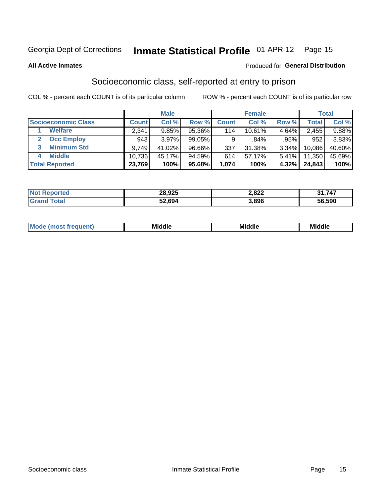## Inmate Statistical Profile 01-APR-12 Page 15

**All Active Inmates** 

## Produced for General Distribution

## Socioeconomic class, self-reported at entry to prison

COL % - percent each COUNT is of its particular column

|                       |                | <b>Male</b> |        |              | <b>Female</b> |          |        | <b>Total</b> |
|-----------------------|----------------|-------------|--------|--------------|---------------|----------|--------|--------------|
| Socioeconomic Class   | <b>Count</b> l | Col %       | Row %  | <b>Count</b> | Col %         | Row %    | Total  | Col %        |
| <b>Welfare</b>        | 2,341          | 9.85%       | 95.36% | 114          | 10.61%        | 4.64%    | 2,455  | 9.88%        |
| <b>Occ Employ</b>     | 943            | 3.97%       | 99.05% | 9            | .84%          | .95%     | 952    | 3.83%        |
| <b>Minimum Std</b>    | 9,749          | 41.02%      | 96.66% | 337          | 31.38%        | 3.34%    | 10,086 | 40.60%       |
| <b>Middle</b><br>4    | 10,736         | 45.17%      | 94.59% | 614          | 57.17%        | $5.41\%$ | 11,350 | 45.69%       |
| <b>Total Reported</b> | 23,769         | 100%        | 95.68% | 1,074        | 100%          | $4.32\%$ | 24,843 | 100%         |

| <b>Not</b><br>›rted | 28,925 | 2,822 | 747    |
|---------------------|--------|-------|--------|
|                     | 52.694 | 3,896 | 56,590 |

| ____<br>____ |
|--------------|
|--------------|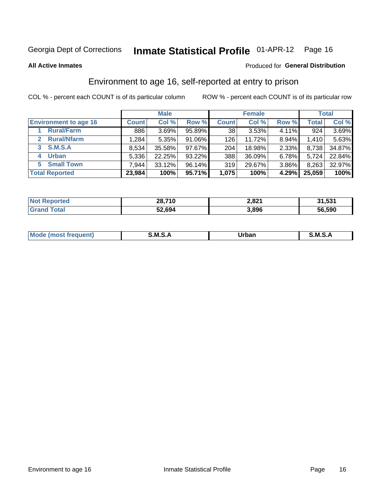## Inmate Statistical Profile 01-APR-12 Page 16

**All Active Inmates** 

### Produced for General Distribution

## Environment to age 16, self-reported at entry to prison

COL % - percent each COUNT is of its particular column

|                                    |              | <b>Male</b> |        |                 | <b>Female</b> |       |              | <b>Total</b> |
|------------------------------------|--------------|-------------|--------|-----------------|---------------|-------|--------------|--------------|
| <b>Environment to age 16</b>       | <b>Count</b> | Col %       | Row %  | <b>Count</b>    | Col %         | Row % | <b>Total</b> | Col %        |
| <b>Rural/Farm</b>                  | 886          | 3.69%       | 95.89% | 38 <sup>1</sup> | 3.53%         | 4.11% | 924          | 3.69%        |
| <b>Rural/Nfarm</b><br>$\mathbf{2}$ | ا 284. ا     | 5.35%       | 91.06% | 126             | 11.72%        | 8.94% | 1.410        | 5.63%        |
| 3 S.M.S.A                          | 8,534        | 35.58%      | 97.67% | 204             | 18.98%        | 2.33% | 8,738        | 34.87%       |
| <b>Urban</b><br>4                  | 5,336        | 22.25%      | 93.22% | 388             | 36.09%        | 6.78% | 5,724        | 22.84%       |
| <b>Small Town</b><br>5.            | 7,944        | 33.12%      | 96.14% | 319             | 29.67%        | 3.86% | 8,263        | 32.97%       |
| <b>Total Reported</b>              | 23,984       | 100%        | 95.71% | 1,075           | 100%          | 4.29% | 25,059       | 100%         |

| <b>Not Reported</b> | 28,710 | 2,821 | 31,531 |
|---------------------|--------|-------|--------|
| <b>Grand Total</b>  | 52,694 | 3,896 | 56,590 |

| Mo<br>ent. | M<br>______ | <b>Jrbar</b><br>_____ | M. |
|------------|-------------|-----------------------|----|
|            |             |                       |    |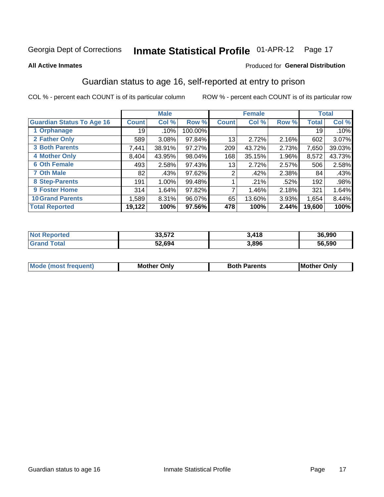## Inmate Statistical Profile 01-APR-12 Page 17

### **All Active Inmates**

### Produced for General Distribution

## Guardian status to age 16, self-reported at entry to prison

COL % - percent each COUNT is of its particular column

|                                  |               | <b>Male</b> |           |              | <b>Female</b> |       |        | <b>Total</b> |
|----------------------------------|---------------|-------------|-----------|--------------|---------------|-------|--------|--------------|
| <b>Guardian Status To Age 16</b> | <b>Count!</b> | Col %       | Row %     | <b>Count</b> | Col %         | Row % | Total  | Col %        |
| 1 Orphanage                      | 19            | .10%        | 100.00%   |              |               |       | 19     | .10%         |
| 2 Father Only                    | 589           | 3.08%       | 97.84%    | 13           | 2.72%         | 2.16% | 602    | $3.07\%$     |
| <b>3 Both Parents</b>            | 7,441         | 38.91%      | 97.27%    | 209          | 43.72%        | 2.73% | 7,650  | 39.03%       |
| <b>4 Mother Only</b>             | 8,404         | 43.95%      | $98.04\%$ | 168          | 35.15%        | 1.96% | 8,572  | 43.73%       |
| <b>6 Oth Female</b>              | 493           | 2.58%       | 97.43%    | 13           | 2.72%         | 2.57% | 506    | 2.58%        |
| <b>7 Oth Male</b>                | 82            | .43%        | $97.62\%$ | 2            | .42%          | 2.38% | 84     | .43%         |
| 8 Step-Parents                   | 191           | 1.00%       | 99.48%    |              | .21%          | .52%  | 192    | .98%         |
| 9 Foster Home                    | 314           | 1.64%       | 97.82%    | 7            | 1.46%         | 2.18% | 321    | 1.64%        |
| <b>10 Grand Parents</b>          | 1,589         | 8.31%       | $96.07\%$ | 65           | 13.60%        | 3.93% | 1,654  | 8.44%        |
| <b>Total Reported</b>            | 19,122        | 100%        | 97.56%    | 478          | 100%          | 2.44% | 19,600 | 100%         |

| <b>Reported</b><br><b>Not</b> | -70<br>33.57. | 3,418 | 36,990 |
|-------------------------------|---------------|-------|--------|
| ™ota⊾                         | 52.694        | 3,896 | 56,590 |

| Mode | วทIv<br>Mot | <b>Both Parents</b><br>Parents | lM.<br>Only<br>. |
|------|-------------|--------------------------------|------------------|
|      |             |                                |                  |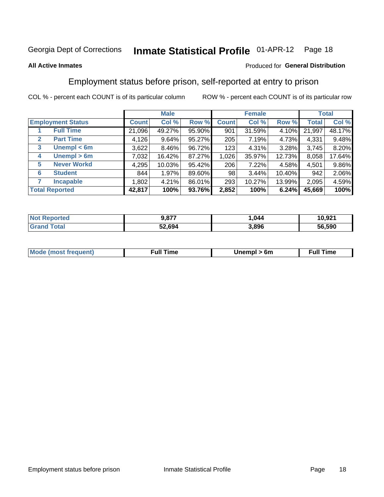#### **Inmate Statistical Profile 01-APR-12** Page 18

## **All Active Inmates**

## Produced for General Distribution

## Employment status before prison, self-reported at entry to prison

COL % - percent each COUNT is of its particular column

|                                  |              | <b>Male</b> |        |              | <b>Female</b> |        |        | <b>Total</b> |
|----------------------------------|--------------|-------------|--------|--------------|---------------|--------|--------|--------------|
| <b>Employment Status</b>         | <b>Count</b> | Col %       | Row %  | <b>Count</b> | Col %         | Row %  | Total  | Col %        |
| <b>Full Time</b>                 | 21,096       | 49.27%      | 95.90% | 901          | 31.59%        | 4.10%  | 21,997 | 48.17%       |
| <b>Part Time</b><br>$\mathbf{2}$ | 4,126        | 9.64%       | 95.27% | 205          | 7.19%         | 4.73%  | 4,331  | 9.48%        |
| Unempl $<$ 6m<br>3               | 3,622        | $8.46\%$    | 96.72% | 123          | 4.31%         | 3.28%  | 3,745  | 8.20%        |
| Unempl > 6m<br>4                 | 7,032        | 16.42%      | 87.27% | 1,026        | 35.97%        | 12.73% | 8,058  | 17.64%       |
| <b>Never Workd</b><br>5          | 4,295        | 10.03%      | 95.42% | 206          | 7.22%         | 4.58%  | 4,501  | 9.86%        |
| <b>Student</b><br>6              | 844          | 1.97%       | 89.60% | 98           | 3.44%         | 10.40% | 942    | 2.06%        |
| <b>Incapable</b>                 | 1,802        | 4.21%       | 86.01% | 293          | 10.27%        | 13.99% | 2,095  | 4.59%        |
| <b>Total Reported</b>            | 42,817       | 100%        | 93.76% | 2,852        | 100%          | 6.24%  | 45,669 | 100%         |

| <b>orted</b><br><b>NOT</b> | 9,877  | ,044  | 10,921 |
|----------------------------|--------|-------|--------|
| $T$ otol $T$               | 52,694 | 3.896 | 56.590 |

| <b>Mou</b><br>זווניווו<br>$\cdots$ | 6m<br>____ | ∙ull<br>⊓mε<br>the contract of the contract of the contract of the contract of the contract of the contract of the contract of |
|------------------------------------|------------|--------------------------------------------------------------------------------------------------------------------------------|
|                                    |            |                                                                                                                                |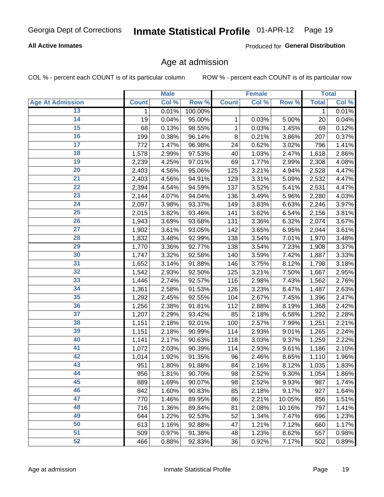## **All Active Inmates**

Produced for General Distribution

## Age at admission

COL % - percent each COUNT is of its particular column

|                         |              | <b>Male</b> |         |              | <b>Female</b> |        |              | <b>Total</b> |
|-------------------------|--------------|-------------|---------|--------------|---------------|--------|--------------|--------------|
| <b>Age At Admission</b> | <b>Count</b> | Col %       | Row %   | <b>Count</b> | Col %         | Row %  | <b>Total</b> | Col %        |
| 13                      | 1            | 0.01%       | 100.00% |              |               |        | $\mathbf 1$  | 0.01%        |
| $\overline{14}$         | 19           | 0.04%       | 95.00%  | 1            | 0.03%         | 5.00%  | 20           | 0.04%        |
| 15                      | 68           | 0.13%       | 98.55%  | 1            | 0.03%         | 1.45%  | 69           | 0.12%        |
| 16                      | 199          | 0.38%       | 96.14%  | 8            | 0.21%         | 3.86%  | 207          | 0.37%        |
| $\overline{17}$         | 772          | 1.47%       | 96.98%  | 24           | 0.62%         | 3.02%  | 796          | 1.41%        |
| 18                      | 1,578        | 2.99%       | 97.53%  | 40           | 1.03%         | 2.47%  | 1,618        | 2.86%        |
| 19                      | 2,239        | 4.25%       | 97.01%  | 69           | 1.77%         | 2.99%  | 2,308        | 4.08%        |
| $\overline{20}$         | 2,403        | 4.56%       | 95.06%  | 125          | 3.21%         | 4.94%  | 2,528        | 4.47%        |
| $\overline{21}$         | 2,403        | 4.56%       | 94.91%  | 129          | 3.31%         | 5.09%  | 2,532        | 4.47%        |
| $\overline{22}$         | 2,394        | 4.54%       | 94.59%  | 137          | 3.52%         | 5.41%  | 2,531        | 4.47%        |
| 23                      | 2,144        | 4.07%       | 94.04%  | 136          | 3.49%         | 5.96%  | 2,280        | 4.03%        |
| $\overline{24}$         | 2,097        | 3.98%       | 93.37%  | 149          | 3.83%         | 6.63%  | 2,246        | 3.97%        |
| $\overline{25}$         | 2,015        | 3.82%       | 93.46%  | 141          | 3.62%         | 6.54%  | 2,156        | 3.81%        |
| 26                      | 1,943        | 3.69%       | 93.68%  | 131          | 3.36%         | 6.32%  | 2,074        | 3.67%        |
| 27                      | 1,902        | 3.61%       | 93.05%  | 142          | 3.65%         | 6.95%  | 2,044        | 3.61%        |
| 28                      | 1,832        | 3.48%       | 92.99%  | 138          | 3.54%         | 7.01%  | 1,970        | 3.48%        |
| 29                      | 1,770        | 3.36%       | 92.77%  | 138          | 3.54%         | 7.23%  | 1,908        | 3.37%        |
| 30                      | 1,747        | 3.32%       | 92.58%  | 140          | 3.59%         | 7.42%  | 1,887        | 3.33%        |
| 31                      | 1,652        | 3.14%       | 91.88%  | 146          | 3.75%         | 8.12%  | 1,798        | 3.18%        |
| $\overline{32}$         | 1,542        | 2.93%       | 92.50%  | 125          | 3.21%         | 7.50%  | 1,667        | 2.95%        |
| 33                      | 1,446        | 2.74%       | 92.57%  | 116          | 2.98%         | 7.43%  | 1,562        | 2.76%        |
| $\overline{34}$         | 1,361        | 2.58%       | 91.53%  | 126          | 3.23%         | 8.47%  | 1,487        | 2.63%        |
| 35                      | 1,292        | 2.45%       | 92.55%  | 104          | 2.67%         | 7.45%  | 1,396        | 2.47%        |
| 36                      | 1,256        | 2.38%       | 91.81%  | 112          | 2.88%         | 8.19%  | 1,368        | 2.42%        |
| $\overline{37}$         | 1,207        | 2.29%       | 93.42%  | 85           | 2.18%         | 6.58%  | 1,292        | 2.28%        |
| 38                      | 1,151        | 2.18%       | 92.01%  | 100          | 2.57%         | 7.99%  | 1,251        | 2.21%        |
| 39                      | 1,151        | 2.18%       | 90.99%  | 114          | 2.93%         | 9.01%  | 1,265        | 2.24%        |
| 40                      | 1,141        | 2.17%       | 90.63%  | 118          | 3.03%         | 9.37%  | 1,259        | 2.22%        |
| 41                      | 1,072        | 2.03%       | 90.39%  | 114          | 2.93%         | 9.61%  | 1,186        | 2.10%        |
| 42                      | 1,014        | 1.92%       | 91.35%  | 96           | 2.46%         | 8.65%  | 1,110        | 1.96%        |
| 43                      | 951          | 1.80%       | 91.88%  | 84           | 2.16%         | 8.12%  | 1,035        | 1.83%        |
| 44                      | 956          | 1.81%       | 90.70%  | 98           | 2.52%         | 9.30%  | 1,054        | 1.86%        |
| 45                      | 889          | 1.69%       | 90.07%  | 98           | 2.52%         | 9.93%  | 987          | 1.74%        |
| 46                      | 842          | 1.60%       | 90.83%  | 85           | 2.18%         | 9.17%  | 927          | 1.64%        |
| 47                      | 770          | 1.46%       | 89.95%  | 86           | 2.21%         | 10.05% | 856          | 1.51%        |
| 48                      | 716          | 1.36%       | 89.84%  | 81           | 2.08%         | 10.16% | 797          | 1.41%        |
| 49                      | 644          | 1.22%       | 92.53%  | 52           | 1.34%         | 7.47%  | 696          | 1.23%        |
| 50                      | 613          | 1.16%       | 92.88%  | 47           | 1.21%         | 7.12%  | 660          | 1.17%        |
| 51                      | 509          | 0.97%       | 91.38%  | 48           | 1.23%         | 8.62%  | 557          | 0.98%        |
| 52                      | 466          | 0.88%       | 92.83%  | 36           | 0.92%         | 7.17%  | 502          | 0.89%        |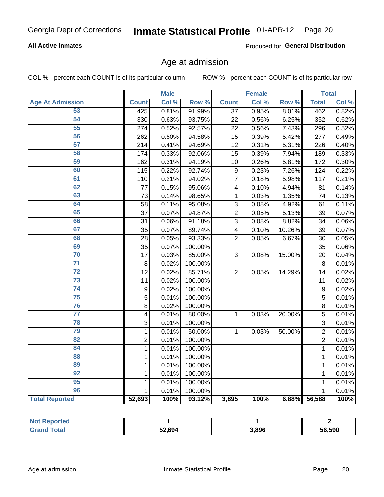## **All Active Inmates**

Produced for General Distribution

## Age at admission

COL % - percent each COUNT is of its particular column

|                         |                         | <b>Male</b> |         |                 | <b>Female</b> |        |                | <b>Total</b> |
|-------------------------|-------------------------|-------------|---------|-----------------|---------------|--------|----------------|--------------|
| <b>Age At Admission</b> | <b>Count</b>            | Col %       | Row %   | <b>Count</b>    | Col %         | Row %  | <b>Total</b>   | Col %        |
| 53                      | 425                     | 0.81%       | 91.99%  | $\overline{37}$ | 0.95%         | 8.01%  | 462            | 0.82%        |
| 54                      | 330                     | 0.63%       | 93.75%  | 22              | 0.56%         | 6.25%  | 352            | 0.62%        |
| 55                      | 274                     | 0.52%       | 92.57%  | 22              | 0.56%         | 7.43%  | 296            | 0.52%        |
| 56                      | 262                     | 0.50%       | 94.58%  | 15              | 0.39%         | 5.42%  | 277            | 0.49%        |
| 57                      | 214                     | 0.41%       | 94.69%  | 12              | 0.31%         | 5.31%  | 226            | 0.40%        |
| 58                      | 174                     | 0.33%       | 92.06%  | 15              | 0.39%         | 7.94%  | 189            | 0.33%        |
| 59                      | 162                     | 0.31%       | 94.19%  | 10              | 0.26%         | 5.81%  | 172            | 0.30%        |
| 60                      | 115                     | 0.22%       | 92.74%  | 9               | 0.23%         | 7.26%  | 124            | 0.22%        |
| 61                      | 110                     | 0.21%       | 94.02%  | $\overline{7}$  | 0.18%         | 5.98%  | 117            | 0.21%        |
| 62                      | 77                      | 0.15%       | 95.06%  | 4               | 0.10%         | 4.94%  | 81             | 0.14%        |
| 63                      | 73                      | 0.14%       | 98.65%  | 1               | 0.03%         | 1.35%  | 74             | 0.13%        |
| 64                      | 58                      | 0.11%       | 95.08%  | 3               | 0.08%         | 4.92%  | 61             | 0.11%        |
| 65                      | 37                      | 0.07%       | 94.87%  | $\overline{c}$  | 0.05%         | 5.13%  | 39             | 0.07%        |
| 66                      | 31                      | 0.06%       | 91.18%  | 3               | 0.08%         | 8.82%  | 34             | 0.06%        |
| 67                      | 35                      | 0.07%       | 89.74%  | 4               | 0.10%         | 10.26% | 39             | 0.07%        |
| 68                      | 28                      | 0.05%       | 93.33%  | $\overline{2}$  | 0.05%         | 6.67%  | 30             | 0.05%        |
| 69                      | 35                      | 0.07%       | 100.00% |                 |               |        | 35             | 0.06%        |
| 70                      | 17                      | 0.03%       | 85.00%  | 3               | 0.08%         | 15.00% | 20             | 0.04%        |
| $\overline{71}$         | 8                       | 0.02%       | 100.00% |                 |               |        | 8              | 0.01%        |
| $\overline{72}$         | 12                      | 0.02%       | 85.71%  | $\overline{2}$  | 0.05%         | 14.29% | 14             | 0.02%        |
| $\overline{73}$         | 11                      | 0.02%       | 100.00% |                 |               |        | 11             | 0.02%        |
| $\overline{74}$         | 9                       | 0.02%       | 100.00% |                 |               |        | 9              | 0.02%        |
| $\overline{75}$         | 5                       | 0.01%       | 100.00% |                 |               |        | 5              | 0.01%        |
| 76                      | 8                       | 0.02%       | 100.00% |                 |               |        | 8              | 0.01%        |
| $\overline{77}$         | $\overline{\mathbf{4}}$ | 0.01%       | 80.00%  | 1               | 0.03%         | 20.00% | 5              | 0.01%        |
| 78                      | 3                       | 0.01%       | 100.00% |                 |               |        | 3              | 0.01%        |
| 79                      | $\mathbf 1$             | 0.01%       | 50.00%  | $\mathbf{1}$    | 0.03%         | 50.00% | $\overline{2}$ | 0.01%        |
| $\overline{82}$         | $\overline{2}$          | 0.01%       | 100.00% |                 |               |        | $\overline{2}$ | 0.01%        |
| 84                      | $\mathbf{1}$            | 0.01%       | 100.00% |                 |               |        | 1              | 0.01%        |
| 88                      | $\mathbf{1}$            | 0.01%       | 100.00% |                 |               |        | $\mathbf{1}$   | 0.01%        |
| 89                      | $\mathbf{1}$            | 0.01%       | 100.00% |                 |               |        | $\mathbf{1}$   | 0.01%        |
| 92                      | $\mathbf{1}$            | 0.01%       | 100.00% |                 |               |        | $\mathbf{1}$   | 0.01%        |
| $\overline{95}$         | $\mathbf{1}$            | 0.01%       | 100.00% |                 |               |        | $\mathbf{1}$   | 0.01%        |
| 96                      | 1                       | 0.01%       | 100.00% |                 |               |        | $\mathbf{1}$   | 0.01%        |
| <b>Total Reported</b>   | 52,693                  | 100%        | 93.12%  | 3,895           | 100%          | 6.88%  | 56,588         | 100%         |

| <b>Not Reported</b> |        |       |        |
|---------------------|--------|-------|--------|
| Total               | 52,694 | 3.896 | 56.590 |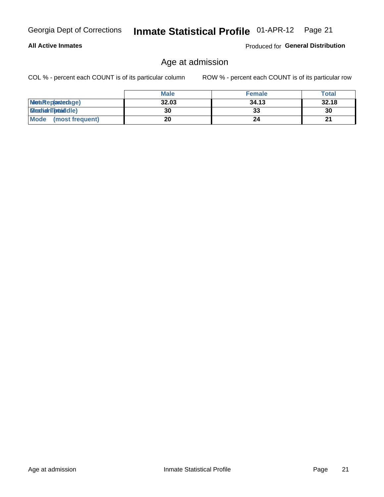## **All Active Inmates**

Produced for General Distribution

## Age at admission

COL % - percent each COUNT is of its particular column

|                         | <b>Male</b> | <b>Female</b> | <b>Total</b> |
|-------------------------|-------------|---------------|--------------|
| MetaRep(anterage)       | 32.03       | 34.13         | 32.18        |
| <b>MeatianTotaddle)</b> | 30          | 33            | 30           |
| Mode<br>(most frequent) | 20          | 24            | 21           |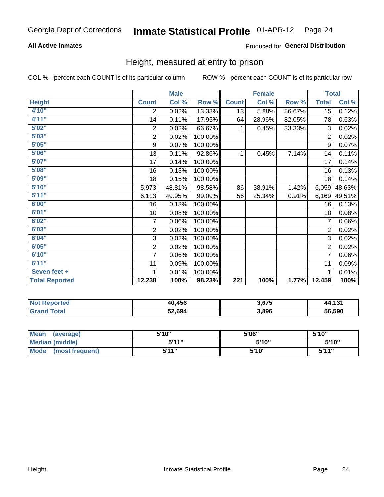## **All Active Inmates**

## Produced for General Distribution

## Height, measured at entry to prison

COL % - percent each COUNT is of its particular column

|                       | <b>Male</b>             |        |         | <b>Female</b>    |        |        | <b>Total</b>   |        |
|-----------------------|-------------------------|--------|---------|------------------|--------|--------|----------------|--------|
| <b>Height</b>         | <b>Count</b>            | Col %  | Row %   | <b>Count</b>     | Col %  | Row %  | <b>Total</b>   | Col %  |
| 4'10"                 | 2                       | 0.02%  | 13.33%  | 13               | 5.88%  | 86.67% | 15             | 0.12%  |
| 4'11''                | 14                      | 0.11%  | 17.95%  | 64               | 28.96% | 82.05% | 78             | 0.63%  |
| 5'02"                 | $\overline{2}$          | 0.02%  | 66.67%  | 1                | 0.45%  | 33.33% | 3              | 0.02%  |
| 5'03''                | $\overline{\mathbf{c}}$ | 0.02%  | 100.00% |                  |        |        | $\overline{2}$ | 0.02%  |
| 5'05''                | $\boldsymbol{9}$        | 0.07%  | 100.00% |                  |        |        | 9              | 0.07%  |
| 5'06''                | 13                      | 0.11%  | 92.86%  | 1                | 0.45%  | 7.14%  | 14             | 0.11%  |
| 5'07''                | 17                      | 0.14%  | 100.00% |                  |        |        | 17             | 0.14%  |
| 5'08''                | 16                      | 0.13%  | 100.00% |                  |        |        | 16             | 0.13%  |
| 5'09''                | 18                      | 0.15%  | 100.00% |                  |        |        | 18             | 0.14%  |
| 5'10''                | 5,973                   | 48.81% | 98.58%  | 86               | 38.91% | 1.42%  | 6,059          | 48.63% |
| 5'11''                | 6,113                   | 49.95% | 99.09%  | 56               | 25.34% | 0.91%  | 6,169          | 49.51% |
| 6'00''                | 16                      | 0.13%  | 100.00% |                  |        |        | 16             | 0.13%  |
| 6'01''                | 10                      | 0.08%  | 100.00% |                  |        |        | 10             | 0.08%  |
| 6'02''                | $\overline{7}$          | 0.06%  | 100.00% |                  |        |        | 7              | 0.06%  |
| 6'03''                | 2                       | 0.02%  | 100.00% |                  |        |        | $\overline{2}$ | 0.02%  |
| 6'04"                 | 3                       | 0.02%  | 100.00% |                  |        |        | 3              | 0.02%  |
| 6'05''                | 2                       | 0.02%  | 100.00% |                  |        |        | $\overline{2}$ | 0.02%  |
| 6'10''                | 7                       | 0.06%  | 100.00% |                  |        |        | $\overline{7}$ | 0.06%  |
| 6'11''                | 11                      | 0.09%  | 100.00% |                  |        |        | 11             | 0.09%  |
| Seven feet +          | 1                       | 0.01%  | 100.00% |                  |        |        |                | 0.01%  |
| <b>Total Reported</b> | 12,238                  | 100%   | 98.23%  | $\overline{221}$ | 100%   | 1.77%  | 12,459         | 100%   |

| <b>Not Reported</b> | 40,456 | 3,675 | 44,131 |
|---------------------|--------|-------|--------|
| <b>Total</b>        | 52,694 | 3,896 | 56,590 |

| Mean<br>(average)              | 5'10" | 5'06" | 5'10'' |
|--------------------------------|-------|-------|--------|
| <b>Median (middle)</b>         | 544"  | 5'10" | 5'10'' |
| <b>Mode</b><br>(most frequent) | 5'11" | 5'10" | 5'11"  |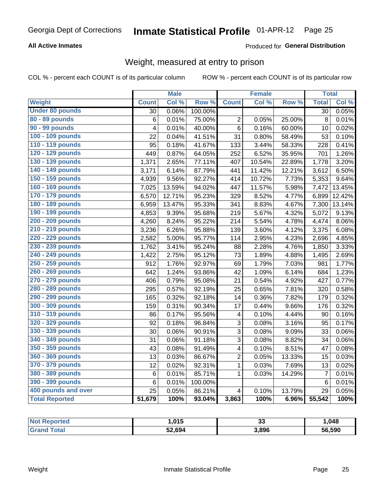## **All Active Inmates**

## Produced for General Distribution

## Weight, measured at entry to prison

COL % - percent each COUNT is of its particular column

|                        |                 | <b>Male</b> |         |                         | <b>Female</b> |                  | <b>Total</b>    |        |
|------------------------|-----------------|-------------|---------|-------------------------|---------------|------------------|-----------------|--------|
| <b>Weight</b>          | <b>Count</b>    | Col %       | Row %   | <b>Count</b>            | Col %         | Row <sup>%</sup> | <b>Total</b>    | Col %  |
| <b>Under 80 pounds</b> | $\overline{30}$ | 0.06%       | 100.00% |                         |               |                  | $\overline{30}$ | 0.05%  |
| 80 - 89 pounds         | 6               | 0.01%       | 75.00%  | $\overline{c}$          | 0.05%         | 25.00%           | 8               | 0.01%  |
| 90 - 99 pounds         | 4               | 0.01%       | 40.00%  | $\overline{6}$          | 0.16%         | 60.00%           | 10              | 0.02%  |
| 100 - 109 pounds       | 22              | 0.04%       | 41.51%  | $\overline{31}$         | 0.80%         | 58.49%           | 53              | 0.10%  |
| 110 - 119 pounds       | 95              | 0.18%       | 41.67%  | 133                     | 3.44%         | 58.33%           | 228             | 0.41%  |
| 120 - 129 pounds       | 449             | 0.87%       | 64.05%  | 252                     | 6.52%         | 35.95%           | 701             | 1.26%  |
| 130 - 139 pounds       | 1,371           | 2.65%       | 77.11%  | 407                     | 10.54%        | 22.89%           | 1,778           | 3.20%  |
| 140 - 149 pounds       | 3,171           | 6.14%       | 87.79%  | 441                     | 11.42%        | 12.21%           | 3,612           | 6.50%  |
| 150 - 159 pounds       | 4,939           | 9.56%       | 92.27%  | 414                     | 10.72%        | 7.73%            | 5,353           | 9.64%  |
| 160 - 169 pounds       | 7,025           | 13.59%      | 94.02%  | 447                     | 11.57%        | 5.98%            | 7,472           | 13.45% |
| 170 - 179 pounds       | 6,570           | 12.71%      | 95.23%  | 329                     | 8.52%         | 4.77%            | 6,899           | 12.42% |
| 180 - 189 pounds       | 6,959           | 13.47%      | 95.33%  | 341                     | 8.83%         | 4.67%            | 7,300           | 13.14% |
| 190 - 199 pounds       | 4,853           | 9.39%       | 95.68%  | 219                     | 5.67%         | 4.32%            | 5,072           | 9.13%  |
| 200 - 209 pounds       | 4,260           | 8.24%       | 95.22%  | 214                     | 5.54%         | 4.78%            | 4,474           | 8.06%  |
| 210 - 219 pounds       | 3,236           | 6.26%       | 95.88%  | 139                     | 3.60%         | 4.12%            | 3,375           | 6.08%  |
| 220 - 229 pounds       | 2,582           | 5.00%       | 95.77%  | 114                     | 2.95%         | 4.23%            | 2,696           | 4.85%  |
| 230 - 239 pounds       | 1,762           | 3.41%       | 95.24%  | 88                      | 2.28%         | 4.76%            | 1,850           | 3.33%  |
| 240 - 249 pounds       | 1,422           | 2.75%       | 95.12%  | 73                      | 1.89%         | 4.88%            | 1,495           | 2.69%  |
| 250 - 259 pounds       | 912             | 1.76%       | 92.97%  | 69                      | 1.79%         | 7.03%            | 981             | 1.77%  |
| 260 - 269 pounds       | 642             | 1.24%       | 93.86%  | 42                      | 1.09%         | 6.14%            | 684             | 1.23%  |
| 270 - 279 pounds       | 406             | 0.79%       | 95.08%  | 21                      | 0.54%         | 4.92%            | 427             | 0.77%  |
| 280 - 289 pounds       | 295             | 0.57%       | 92.19%  | 25                      | 0.65%         | 7.81%            | 320             | 0.58%  |
| 290 - 299 pounds       | 165             | 0.32%       | 92.18%  | 14                      | 0.36%         | 7.82%            | 179             | 0.32%  |
| 300 - 309 pounds       | 159             | 0.31%       | 90.34%  | 17                      | 0.44%         | 9.66%            | 176             | 0.32%  |
| 310 - 319 pounds       | 86              | 0.17%       | 95.56%  | $\overline{\mathbf{4}}$ | 0.10%         | 4.44%            | 90              | 0.16%  |
| 320 - 329 pounds       | 92              | 0.18%       | 96.84%  | 3                       | 0.08%         | 3.16%            | 95              | 0.17%  |
| 330 - 339 pounds       | 30              | 0.06%       | 90.91%  | $\overline{3}$          | 0.08%         | 9.09%            | 33              | 0.06%  |
| 340 - 349 pounds       | 31              | 0.06%       | 91.18%  | $\overline{3}$          | 0.08%         | 8.82%            | 34              | 0.06%  |
| 350 - 359 pounds       | 43              | 0.08%       | 91.49%  | $\overline{\mathbf{4}}$ | 0.10%         | 8.51%            | 47              | 0.08%  |
| 360 - 369 pounds       | 13              | 0.03%       | 86.67%  | $\overline{2}$          | 0.05%         | 13.33%           | 15              | 0.03%  |
| 370 - 379 pounds       | 12              | 0.02%       | 92.31%  | $\mathbf{1}$            | 0.03%         | 7.69%            | 13              | 0.02%  |
| 380 - 389 pounds       | 6               | 0.01%       | 85.71%  | $\mathbf{1}$            | 0.03%         | 14.29%           | $\overline{7}$  | 0.01%  |
| 390 - 399 pounds       | 6               | 0.01%       | 100.00% |                         |               |                  | $6\phantom{1}6$ | 0.01%  |
| 400 pounds and over    | 25              | 0.05%       | 86.21%  | $\overline{\mathbf{4}}$ | 0.10%         | 13.79%           | 29              | 0.05%  |
| <b>Total Reported</b>  | 51,679          | 100%        | 93.04%  | 3,863                   | 100%          | 6.96%            | 55,542          | 100%   |

| <b>Not</b><br>: Reported | ,015   | <br>  | 1,048  |
|--------------------------|--------|-------|--------|
| ⊺otal                    | 52,694 | 3,896 | 56,590 |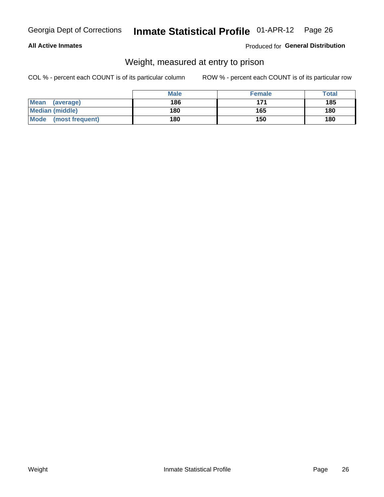## **All Active Inmates**

## Produced for General Distribution

## Weight, measured at entry to prison

COL % - percent each COUNT is of its particular column

|                          | <b>Male</b> | <b>Female</b> | Total |
|--------------------------|-------------|---------------|-------|
| <b>Mean</b><br>(average) | 186         | 171           | 185   |
| <b>Median (middle)</b>   | 180         | 165           | 180   |
| Mode<br>(most frequent)  | 180         | 150           | 180   |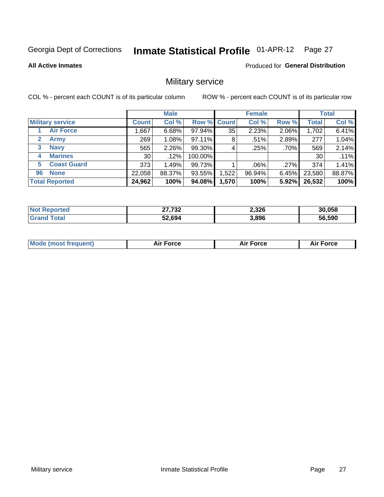#### **Inmate Statistical Profile 01-APR-12** Page 27

**All Active Inmates** 

**Produced for General Distribution** 

## Military service

COL % - percent each COUNT is of its particular column

|                          | <b>Male</b>  |        |                    | <b>Female</b> |         |          | <b>Total</b> |        |
|--------------------------|--------------|--------|--------------------|---------------|---------|----------|--------------|--------|
| <b>Military service</b>  | <b>Count</b> | Col %  | <b>Row % Count</b> |               | Col %   | Row %    | <b>Total</b> | Col %  |
| <b>Air Force</b>         | ,667         | 6.68%  | 97.94%             | 35            | 2.23%   | 2.06%    | 1,702        | 6.41%  |
| $\mathbf{2}$<br>Army     | 269          | 1.08%  | 97.11%             | 8             | .51%    | 2.89%    | 277          | 1.04%  |
| <b>Navy</b><br>3         | 565          | 2.26%  | 99.30%             | 4             | .25%    | .70%     | 569          | 2.14%  |
| <b>Marines</b><br>4      | 30           | .12%   | 100.00%            |               |         |          | 30           | .11%   |
| <b>Coast Guard</b><br>5. | 373          | 1.49%  | 99.73%             |               | $.06\%$ | .27%     | 374          | 1.41%  |
| <b>None</b><br>96        | 22,058       | 88.37% | 93.55%             | .522          | 96.94%  | $6.45\%$ | 23,580       | 88.87% |
| <b>Total Reported</b>    | 24,962       | 100%   | 94.08%             | 1,570         | 100%    | 5.92%    | 26,532       | 100%   |

| rted | <b>07.700</b><br>-JZ<br>$\sim$ | 2,326 | 30.058 |
|------|--------------------------------|-------|--------|
|      | 52,694                         | 3,896 | 56.590 |

| <b>Mode (most frequent)</b> | <b>Force</b> | <b>Force</b> | Force |
|-----------------------------|--------------|--------------|-------|
|                             |              |              |       |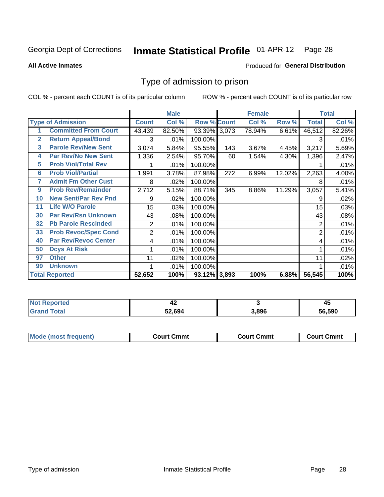#### **Inmate Statistical Profile 01-APR-12** Page 28

### **All Active Inmates**

### Produced for General Distribution

## Type of admission to prison

COL % - percent each COUNT is of its particular column

|              |                             |                | <b>Male</b> |                    |     | <b>Female</b> |        |                | <b>Total</b> |
|--------------|-----------------------------|----------------|-------------|--------------------|-----|---------------|--------|----------------|--------------|
|              | <b>Type of Admission</b>    | <b>Count</b>   | Col %       | <b>Row % Count</b> |     | Col %         | Row %  | <b>Total</b>   | Col %        |
|              | <b>Committed From Court</b> | 43,439         | 82.50%      | 93.39% 3,073       |     | 78.94%        | 6.61%  | 46,512         | 82.26%       |
| $\mathbf{2}$ | <b>Return Appeal/Bond</b>   | 3              | .01%        | 100.00%            |     |               |        | 3              | .01%         |
| 3            | <b>Parole Rev/New Sent</b>  | 3,074          | 5.84%       | 95.55%             | 143 | 3.67%         | 4.45%  | 3,217          | 5.69%        |
| 4            | <b>Par Rev/No New Sent</b>  | 1,336          | 2.54%       | 95.70%             | 60  | 1.54%         | 4.30%  | 1,396          | 2.47%        |
| 5            | <b>Prob Viol/Total Rev</b>  |                | .01%        | 100.00%            |     |               |        |                | .01%         |
| 6            | <b>Prob Viol/Partial</b>    | 1,991          | 3.78%       | 87.98%             | 272 | 6.99%         | 12.02% | 2,263          | 4.00%        |
| 7            | <b>Admit Fm Other Cust</b>  | 8              | .02%        | 100.00%            |     |               |        | 8              | .01%         |
| 9            | <b>Prob Rev/Remainder</b>   | 2,712          | 5.15%       | 88.71%             | 345 | 8.86%         | 11.29% | 3,057          | 5.41%        |
| 10           | <b>New Sent/Par Rev Pnd</b> | 9              | .02%        | 100.00%            |     |               |        | 9              | .02%         |
| 11           | <b>Life W/O Parole</b>      | 15             | .03%        | 100.00%            |     |               |        | 15             | .03%         |
| 30           | <b>Par Rev/Rsn Unknown</b>  | 43             | .08%        | 100.00%            |     |               |        | 43             | .08%         |
| 32           | <b>Pb Parole Rescinded</b>  | 2              | .01%        | 100.00%            |     |               |        | 2              | .01%         |
| 33           | <b>Prob Revoc/Spec Cond</b> | $\overline{2}$ | .01%        | 100.00%            |     |               |        | $\overline{2}$ | .01%         |
| 40           | <b>Par Rev/Revoc Center</b> | 4              | .01%        | 100.00%            |     |               |        | 4              | .01%         |
| 50           | <b>Dcys At Risk</b>         |                | .01%        | 100.00%            |     |               |        |                | .01%         |
| 97           | <b>Other</b>                | 11             | .02%        | 100.00%            |     |               |        | 11             | .02%         |
| 99           | <b>Unknown</b>              | 1              | .01%        | 100.00%            |     |               |        |                | .01%         |
|              | <b>Total Reported</b>       | 52,652         | 100%        | $93.12\%$ 3,893    |     | 100%          | 6.88%  | 56,545         | 100%         |

| <b>Not</b><br>Reported  | - 76   |       | . .<br>45 |
|-------------------------|--------|-------|-----------|
| <b><sup>r</sup>otal</b> | 52,694 | 3,896 | 56.590    |

| <b>Mode (most frequent)</b> | Court Cmmt | <b>Court Cmmt</b> | Court Cmmt |
|-----------------------------|------------|-------------------|------------|
|                             |            |                   |            |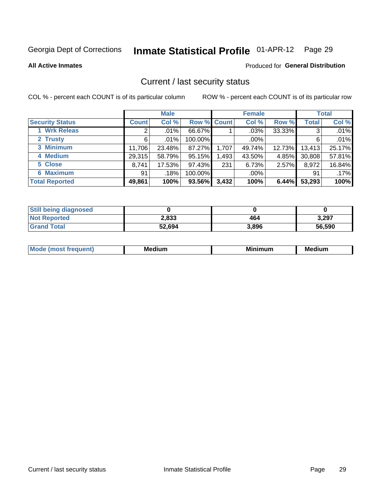## Inmate Statistical Profile 01-APR-12 Page 29

**All Active Inmates** 

### Produced for General Distribution

## Current / last security status

COL % - percent each COUNT is of its particular column

|                        | <b>Male</b>  |         |             | <b>Female</b> |         |        | <b>Total</b> |        |
|------------------------|--------------|---------|-------------|---------------|---------|--------|--------------|--------|
| <b>Security Status</b> | <b>Count</b> | Col %   | Row % Count |               | Col %   | Row %  | <b>Total</b> | Col %  |
| 1 Wrk Releas           | 2            | $.01\%$ | 66.67%      |               | $.03\%$ | 33.33% | 3            | .01%   |
| 2 Trusty               | 6            | $.01\%$ | 100.00%     |               | .00%    |        | 6            | .01%   |
| 3 Minimum              | 11,706       | 23.48%  | 87.27%      | 1,707         | 49.74%  | 12.73% | 13,413       | 25.17% |
| 4 Medium               | 29,315       | 58.79%  | 95.15%      | 1,493         | 43.50%  | 4.85%  | 30,808       | 57.81% |
| 5 Close                | 8,741        | 17.53%  | 97.43%      | 231           | 6.73%   | 2.57%  | 8,972        | 16.84% |
| <b>6 Maximum</b>       | 91           | .18%    | 100.00%     |               | $.00\%$ |        | 91           | .17%   |
| <b>Total Reported</b>  | 49,861       | 100%    | 93.56%      | 3,432         | 100%    | 6.44%  | 53,293       | 100%   |

| <b>Still being diagnosed</b> |        |       |        |
|------------------------------|--------|-------|--------|
| <b>Not Reported</b>          | 2,833  | 464   | 3,297  |
| <b>Grand Total</b>           | 52,694 | 3,896 | 56,590 |

| M | NЛ<br><br>dilim<br>_____ | ---<br>-- | . .<br>Medium<br>Me |
|---|--------------------------|-----------|---------------------|
|   |                          |           |                     |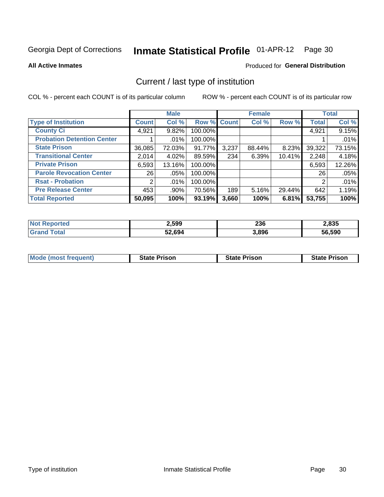#### Inmate Statistical Profile 01-APR-12 Page 30

**All Active Inmates** 

## Produced for General Distribution

## Current / last type of institution

COL % - percent each COUNT is of its particular column

|                                   |                | <b>Male</b> |             |       | <b>Female</b> |        |              | <b>Total</b> |
|-----------------------------------|----------------|-------------|-------------|-------|---------------|--------|--------------|--------------|
| <b>Type of Institution</b>        | <b>Count</b>   | Col %       | Row % Count |       | Col %         | Row %  | <b>Total</b> | Col %        |
| <b>County Ci</b>                  | 4,921          | 9.82%       | 100.00%     |       |               |        | 4,921        | 9.15%        |
| <b>Probation Detention Center</b> |                | .01%        | 100.00%     |       |               |        |              | .01%         |
| <b>State Prison</b>               | 36,085         | 72.03%      | 91.77%      | 3,237 | 88.44%        | 8.23%  | 39,322       | 73.15%       |
| <b>Transitional Center</b>        | 2,014          | 4.02%       | 89.59%      | 234   | 6.39%         | 10.41% | 2,248        | 4.18%        |
| <b>Private Prison</b>             | 6,593          | 13.16%      | 100.00%     |       |               |        | 6,593        | 12.26%       |
| <b>Parole Revocation Center</b>   | 26             | .05%        | 100.00%     |       |               |        | 26           | .05%         |
| <b>Rsat - Probation</b>           | $\overline{2}$ | $.01\%$     | 100.00%     |       |               |        | 2            | .01%         |
| <b>Pre Release Center</b>         | 453            | .90%        | 70.56%      | 189   | 5.16%         | 29.44% | 642          | 1.19%        |
| <b>Total Reported</b>             | 50,095         | 100%        | 93.19%      | 3,660 | 100%          | 6.81%  | 53,755       | 100%         |

| $N$ nt<br><b>Reported</b> | 2,599  | 236   | 2,835  |
|---------------------------|--------|-------|--------|
| Гоtal                     | 52,694 | 3,896 | 56,590 |

| <b>Mode (most frequent)</b> | <b>State Prison</b> | <b>State Prison</b> | <b>State Prison</b> |
|-----------------------------|---------------------|---------------------|---------------------|
|                             |                     |                     |                     |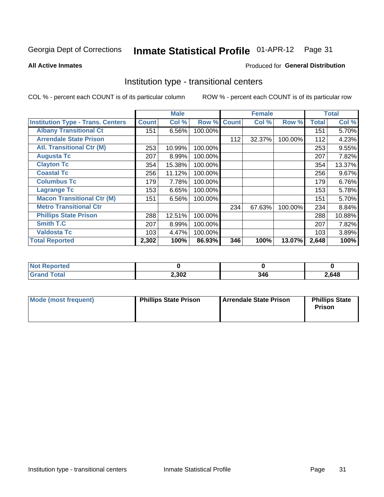#### **Inmate Statistical Profile 01-APR-12** Page 31

**All Active Inmates** 

## **Produced for General Distribution**

## Institution type - transitional centers

COL % - percent each COUNT is of its particular column

|                                          |              | <b>Male</b> |         |              | <b>Female</b> |         |              | <b>Total</b> |
|------------------------------------------|--------------|-------------|---------|--------------|---------------|---------|--------------|--------------|
| <b>Institution Type - Trans. Centers</b> | <b>Count</b> | Col %       | Row %   | <b>Count</b> | Col %         | Row %   | <b>Total</b> | Col %        |
| <b>Albany Transitional Ct</b>            | 151          | 6.56%       | 100.00% |              |               |         | 151          | 5.70%        |
| <b>Arrendale State Prison</b>            |              |             |         | 112          | 32.37%        | 100.00% | 112          | 4.23%        |
| <b>Atl. Transitional Ctr (M)</b>         | 253          | 10.99%      | 100.00% |              |               |         | 253          | 9.55%        |
| <b>Augusta Tc</b>                        | 207          | 8.99%       | 100.00% |              |               |         | 207          | 7.82%        |
| <b>Clayton Tc</b>                        | 354          | 15.38%      | 100.00% |              |               |         | 354          | 13.37%       |
| <b>Coastal Tc</b>                        | 256          | 11.12%      | 100.00% |              |               |         | 256          | 9.67%        |
| <b>Columbus Tc</b>                       | 179          | 7.78%       | 100.00% |              |               |         | 179          | 6.76%        |
| <b>Lagrange Tc</b>                       | 153          | 6.65%       | 100.00% |              |               |         | 153          | 5.78%        |
| <b>Macon Transitional Ctr (M)</b>        | 151          | 6.56%       | 100.00% |              |               |         | 151          | 5.70%        |
| <b>Metro Transitional Ctr</b>            |              |             |         | 234          | 67.63%        | 100.00% | 234          | 8.84%        |
| <b>Phillips State Prison</b>             | 288          | 12.51%      | 100.00% |              |               |         | 288          | 10.88%       |
| <b>Smith T.C</b>                         | 207          | 8.99%       | 100.00% |              |               |         | 207          | 7.82%        |
| <b>Valdosta Tc</b>                       | 103          | 4.47%       | 100.00% |              |               |         | 103          | 3.89%        |
| <b>Total Reported</b>                    | 2,302        | 100%        | 86.93%  | 346          | 100%          | 13.07%  | 2,648        | 100%         |

| N.<br>portea |       |     |       |
|--------------|-------|-----|-------|
| _____        | 2,302 | 346 | 2,648 |

| Mode (most frequent) | <b>Phillips State Prison</b> | Arrendale State Prison | <b>Phillips State</b><br>Prison |
|----------------------|------------------------------|------------------------|---------------------------------|
|                      |                              |                        |                                 |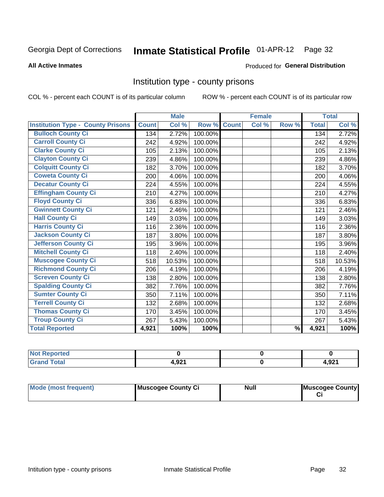## Inmate Statistical Profile 01-APR-12 Page 32

### **All Active Inmates**

### Produced for General Distribution

## Institution type - county prisons

COL % - percent each COUNT is of its particular column

|                                          |              | <b>Male</b> |         |              | <b>Female</b> |               |              | <b>Total</b> |
|------------------------------------------|--------------|-------------|---------|--------------|---------------|---------------|--------------|--------------|
| <b>Institution Type - County Prisons</b> | <b>Count</b> | Col %       | Row %   | <b>Count</b> | Col %         | Row %         | <b>Total</b> | Col %        |
| <b>Bulloch County Ci</b>                 | 134          | 2.72%       | 100.00% |              |               |               | 134          | 2.72%        |
| <b>Carroll County Ci</b>                 | 242          | 4.92%       | 100.00% |              |               |               | 242          | 4.92%        |
| <b>Clarke County Ci</b>                  | 105          | 2.13%       | 100.00% |              |               |               | 105          | 2.13%        |
| <b>Clayton County Ci</b>                 | 239          | 4.86%       | 100.00% |              |               |               | 239          | 4.86%        |
| <b>Colquitt County Ci</b>                | 182          | 3.70%       | 100.00% |              |               |               | 182          | 3.70%        |
| <b>Coweta County Ci</b>                  | 200          | 4.06%       | 100.00% |              |               |               | 200          | 4.06%        |
| <b>Decatur County Ci</b>                 | 224          | 4.55%       | 100.00% |              |               |               | 224          | 4.55%        |
| <b>Effingham County Ci</b>               | 210          | 4.27%       | 100.00% |              |               |               | 210          | 4.27%        |
| <b>Floyd County Ci</b>                   | 336          | 6.83%       | 100.00% |              |               |               | 336          | 6.83%        |
| <b>Gwinnett County Ci</b>                | 121          | 2.46%       | 100.00% |              |               |               | 121          | 2.46%        |
| <b>Hall County Ci</b>                    | 149          | 3.03%       | 100.00% |              |               |               | 149          | 3.03%        |
| <b>Harris County Ci</b>                  | 116          | 2.36%       | 100.00% |              |               |               | 116          | 2.36%        |
| <b>Jackson County Ci</b>                 | 187          | 3.80%       | 100.00% |              |               |               | 187          | 3.80%        |
| <b>Jefferson County Ci</b>               | 195          | 3.96%       | 100.00% |              |               |               | 195          | 3.96%        |
| <b>Mitchell County Ci</b>                | 118          | 2.40%       | 100.00% |              |               |               | 118          | 2.40%        |
| <b>Muscogee County Ci</b>                | 518          | 10.53%      | 100.00% |              |               |               | 518          | 10.53%       |
| <b>Richmond County Ci</b>                | 206          | 4.19%       | 100.00% |              |               |               | 206          | 4.19%        |
| <b>Screven County Ci</b>                 | 138          | 2.80%       | 100.00% |              |               |               | 138          | 2.80%        |
| <b>Spalding County Ci</b>                | 382          | 7.76%       | 100.00% |              |               |               | 382          | 7.76%        |
| <b>Sumter County Ci</b>                  | 350          | 7.11%       | 100.00% |              |               |               | 350          | 7.11%        |
| <b>Terrell County Ci</b>                 | 132          | 2.68%       | 100.00% |              |               |               | 132          | 2.68%        |
| <b>Thomas County Ci</b>                  | 170          | 3.45%       | 100.00% |              |               |               | 170          | 3.45%        |
| <b>Troup County Ci</b>                   | 267          | 5.43%       | 100.00% |              |               |               | 267          | 5.43%        |
| <b>Total Reported</b>                    | 4,921        | 100%        | 100%    |              |               | $\frac{9}{6}$ | 4,921        | 100%         |

| <b>Not</b><br><b>Reported</b> |       |               |
|-------------------------------|-------|---------------|
| <b>Grand Total</b>            | 1,921 | റാ4<br>4.JZ I |

| Mode (most frequent) | Muscogee County Ci | <b>Null</b> | Muscogee County |
|----------------------|--------------------|-------------|-----------------|
|                      |                    |             |                 |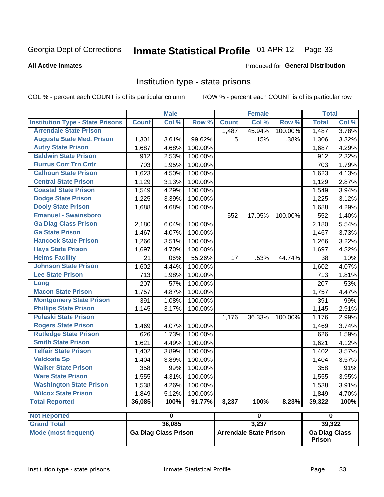## Inmate Statistical Profile 01-APR-12 Page 33

### **All Active Inmates**

### Produced for General Distribution

## Institution type - state prisons

COL % - percent each COUNT is of its particular column

|                                         |              | <b>Male</b>             |         |              | <b>Female</b> |         | <b>Total</b> |       |
|-----------------------------------------|--------------|-------------------------|---------|--------------|---------------|---------|--------------|-------|
| <b>Institution Type - State Prisons</b> | <b>Count</b> | Col %                   | Row %   | <b>Count</b> | Col %         | Row %   | <b>Total</b> | Col % |
| <b>Arrendale State Prison</b>           |              |                         |         | 1,487        | 45.94%        | 100.00% | 1,487        | 3.78% |
| <b>Augusta State Med. Prison</b>        | 1,301        | 3.61%                   | 99.62%  | 5            | .15%          | .38%    | 1,306        | 3.32% |
| <b>Autry State Prison</b>               | 1,687        | 4.68%                   | 100.00% |              |               |         | 1,687        | 4.29% |
| <b>Baldwin State Prison</b>             | 912          | 2.53%                   | 100.00% |              |               |         | 912          | 2.32% |
| <b>Burrus Corr Trn Cntr</b>             | 703          | 1.95%                   | 100.00% |              |               |         | 703          | 1.79% |
| <b>Calhoun State Prison</b>             | 1,623        | 4.50%                   | 100.00% |              |               |         | 1,623        | 4.13% |
| <b>Central State Prison</b>             | 1,129        | 3.13%                   | 100.00% |              |               |         | 1,129        | 2.87% |
| <b>Coastal State Prison</b>             | 1,549        | 4.29%                   | 100.00% |              |               |         | 1,549        | 3.94% |
| <b>Dodge State Prison</b>               | 1,225        | 3.39%                   | 100.00% |              |               |         | 1,225        | 3.12% |
| <b>Dooly State Prison</b>               | 1,688        | 4.68%                   | 100.00% |              |               |         | 1,688        | 4.29% |
| <b>Emanuel - Swainsboro</b>             |              |                         |         | 552          | 17.05%        | 100.00% | 552          | 1.40% |
| <b>Ga Diag Class Prison</b>             | 2,180        | 6.04%                   | 100.00% |              |               |         | 2,180        | 5.54% |
| <b>Ga State Prison</b>                  | 1,467        | 4.07%                   | 100.00% |              |               |         | 1,467        | 3.73% |
| <b>Hancock State Prison</b>             | 1,266        | 3.51%                   | 100.00% |              |               |         | 1,266        | 3.22% |
| <b>Hays State Prison</b>                | 1,697        | 4.70%                   | 100.00% |              |               |         | 1,697        | 4.32% |
| <b>Helms Facility</b>                   | 21           | .06%                    | 55.26%  | 17           | .53%          | 44.74%  | 38           | .10%  |
| <b>Johnson State Prison</b>             | 1,602        | 4.44%                   | 100.00% |              |               |         | 1,602        | 4.07% |
| <b>Lee State Prison</b>                 | 713          | 1.98%                   | 100.00% |              |               |         | 713          | 1.81% |
| Long                                    | 207          | .57%                    | 100.00% |              |               |         | 207          | .53%  |
| <b>Macon State Prison</b>               | 1,757        | 4.87%                   | 100.00% |              |               |         | 1,757        | 4.47% |
| <b>Montgomery State Prison</b>          | 391          | 1.08%                   | 100.00% |              |               |         | 391          | .99%  |
| <b>Phillips State Prison</b>            | 1,145        | 3.17%                   | 100.00% |              |               |         | 1,145        | 2.91% |
| <b>Pulaski State Prison</b>             |              |                         |         | 1,176        | 36.33%        | 100.00% | 1,176        | 2.99% |
| <b>Rogers State Prison</b>              | 1,469        | 4.07%                   | 100.00% |              |               |         | 1,469        | 3.74% |
| <b>Rutledge State Prison</b>            | 626          | 1.73%                   | 100.00% |              |               |         | 626          | 1.59% |
| <b>Smith State Prison</b>               | 1,621        | 4.49%                   | 100.00% |              |               |         | 1,621        | 4.12% |
| <b>Telfair State Prison</b>             | 1,402        | 3.89%                   | 100.00% |              |               |         | 1,402        | 3.57% |
| <b>Valdosta Sp</b>                      | 1,404        | 3.89%                   | 100.00% |              |               |         | 1,404        | 3.57% |
| <b>Walker State Prison</b>              | 358          | .99%                    | 100.00% |              |               |         | 358          | .91%  |
| <b>Ware State Prison</b>                | 1,555        | 4.31%                   | 100.00% |              |               |         | 1,555        | 3.95% |
| <b>Washington State Prison</b>          | 1,538        | 4.26%                   | 100.00% |              |               |         | 1,538        | 3.91% |
| <b>Wilcox State Prison</b>              | 1,849        | 5.12%                   | 100.00% |              |               |         | 1,849        | 4.70% |
| <b>Total Reported</b>                   | 36,085       | 100%                    | 91.77%  | 3,237        | 100%          | 8.23%   | 39,322       | 100%  |
| <b>Not Reported</b>                     |              | $\overline{\mathbf{0}}$ |         |              | $\mathbf 0$   |         | $\pmb{0}$    |       |
| <b>Grand Total</b>                      |              | 36,085                  |         |              | 3,237         |         | 39,322       |       |
|                                         |              |                         |         |              |               |         |              |       |

| <b>Not Reported</b>  |                             |                        |                                       |
|----------------------|-----------------------------|------------------------|---------------------------------------|
| <b>Grand Total</b>   | 36,085                      | 3.237                  | 39.322                                |
| Mode (most frequent) | <b>Ga Diag Class Prison</b> | Arrendale State Prison | <b>Ga Diag Class</b><br><b>Prison</b> |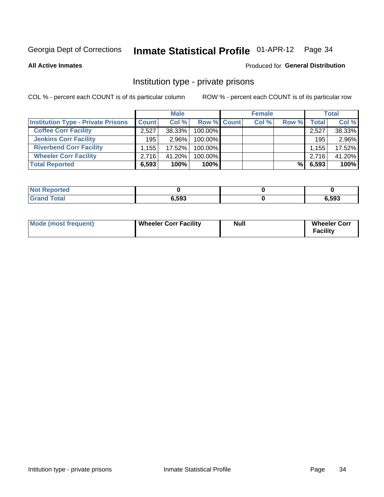## Inmate Statistical Profile 01-APR-12 Page 34

**All Active Inmates** 

## **Produced for General Distribution**

## Institution type - private prisons

COL % - percent each COUNT is of its particular column

|                                           |              | <b>Male</b> |                    | <b>Female</b> |       |       | <b>Total</b> |
|-------------------------------------------|--------------|-------------|--------------------|---------------|-------|-------|--------------|
| <b>Institution Type - Private Prisons</b> | <b>Count</b> | Col%        | <b>Row % Count</b> | Col %         | Row % | Total | Col %        |
| <b>Coffee Corr Facility</b>               | 2,527        | 38.33%      | 100.00%            |               |       | 2,527 | 38.33%       |
| <b>Jenkins Corr Facility</b>              | 195          | $2.96\%$    | $100.00\%$         |               |       | 195   | 2.96%        |
| <b>Riverbend Corr Facility</b>            | .155         | 17.52%      | 100.00%            |               |       | 1,155 | 17.52%       |
| <b>Wheeler Corr Facility</b>              | 2.716        | 41.20%      | 100.00%            |               |       | 2,716 | 41.20%       |
| <b>Total Reported</b>                     | 6,593        | 100%        | 100%               |               | %     | 6,593 | 100%         |

| κeportea    |       |       |
|-------------|-------|-------|
| <b>otal</b> | 6,593 | 6,593 |

| <b>Mode (most frequent)</b> | <b>Wheeler Corr Facility</b> | Null | <b>Wheeler Corr</b><br>Facility |
|-----------------------------|------------------------------|------|---------------------------------|
|-----------------------------|------------------------------|------|---------------------------------|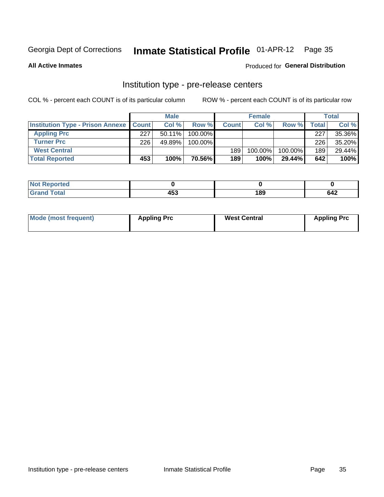## Inmate Statistical Profile 01-APR-12 Page 35

**All Active Inmates** 

Produced for General Distribution

## Institution type - pre-release centers

COL % - percent each COUNT is of its particular column

|                                                   |     | <b>Male</b> |         |              | <b>Female</b> |           |       | <b>Total</b> |
|---------------------------------------------------|-----|-------------|---------|--------------|---------------|-----------|-------|--------------|
| <b>Institution Type - Prison Annexe   Count  </b> |     | Col %       | Row %   | <b>Count</b> | Col %         | Row %     | Total | Col %        |
| <b>Appling Prc</b>                                | 227 | $50.11\%$   | 100.00% |              |               |           | 227   | 35.36%       |
| <b>Turner Prc</b>                                 | 226 | 49.89%      | 100.00% |              |               |           | 226   | 35.20%       |
| <b>West Central</b>                               |     |             |         | 189          | 100.00%       | 100.00%   | 189   | 29.44%       |
| <b>Total Reported</b>                             | 453 | 100%        | 70.56%  | 189          | 100%          | $29.44\%$ | 642   | 100%         |

|   | $\mathbf{A}$ | $\sim$ |     |
|---|--------------|--------|-----|
| - | . .          | . .    | 64∠ |

| Mode (most frequent) | <b>Appling Prc</b> | <b>West Central</b> | <b>Appling Prc</b> |
|----------------------|--------------------|---------------------|--------------------|
|----------------------|--------------------|---------------------|--------------------|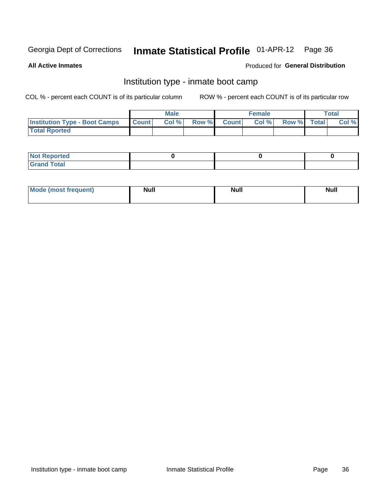## Inmate Statistical Profile 01-APR-12 Page 36

**All Active Inmates** 

## Produced for General Distribution

## Institution type - inmate boot camp

COL % - percent each COUNT is of its particular column

|                                      |                  | <b>Male</b> |              |              | <b>Female</b> |             | <b>Total</b> |
|--------------------------------------|------------------|-------------|--------------|--------------|---------------|-------------|--------------|
| <b>Institution Type - Boot Camps</b> | <b>I</b> Count I | Col %       | <b>Row %</b> | <b>Count</b> | Col %         | Row % Total | Col %        |
| <b>Total Rported</b>                 |                  |             |              |              |               |             |              |

| <b>Not Reported</b>            |  |  |
|--------------------------------|--|--|
| <b>Total</b><br>C <sub>r</sub> |  |  |

| <b>I Mode (most frequent)</b> | <b>Null</b> | <b>Null</b> | <b>Null</b> |
|-------------------------------|-------------|-------------|-------------|
|                               |             |             |             |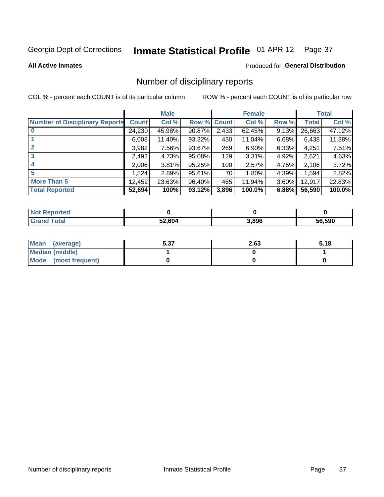## Inmate Statistical Profile 01-APR-12 Page 37

**All Active Inmates** 

### Produced for General Distribution

## Number of disciplinary reports

COL % - percent each COUNT is of its particular column

|                                       |              | <b>Male</b> |                    |       | <b>Female</b> |       |              | <b>Total</b> |
|---------------------------------------|--------------|-------------|--------------------|-------|---------------|-------|--------------|--------------|
| <b>Number of Disciplinary Reports</b> | <b>Count</b> | Col %       | <b>Row % Count</b> |       | Col %         | Row % | <b>Total</b> | Col %        |
|                                       | 24,230       | 45.98%      | $90.87\%$          | 2,433 | 62.45%        | 9.13% | 26,663       | 47.12%       |
|                                       | 6,008        | 11.40%      | 93.32%             | 430   | 11.04%        | 6.68% | 6,438        | 11.38%       |
|                                       | 3,982        | 7.56%       | 93.67%             | 269   | 6.90%         | 6.33% | 4,251        | 7.51%        |
| 3                                     | 2,492        | 4.73%       | 95.08%             | 129   | 3.31%         | 4.92% | 2,621        | 4.63%        |
|                                       | 2,006        | 3.81%       | 95.25%             | 100   | 2.57%         | 4.75% | 2,106        | 3.72%        |
| 5                                     | ,524         | 2.89%       | 95.61%             | 70    | 1.80%         | 4.39% | 1,594        | 2.82%        |
| <b>More Than 5</b>                    | 12,452       | 23.63%      | 96.40%             | 465   | 11.94%        | 3.60% | 12,917       | 22.83%       |
| <b>Total Reported</b>                 | 52,694       | 100%        | 93.12%             | 3,896 | 100.0%        | 6.88% | 56,590       | 100.0%       |

| <b>Not Reported</b> |        |       |        |
|---------------------|--------|-------|--------|
| <b>Grand Total</b>  | 52,694 | 3,896 | 56.590 |

| Mean (average)         | ר ה<br>ว.งเ | 2.63 | 5.18 |
|------------------------|-------------|------|------|
| <b>Median (middle)</b> |             |      |      |
| Mode (most frequent)   |             |      |      |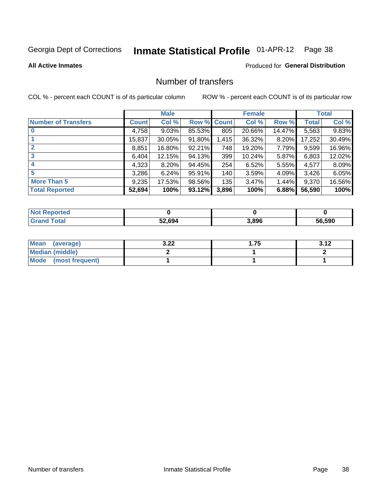## Inmate Statistical Profile 01-APR-12 Page 38

### **All Active Inmates**

## **Produced for General Distribution**

## Number of transfers

COL % - percent each COUNT is of its particular column

|                            |         | <b>Male</b> |        |              | <b>Female</b> |          |              | <b>Total</b> |
|----------------------------|---------|-------------|--------|--------------|---------------|----------|--------------|--------------|
| <b>Number of Transfers</b> | Count l | Col %       | Row %  | <b>Count</b> | Col %         | Row %    | <b>Total</b> | Col %        |
|                            | 4,758   | 9.03%       | 85.53% | 805          | 20.66%        | 14.47%   | 5,563        | 9.83%        |
|                            | 15,837  | 30.05%      | 91.80% | 1,415        | 36.32%        | 8.20%    | 17,252       | 30.49%       |
| $\mathbf{2}$               | 8,851   | 16.80%      | 92.21% | 748          | 19.20%        | 7.79%    | 9,599        | 16.96%       |
| 3                          | 6,404   | 12.15%      | 94.13% | 399          | 10.24%        | 5.87%    | 6,803        | 12.02%       |
| 4                          | 4,323   | $8.20\%$    | 94.45% | 254          | 6.52%         | 5.55%    | 4,577        | 8.09%        |
| 5                          | 3,286   | 6.24%       | 95.91% | 140          | 3.59%         | 4.09%    | 3,426        | 6.05%        |
| <b>More Than 5</b>         | 9,235   | 17.53%      | 98.56% | 135          | 3.47%         | $1.44\%$ | 9,370        | 16.56%       |
| <b>Total Reported</b>      | 52,694  | 100%        | 93.12% | 3,896        | 100%          | 6.88%    | 56,590       | 100%         |

| orted<br>Not <b>I</b> |        |       |        |
|-----------------------|--------|-------|--------|
| <b>Total</b>          | 52.694 | 3,896 | 56.590 |

| Mean (average)       | הה ב<br>J.LL | . J. I 4 |
|----------------------|--------------|----------|
| Median (middle)      |              |          |
| Mode (most frequent) |              |          |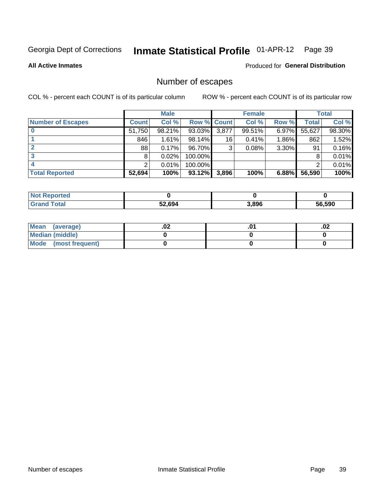# Inmate Statistical Profile 01-APR-12 Page 39

### **All Active Inmates**

### **Produced for General Distribution**

# Number of escapes

COL % - percent each COUNT is of its particular column

|                          |              | <b>Male</b> |                    |       | <b>Female</b> |          |        | <b>Total</b> |
|--------------------------|--------------|-------------|--------------------|-------|---------------|----------|--------|--------------|
| <b>Number of Escapes</b> | <b>Count</b> | Col %       | <b>Row % Count</b> |       | Col %         | Row %    | Total  | Col %        |
|                          | 51,750       | 98.21%      | 93.03%             | 3,877 | 99.51%        | 6.97%    | 55,627 | 98.30%       |
|                          | 846          | 1.61%       | 98.14%             | 16    | 0.41%         | $1.86\%$ | 862    | 1.52%        |
|                          | 88           | 0.17%       | 96.70%             | 3     | 0.08%         | 3.30%    | 91     | 0.16%        |
|                          | 8            | 0.02%       | 100.00%            |       |               |          | 8      | 0.01%        |
|                          | ົ            | 0.01%       | 100.00%            |       |               |          | ◠      | 0.01%        |
| <b>Total Reported</b>    | 52,694       | 100%        | 93.12%             | 3,896 | 100%          | 6.88%    | 56,590 | 100%         |

| 'ted |        |       |                   |
|------|--------|-------|-------------------|
|      | 52.694 | 3.896 | 56.590<br>.<br>Dh |

| Mean (average)       | .vz | .02 |
|----------------------|-----|-----|
| Median (middle)      |     |     |
| Mode (most frequent) |     |     |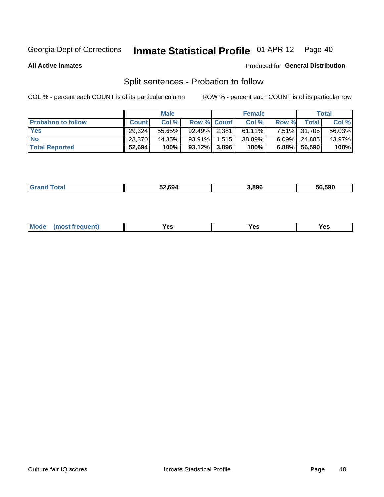#### **Inmate Statistical Profile 01-APR-12** Page 40

**All Active Inmates** 

### Produced for General Distribution

# Split sentences - Probation to follow

COL % - percent each COUNT is of its particular column

|                            |              | <b>Male</b> |                    | <b>Female</b> |          |                 | <b>Total</b> |
|----------------------------|--------------|-------------|--------------------|---------------|----------|-----------------|--------------|
| <b>Probation to follow</b> | <b>Count</b> | Col%        | <b>Row % Count</b> | Col %         | Row %    | <b>Total</b>    | Col %        |
| <b>Yes</b>                 | 29.324       | 55.65%      | 92.49% 2.381       | $61.11\%$     |          | 7.51% 31,705    | 56.03%       |
| <b>No</b>                  | 23.370       | 44.35%      | $93.91\%$   1,515  | 38.89%        |          | $6.09\%$ 24,885 | 43.97%       |
| <b>Total Reported</b>      | 52,694       | 100%        | $93.12\%$ 3,896    | 100%          | $6.88\%$ | 56,590          | 100%         |

|  |  | 52.694 | 3,896 | 56.590 |
|--|--|--------|-------|--------|
|--|--|--------|-------|--------|

| reauent)<br>Yes<br>v^c<br>0٥<br>.<br>. .<br>$\sim$ |  | <b>Mode</b> |  |  |  |
|----------------------------------------------------|--|-------------|--|--|--|
|----------------------------------------------------|--|-------------|--|--|--|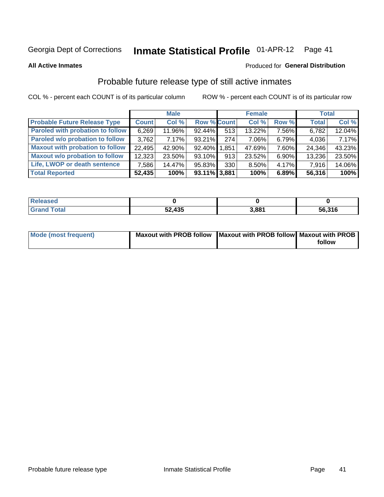#### **Inmate Statistical Profile 01-APR-12** Page 41

**All Active Inmates** 

### **Produced for General Distribution**

# Probable future release type of still active inmates

COL % - percent each COUNT is of its particular column

|                                         |              | <b>Male</b> |                    |     | <b>Female</b> |          | <b>Total</b> |        |
|-----------------------------------------|--------------|-------------|--------------------|-----|---------------|----------|--------------|--------|
| <b>Probable Future Release Type</b>     | <b>Count</b> | Col%        | <b>Row % Count</b> |     | Col %         | Row %    | <b>Total</b> | Col %  |
| <b>Paroled with probation to follow</b> | 6,269        | 11.96%      | 92.44%             | 513 | 13.22%        | 7.56%    | 6,782        | 12.04% |
| Paroled w/o probation to follow         | 3.762        | 7.17%       | $93.21\%$          | 274 | 7.06%         | 6.79%    | 4,036        | 7.17%  |
| <b>Maxout with probation to follow</b>  | 22,495       | 42.90%      | 92.40% 1.851       |     | 47.69%        | 7.60%    | 24,346       | 43.23% |
| <b>Maxout w/o probation to follow</b>   | 12,323       | 23.50%      | 93.10%             | 913 | 23.52%        | $6.90\%$ | 13,236       | 23.50% |
| Life, LWOP or death sentence            | 7,586        | 14.47%      | 95.83%             | 330 | 8.50%         | $4.17\%$ | 7,916        | 14.06% |
| <b>Total Reported</b>                   | 52,435       | 100%        | 93.11% 3,881       |     | 100%          | 6.89%    | 56,316       | 100%   |

| eleased     |        |       |        |
|-------------|--------|-------|--------|
| <b>otal</b> | 52,435 | 3.881 | 56,316 |

| <b>Mode (most frequent)</b> | Maxout with PROB follow   Maxout with PROB follow   Maxout with PROB |        |
|-----------------------------|----------------------------------------------------------------------|--------|
|                             |                                                                      | follow |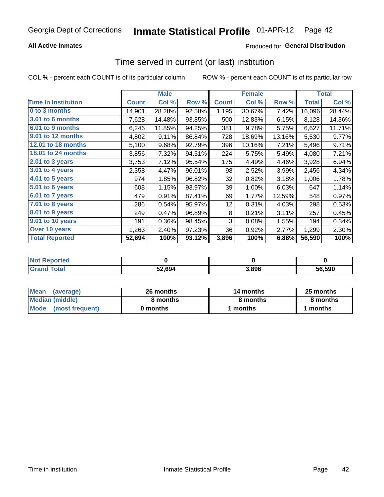### **All Active Inmates**

### **Produced for General Distribution**

# Time served in current (or last) institution

COL % - percent each COUNT is of its particular column

|                            |              | <b>Male</b> |        |              | <b>Female</b> |        |              | <b>Total</b> |
|----------------------------|--------------|-------------|--------|--------------|---------------|--------|--------------|--------------|
| <b>Time In Institution</b> | <b>Count</b> | Col %       | Row %  | <b>Count</b> | Col %         | Row %  | <b>Total</b> | Col $%$      |
| 0 to 3 months              | 14,901       | 28.28%      | 92.58% | 1,195        | 30.67%        | 7.42%  | 16,096       | 28.44%       |
| <b>3.01 to 6 months</b>    | 7,628        | 14.48%      | 93.85% | 500          | 12.83%        | 6.15%  | 8,128        | 14.36%       |
| 6.01 to 9 months           | 6,246        | 11.85%      | 94.25% | 381          | 9.78%         | 5.75%  | 6,627        | 11.71%       |
| 9.01 to 12 months          | 4,802        | 9.11%       | 86.84% | 728          | 18.69%        | 13.16% | 5,530        | 9.77%        |
| <b>12.01 to 18 months</b>  | 5,100        | 9.68%       | 92.79% | 396          | 10.16%        | 7.21%  | 5,496        | 9.71%        |
| <b>18.01 to 24 months</b>  | 3,856        | 7.32%       | 94.51% | 224          | 5.75%         | 5.49%  | 4,080        | 7.21%        |
| $2.01$ to 3 years          | 3,753        | 7.12%       | 95.54% | 175          | 4.49%         | 4.46%  | 3,928        | 6.94%        |
| $3.01$ to 4 years          | 2,358        | 4.47%       | 96.01% | 98           | 2.52%         | 3.99%  | 2,456        | 4.34%        |
| 4.01 to 5 years            | 974          | 1.85%       | 96.82% | 32           | 0.82%         | 3.18%  | 1,006        | 1.78%        |
| 5.01 to 6 years            | 608          | 1.15%       | 93.97% | 39           | 1.00%         | 6.03%  | 647          | 1.14%        |
| $6.01$ to 7 years          | 479          | 0.91%       | 87.41% | 69           | 1.77%         | 12.59% | 548          | 0.97%        |
| $7.01$ to 8 years          | 286          | 0.54%       | 95.97% | 12           | 0.31%         | 4.03%  | 298          | 0.53%        |
| $8.01$ to 9 years          | 249          | 0.47%       | 96.89% | 8            | 0.21%         | 3.11%  | 257          | 0.45%        |
| 9.01 to 10 years           | 191          | 0.36%       | 98.45% | 3            | 0.08%         | 1.55%  | 194          | 0.34%        |
| Over 10 years              | 1,263        | 2.40%       | 97.23% | 36           | 0.92%         | 2.77%  | 1,299        | 2.30%        |
| <b>Total Reported</b>      | 52,694       | 100%        | 93.12% | 3,896        | 100%          | 6.88%  | 56,590       | 100%         |

| rreo<br>I NOT |        |      |        |
|---------------|--------|------|--------|
|               | 52,694 | .896 | 56.590 |

| <b>Mean</b><br>(average) | 26 months | 14 months | 25 months |
|--------------------------|-----------|-----------|-----------|
| Median (middle)          | 8 months  | 8 months  | 8 months  |
| Mode (most frequent)     | 0 months  | months    | l months  |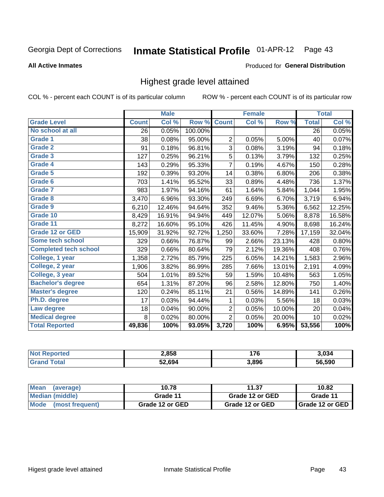#### Inmate Statistical Profile 01-APR-12 Page 43

### **All Active Inmates**

### Produced for General Distribution

# Highest grade level attained

COL % - percent each COUNT is of its particular column

|                              |              | <b>Male</b> |         |                | <b>Female</b> |        |              | <b>Total</b> |
|------------------------------|--------------|-------------|---------|----------------|---------------|--------|--------------|--------------|
| <b>Grade Level</b>           | <b>Count</b> | Col %       | Row %   | <b>Count</b>   | Col %         | Row %  | <b>Total</b> | Col %        |
| No school at all             | 26           | 0.05%       | 100.00% |                |               |        | 26           | 0.05%        |
| Grade 1                      | 38           | 0.08%       | 95.00%  | $\overline{2}$ | 0.05%         | 5.00%  | 40           | 0.07%        |
| Grade 2                      | 91           | 0.18%       | 96.81%  | 3              | 0.08%         | 3.19%  | 94           | 0.18%        |
| Grade 3                      | 127          | 0.25%       | 96.21%  | 5              | 0.13%         | 3.79%  | 132          | 0.25%        |
| Grade 4                      | 143          | 0.29%       | 95.33%  | $\overline{7}$ | 0.19%         | 4.67%  | 150          | 0.28%        |
| <b>Grade 5</b>               | 192          | 0.39%       | 93.20%  | 14             | 0.38%         | 6.80%  | 206          | 0.38%        |
| Grade 6                      | 703          | 1.41%       | 95.52%  | 33             | 0.89%         | 4.48%  | 736          | 1.37%        |
| <b>Grade 7</b>               | 983          | 1.97%       | 94.16%  | 61             | 1.64%         | 5.84%  | 1,044        | 1.95%        |
| Grade 8                      | 3,470        | 6.96%       | 93.30%  | 249            | 6.69%         | 6.70%  | 3,719        | 6.94%        |
| <b>Grade 9</b>               | 6,210        | 12.46%      | 94.64%  | 352            | 9.46%         | 5.36%  | 6,562        | 12.25%       |
| Grade 10                     | 8,429        | 16.91%      | 94.94%  | 449            | 12.07%        | 5.06%  | 8,878        | 16.58%       |
| Grade 11                     | 8,272        | 16.60%      | 95.10%  | 426            | 11.45%        | 4.90%  | 8,698        | 16.24%       |
| <b>Grade 12 or GED</b>       | 15,909       | 31.92%      | 92.72%  | 1,250          | 33.60%        | 7.28%  | 17,159       | 32.04%       |
| <b>Some tech school</b>      | 329          | 0.66%       | 76.87%  | 99             | 2.66%         | 23.13% | 428          | 0.80%        |
| <b>Completed tech school</b> | 329          | 0.66%       | 80.64%  | 79             | 2.12%         | 19.36% | 408          | 0.76%        |
| College, 1 year              | 1,358        | 2.72%       | 85.79%  | 225            | 6.05%         | 14.21% | 1,583        | 2.96%        |
| College, 2 year              | 1,906        | 3.82%       | 86.99%  | 285            | 7.66%         | 13.01% | 2,191        | 4.09%        |
| College, 3 year              | 504          | 1.01%       | 89.52%  | 59             | 1.59%         | 10.48% | 563          | 1.05%        |
| <b>Bachelor's degree</b>     | 654          | 1.31%       | 87.20%  | 96             | 2.58%         | 12.80% | 750          | 1.40%        |
| <b>Master's degree</b>       | 120          | 0.24%       | 85.11%  | 21             | 0.56%         | 14.89% | 141          | 0.26%        |
| Ph.D. degree                 | 17           | 0.03%       | 94.44%  | 1              | 0.03%         | 5.56%  | 18           | 0.03%        |
| Law degree                   | 18           | 0.04%       | 90.00%  | 2              | 0.05%         | 10.00% | 20           | 0.04%        |
| <b>Medical degree</b>        | 8            | 0.02%       | 80.00%  | $\overline{2}$ | 0.05%         | 20.00% | 10           | 0.02%        |
| <b>Total Reported</b>        | 49,836       | 100%        | 93.05%  | 3,720          | 100%          | 6.95%  | 53,556       | 100%         |

| <b>Not Reported</b>   | 2,858  | יי    | 3,034  |
|-----------------------|--------|-------|--------|
| <b>Grand</b><br>⊺otal | 52.694 | 3.896 | 56.590 |

| <b>Mean</b><br>(average)       | 10.78           | 11.37           | 10.82             |
|--------------------------------|-----------------|-----------------|-------------------|
| Median (middle)                | Grade 11        | Grade 12 or GED | Grade 11          |
| <b>Mode</b><br>(most frequent) | Grade 12 or GED | Grade 12 or GED | I Grade 12 or GED |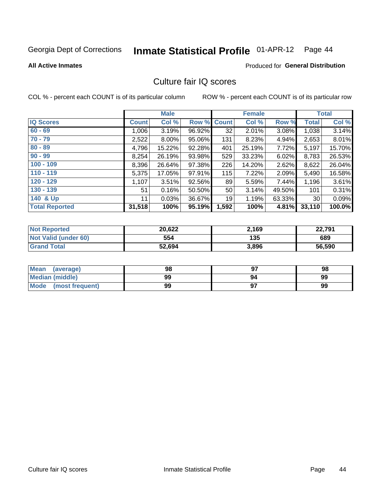# Inmate Statistical Profile 01-APR-12 Page 44

### **All Active Inmates**

# **Produced for General Distribution**

# Culture fair IQ scores

COL % - percent each COUNT is of its particular column

|                       |              | <b>Male</b> |        |              | <b>Female</b> |          |              | <b>Total</b> |
|-----------------------|--------------|-------------|--------|--------------|---------------|----------|--------------|--------------|
| <b>IQ Scores</b>      | <b>Count</b> | Col %       | Row %  | <b>Count</b> | Col %         | Row %    | <b>Total</b> | Col %        |
| $60 - 69$             | 1,006        | 3.19%       | 96.92% | 32           | 2.01%         | $3.08\%$ | 1,038        | 3.14%        |
| $70 - 79$             | 2,522        | $8.00\%$    | 95.06% | 131          | 8.23%         | 4.94%    | 2,653        | 8.01%        |
| $80 - 89$             | 4,796        | 15.22%      | 92.28% | 401          | 25.19%        | 7.72%    | 5,197        | 15.70%       |
| $90 - 99$             | 8,254        | 26.19%      | 93.98% | 529          | 33.23%        | 6.02%    | 8,783        | 26.53%       |
| $100 - 109$           | 8,396        | 26.64%      | 97.38% | 226          | 14.20%        | 2.62%    | 8,622        | 26.04%       |
| $110 - 119$           | 5,375        | 17.05%      | 97.91% | 115          | 7.22%         | 2.09%    | 5,490        | 16.58%       |
| $120 - 129$           | 1,107        | 3.51%       | 92.56% | 89           | 5.59%         | 7.44%    | 1,196        | 3.61%        |
| $130 - 139$           | 51           | 0.16%       | 50.50% | 50           | 3.14%         | 49.50%   | 101          | 0.31%        |
| 140 & Up              | 11           | 0.03%       | 36.67% | 19           | 1.19%         | 63.33%   | 30           | 0.09%        |
| <b>Total Reported</b> | 31,518       | 100%        | 95.19% | 1,592        | 100%          | 4.81%    | 33,110       | 100.0%       |

| <b>Not Reported</b>         | 20,622 | 2,169 | 22,791 |
|-----------------------------|--------|-------|--------|
| <b>Not Valid (under 60)</b> | 554    | 135   | 689    |
| <b>Grand Total</b>          | 52,694 | 3,896 | 56,590 |

| Mean<br>(average)       | 98 |    | 98 |
|-------------------------|----|----|----|
| Median (middle)         | 99 | 94 | 99 |
| Mode<br>(most frequent) | 99 |    | 99 |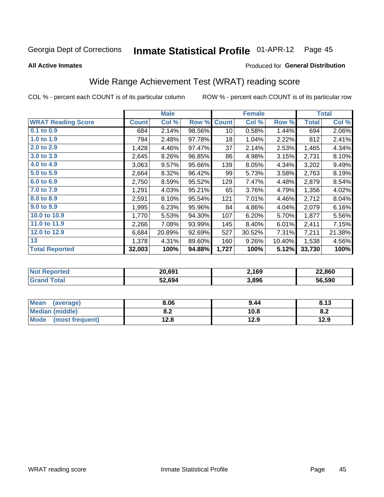#### **Inmate Statistical Profile 01-APR-12** Page 45

**All Active Inmates** 

### Produced for General Distribution

# Wide Range Achievement Test (WRAT) reading score

COL % - percent each COUNT is of its particular column

|                           |              | <b>Male</b> |        |              | <b>Female</b> |        |              | <b>Total</b> |
|---------------------------|--------------|-------------|--------|--------------|---------------|--------|--------------|--------------|
| <b>WRAT Reading Score</b> | <b>Count</b> | Col %       | Row %  | <b>Count</b> | Col %         | Row %  | <b>Total</b> | Col %        |
| 0.1 to 0.9                | 684          | 2.14%       | 98.56% | 10           | 0.58%         | 1.44%  | 694          | 2.06%        |
| 1.0 to 1.9                | 794          | 2.48%       | 97.78% | 18           | 1.04%         | 2.22%  | 812          | 2.41%        |
| 2.0 to 2.9                | 1,428        | 4.46%       | 97.47% | 37           | 2.14%         | 2.53%  | 1,465        | 4.34%        |
| 3.0 to 3.9                | 2,645        | 8.26%       | 96.85% | 86           | 4.98%         | 3.15%  | 2,731        | 8.10%        |
| 4.0 to 4.9                | 3,063        | 9.57%       | 95.66% | 139          | 8.05%         | 4.34%  | 3,202        | 9.49%        |
| 5.0 to 5.9                | 2,664        | 8.32%       | 96.42% | 99           | 5.73%         | 3.58%  | 2,763        | 8.19%        |
| 6.0 to 6.9                | 2,750        | 8.59%       | 95.52% | 129          | 7.47%         | 4.48%  | 2,879        | 8.54%        |
| 7.0 to 7.9                | 1,291        | 4.03%       | 95.21% | 65           | 3.76%         | 4.79%  | 1,356        | 4.02%        |
| 8.0 to 8.9                | 2,591        | 8.10%       | 95.54% | 121          | 7.01%         | 4.46%  | 2,712        | 8.04%        |
| 9.0 to 9.9                | 1,995        | 6.23%       | 95.96% | 84           | 4.86%         | 4.04%  | 2,079        | 6.16%        |
| 10.0 to 10.9              | 1,770        | 5.53%       | 94.30% | 107          | 6.20%         | 5.70%  | 1,877        | 5.56%        |
| 11.0 to 11.9              | 2,266        | 7.08%       | 93.99% | 145          | 8.40%         | 6.01%  | 2,411        | 7.15%        |
| 12.0 to 12.9              | 6,684        | 20.89%      | 92.69% | 527          | 30.52%        | 7.31%  | 7,211        | 21.38%       |
| 13                        | 1,378        | 4.31%       | 89.60% | 160          | 9.26%         | 10.40% | 1,538        | 4.56%        |
| <b>Total Reported</b>     | 32,003       | 100%        | 94.88% | 1,727        | 100%          | 5.12%  | 33,730       | 100%         |

| Reported<br>' NOT L | 20,691 | 2,169 | 22,860 |
|---------------------|--------|-------|--------|
| $T$ otol            | 52,694 | 3,896 | 56.590 |

| Mean<br>(average)       | 8.06         | 9.44 | 8.13 |
|-------------------------|--------------|------|------|
| Median (middle)         | י ה<br>O.A   | 10.8 | o.z  |
| Mode<br>(most frequent) | 19 Q<br>14.O | 12.9 | 12.9 |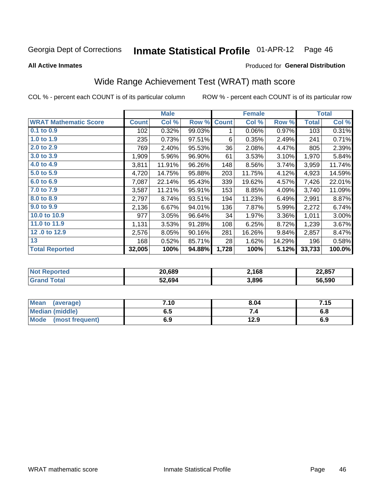#### **Inmate Statistical Profile 01-APR-12** Page 46

Produced for General Distribution

### **All Active Inmates**

# Wide Range Achievement Test (WRAT) math score

COL % - percent each COUNT is of its particular column

|                              |              | <b>Male</b> |        |              | <b>Female</b> |        |              | <b>Total</b> |
|------------------------------|--------------|-------------|--------|--------------|---------------|--------|--------------|--------------|
| <b>WRAT Mathematic Score</b> | <b>Count</b> | Col %       | Row %  | <b>Count</b> | Col %         | Row %  | <b>Total</b> | Col %        |
| 0.1 to 0.9                   | 102          | 0.32%       | 99.03% | 1            | 0.06%         | 0.97%  | 103          | 0.31%        |
| 1.0 to 1.9                   | 235          | 0.73%       | 97.51% | 6            | 0.35%         | 2.49%  | 241          | 0.71%        |
| 2.0 to 2.9                   | 769          | 2.40%       | 95.53% | 36           | 2.08%         | 4.47%  | 805          | 2.39%        |
| 3.0 to 3.9                   | 1,909        | 5.96%       | 96.90% | 61           | 3.53%         | 3.10%  | 1,970        | 5.84%        |
| 4.0 to 4.9                   | 3,811        | 11.91%      | 96.26% | 148          | 8.56%         | 3.74%  | 3,959        | 11.74%       |
| 5.0 to 5.9                   | 4,720        | 14.75%      | 95.88% | 203          | 11.75%        | 4.12%  | 4,923        | 14.59%       |
| 6.0 to 6.9                   | 7,087        | 22.14%      | 95.43% | 339          | 19.62%        | 4.57%  | 7,426        | 22.01%       |
| 7.0 to 7.9                   | 3,587        | 11.21%      | 95.91% | 153          | 8.85%         | 4.09%  | 3,740        | 11.09%       |
| 8.0 to 8.9                   | 2,797        | 8.74%       | 93.51% | 194          | 11.23%        | 6.49%  | 2,991        | 8.87%        |
| 9.0 to 9.9                   | 2,136        | 6.67%       | 94.01% | 136          | 7.87%         | 5.99%  | 2,272        | 6.74%        |
| 10.0 to 10.9                 | 977          | 3.05%       | 96.64% | 34           | 1.97%         | 3.36%  | 1,011        | 3.00%        |
| 11.0 to 11.9                 | 1,131        | 3.53%       | 91.28% | 108          | 6.25%         | 8.72%  | 1,239        | 3.67%        |
| 12.0 to 12.9                 | 2,576        | 8.05%       | 90.16% | 281          | 16.26%        | 9.84%  | 2,857        | 8.47%        |
| 13                           | 168          | 0.52%       | 85.71% | 28           | 1.62%         | 14.29% | 196          | 0.58%        |
| <b>Total Reported</b>        | 32,005       | 100%        | 94.88% | 1,728        | 100%          | 5.12%  | 33,733       | 100.0%       |

| <b>Not Reported</b> | 20,689 | 2,168 | 22,857 |
|---------------------|--------|-------|--------|
| Total<br>' Grand    | 52,694 | 3,896 | 56,590 |

| Mean<br>(average)              | 7.10 | 8.04 | 7.15 |
|--------------------------------|------|------|------|
| <b>Median (middle)</b>         | כ.ס  |      | o.o  |
| <b>Mode</b><br>(most frequent) | 6.9  | 12.9 | 6.9  |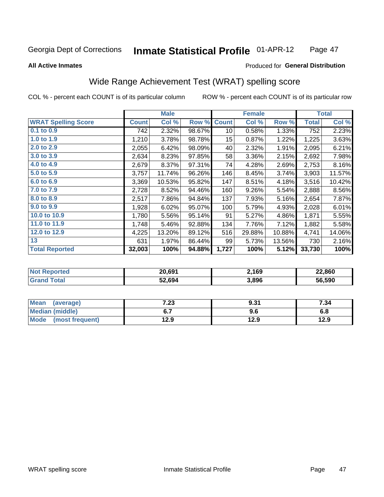#### Inmate Statistical Profile 01-APR-12 Page 47

### **All Active Inmates**

### Produced for General Distribution

# Wide Range Achievement Test (WRAT) spelling score

COL % - percent each COUNT is of its particular column

|                            |              | <b>Male</b> |        |              | <b>Female</b> |        |              | <b>Total</b> |
|----------------------------|--------------|-------------|--------|--------------|---------------|--------|--------------|--------------|
| <b>WRAT Spelling Score</b> | <b>Count</b> | Col %       | Row %  | <b>Count</b> | Col %         | Row %  | <b>Total</b> | Col %        |
| 0.1 to 0.9                 | 742          | 2.32%       | 98.67% | 10           | 0.58%         | 1.33%  | 752          | 2.23%        |
| 1.0 to 1.9                 | 1,210        | 3.78%       | 98.78% | 15           | 0.87%         | 1.22%  | 1,225        | 3.63%        |
| 2.0 to 2.9                 | 2,055        | 6.42%       | 98.09% | 40           | 2.32%         | 1.91%  | 2,095        | 6.21%        |
| 3.0 to 3.9                 | 2,634        | 8.23%       | 97.85% | 58           | 3.36%         | 2.15%  | 2,692        | 7.98%        |
| 4.0 to 4.9                 | 2,679        | 8.37%       | 97.31% | 74           | 4.28%         | 2.69%  | 2,753        | 8.16%        |
| 5.0 to 5.9                 | 3,757        | 11.74%      | 96.26% | 146          | 8.45%         | 3.74%  | 3,903        | 11.57%       |
| 6.0 to 6.9                 | 3,369        | 10.53%      | 95.82% | 147          | 8.51%         | 4.18%  | 3,516        | 10.42%       |
| 7.0 to 7.9                 | 2,728        | 8.52%       | 94.46% | 160          | 9.26%         | 5.54%  | 2,888        | 8.56%        |
| 8.0 to 8.9                 | 2,517        | 7.86%       | 94.84% | 137          | 7.93%         | 5.16%  | 2,654        | 7.87%        |
| 9.0 to 9.9                 | 1,928        | 6.02%       | 95.07% | 100          | 5.79%         | 4.93%  | 2,028        | 6.01%        |
| 10.0 to 10.9               | 1,780        | 5.56%       | 95.14% | 91           | 5.27%         | 4.86%  | 1,871        | 5.55%        |
| 11.0 to 11.9               | 1,748        | 5.46%       | 92.88% | 134          | 7.76%         | 7.12%  | 1,882        | 5.58%        |
| 12.0 to 12.9               | 4,225        | 13.20%      | 89.12% | 516          | 29.88%        | 10.88% | 4,741        | 14.06%       |
| 13                         | 631          | 1.97%       | 86.44% | 99           | 5.73%         | 13.56% | 730          | 2.16%        |
| <b>Total Reported</b>      | 32,003       | 100%        | 94.88% | 1,727        | 100%          | 5.12%  | 33,730       | 100%         |

| Reported<br>' NOT L | 20,691 | 2,169 | 22,860 |
|---------------------|--------|-------|--------|
| $T$ otol            | 52,694 | 3,896 | 56.590 |

| Mean<br>(average)    | 7.23 | 9.31 | 7.34 |
|----------------------|------|------|------|
| Median (middle)      |      | 9.6  | 6.8  |
| Mode (most frequent) | 12.9 | 12.9 | 12.9 |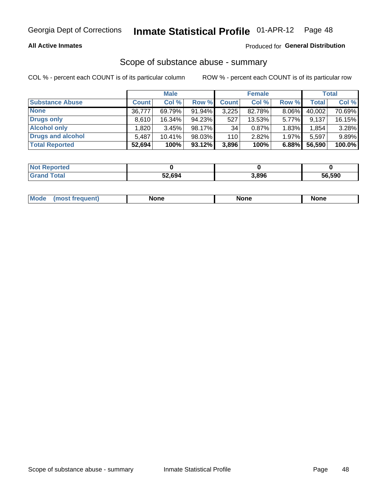### **All Active Inmates**

### Produced for General Distribution

### Scope of substance abuse - summary

COL % - percent each COUNT is of its particular column

|                        |              | <b>Male</b> |           |              | <b>Female</b> |       |              | <b>Total</b> |
|------------------------|--------------|-------------|-----------|--------------|---------------|-------|--------------|--------------|
| <b>Substance Abuse</b> | <b>Count</b> | Col %       | Row %     | <b>Count</b> | Col %         | Row % | <b>Total</b> | Col %        |
| <b>None</b>            | 36.777       | 69.79%      | 91.94%    | 3,225        | 82.78%        | 8.06% | 40,002       | 70.69%       |
| <b>Drugs only</b>      | 8,610        | 16.34%      | 94.23%    | 527          | 13.53%        | 5.77% | 9,137        | 16.15%       |
| <b>Alcohol only</b>    | .820         | 3.45%       | $98.17\%$ | 34           | 0.87%         | 1.83% | 1,854        | 3.28%        |
| Drugs and alcohol      | 5,487        | $10.41\%$   | 98.03%    | 110          | 2.82%         | 1.97% | 5,597        | 9.89%        |
| <b>Total Reported</b>  | 52,694       | 100%        | 93.12%    | 3,896        | 100%          | 6.88% | 56,590       | 100.0%       |

| <b>Not Reported</b> |        |       |        |
|---------------------|--------|-------|--------|
| <b>Grand Total</b>  | 52,694 | 3,896 | 56,590 |

| nuem | <b>Mo</b> | None | <b>None</b> | None |
|------|-----------|------|-------------|------|
|------|-----------|------|-------------|------|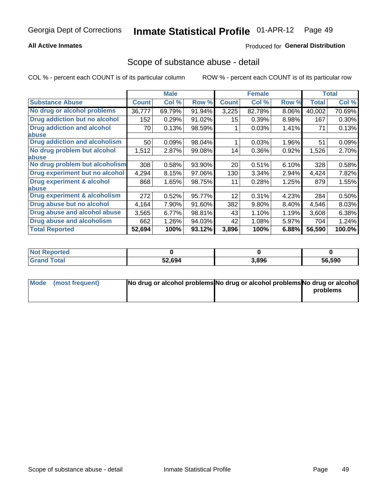### **All Active Inmates**

### **Produced for General Distribution**

### Scope of substance abuse - detail

COL % - percent each COUNT is of its particular column

|                                      |              | <b>Male</b> |        |              | <b>Female</b> |          |              | <b>Total</b> |
|--------------------------------------|--------------|-------------|--------|--------------|---------------|----------|--------------|--------------|
| <b>Substance Abuse</b>               | <b>Count</b> | Col %       | Row %  | <b>Count</b> | Col %         | Row %    | <b>Total</b> | Col %        |
| No drug or alcohol problems          | 36,777       | 69.79%      | 91.94% | 3,225        | 82.78%        | $8.06\%$ | 40,002       | 70.69%       |
| Drug addiction but no alcohol        | 152          | 0.29%       | 91.02% | 15           | 0.39%         | 8.98%    | 167          | 0.30%        |
| <b>Drug addiction and alcohol</b>    | 70           | 0.13%       | 98.59% |              | 0.03%         | 1.41%    | 71           | 0.13%        |
| <b>labuse</b>                        |              |             |        |              |               |          |              |              |
| <b>Drug addiction and alcoholism</b> | 50           | 0.09%       | 98.04% |              | 0.03%         | 1.96%    | 51           | 0.09%        |
| No drug problem but alcohol          | 1,512        | 2.87%       | 99.08% | 14           | 0.36%         | 0.92%    | 1,526        | 2.70%        |
| <b>labuse</b>                        |              |             |        |              |               |          |              |              |
| No drug problem but alcoholism       | 308          | 0.58%       | 93.90% | 20           | 0.51%         | 6.10%    | 328          | 0.58%        |
| Drug experiment but no alcohol       | 4,294        | 8.15%       | 97.06% | 130          | 3.34%         | 2.94%    | 4,424        | 7.82%        |
| <b>Drug experiment &amp; alcohol</b> | 868          | 1.65%       | 98.75% | 11           | 0.28%         | 1.25%    | 879          | 1.55%        |
| <b>labuse</b>                        |              |             |        |              |               |          |              |              |
| Drug experiment & alcoholism         | 272          | 0.52%       | 95.77% | 12           | 0.31%         | 4.23%    | 284          | 0.50%        |
| Drug abuse but no alcohol            | 4,164        | 7.90%       | 91.60% | 382          | 9.80%         | 8.40%    | 4,546        | 8.03%        |
| Drug abuse and alcohol abuse         | 3,565        | 6.77%       | 98.81% | 43           | 1.10%         | 1.19%    | 3,608        | 6.38%        |
| <b>Drug abuse and alcoholism</b>     | 662          | 1.26%       | 94.03% | 42           | 1.08%         | 5.97%    | 704          | 1.24%        |
| <b>Total Reported</b>                | 52,694       | 100%        | 93.12% | 3,896        | 100%          | 6.88%    | 56,590       | 100.0%       |

| ported<br><b>NOT</b> |        |       |        |
|----------------------|--------|-------|--------|
| <b>otal</b>          | 52,694 | 3,896 | 56,590 |

| Mode (most frequent) | No drug or alcohol problems No drug or alcohol problems No drug or alcohol |          |
|----------------------|----------------------------------------------------------------------------|----------|
|                      |                                                                            | problems |
|                      |                                                                            |          |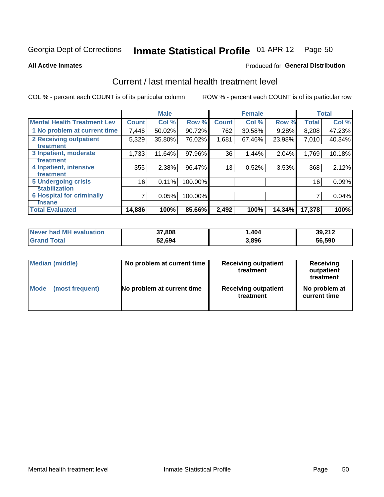# Inmate Statistical Profile 01-APR-12 Page 50

**All Active Inmates** 

### **Produced for General Distribution**

# Current / last mental health treatment level

COL % - percent each COUNT is of its particular column

|                                    |              | <b>Male</b> |         |              | <b>Female</b> |           |              | <b>Total</b> |
|------------------------------------|--------------|-------------|---------|--------------|---------------|-----------|--------------|--------------|
| <b>Mental Health Treatment Lev</b> | <b>Count</b> | Col %       | Row %   | <b>Count</b> | Col %         | Row %     | <b>Total</b> | Col %        |
| 1 No problem at current time       | 7,446        | 50.02%      | 90.72%  | 762          | 30.58%        | 9.28%     | 8,208        | 47.23%       |
| 2 Receiving outpatient             | 5,329        | 35.80%      | 76.02%  | 1,681        | 67.46%        | 23.98%    | 7,010        | 40.34%       |
| <b>Treatment</b>                   |              |             |         |              |               |           |              |              |
| 3 Inpatient, moderate              | 1,733        | 11.64%      | 97.96%  | 36           | 1.44%         | 2.04%     | 1,769        | 10.18%       |
| Treatment                          |              |             |         |              |               |           |              |              |
| 4 Inpatient, intensive             | 355          | 2.38%       | 96.47%  | 13           | 0.52%         | 3.53%     | 368          | 2.12%        |
| <b>Treatment</b>                   |              |             |         |              |               |           |              |              |
| <b>5 Undergoing crisis</b>         | 16           | 0.11%       | 100.00% |              |               |           | 16           | 0.09%        |
| <b>stabilization</b>               |              |             |         |              |               |           |              |              |
| <b>6 Hospital for criminally</b>   | 7            | 0.05%       | 100.00% |              |               |           | 7            | 0.04%        |
| <b>Tinsane</b>                     |              |             |         |              |               |           |              |              |
| <b>Total Evaluated</b>             | 14,886       | 100%        | 85.66%  | 2,492        | 100%          | $14.34\%$ | 17,378       | 100%         |

| <b>Never had MH evaluation</b> | 37,808 | .404  | 39,212 |
|--------------------------------|--------|-------|--------|
| <b>Total</b><br><b>Grand</b>   | 52,694 | 3,896 | 56,590 |

| Median (middle) | No problem at current time | <b>Receiving outpatient</b><br>treatment | <b>Receiving</b><br>outpatient<br>treatment |  |
|-----------------|----------------------------|------------------------------------------|---------------------------------------------|--|
| <b>Mode</b>     | No problem at current time | <b>Receiving outpatient</b>              | No problem at                               |  |
| (most frequent) |                            | treatment                                | current time                                |  |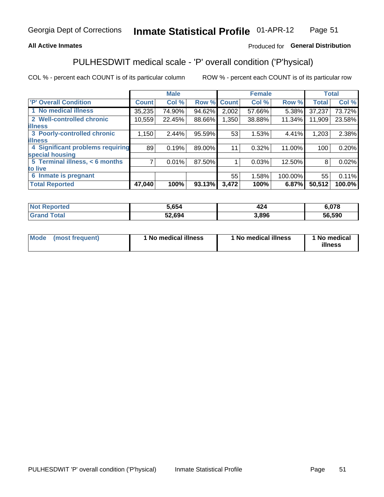### **All Active Inmates**

### Produced for General Distribution

# PULHESDWIT medical scale - 'P' overall condition ('P'hysical)

COL % - percent each COUNT is of its particular column

|                                  |                | <b>Male</b> |        |              | <b>Female</b> |         |              | <b>Total</b> |
|----------------------------------|----------------|-------------|--------|--------------|---------------|---------|--------------|--------------|
| <b>P' Overall Condition</b>      | <b>Count</b>   | Col %       | Row %  | <b>Count</b> | Col %         | Row %   | <b>Total</b> | Col %        |
| 1 No medical illness             | 35,235         | 74.90%      | 94.62% | 2,002        | 57.66%        | 5.38%   | 37,237       | 73.72%       |
| 2 Well-controlled chronic        | 10,559         | 22.45%      | 88.66% | 1,350        | 38.88%        | 11.34%  | 11,909       | 23.58%       |
| <b>lillness</b>                  |                |             |        |              |               |         |              |              |
| 3 Poorly-controlled chronic      | 1,150          | 2.44%       | 95.59% | 53           | 1.53%         | 4.41%   | 1,203        | 2.38%        |
| <b>illness</b>                   |                |             |        |              |               |         |              |              |
| 4 Significant problems requiring | 89             | 0.19%       | 89.00% | 11           | 0.32%         | 11.00%  | 100          | 0.20%        |
| special housing                  |                |             |        |              |               |         |              |              |
| 5 Terminal illness, < 6 months   | $\overline{7}$ | 0.01%       | 87.50% |              | 0.03%         | 12.50%  | 8            | 0.02%        |
| to live                          |                |             |        |              |               |         |              |              |
| 6 Inmate is pregnant             |                |             |        | 55           | 1.58%         | 100.00% | 55           | 0.11%        |
| <b>Total Reported</b>            | 47,040         | 100%        | 93.13% | 3,472        | 100%          | 6.87%   | 50,512       | 100.0%       |

| тео | 5.654  | 14'   | 070    |
|-----|--------|-------|--------|
|     | ∕סء כז | 3.896 | 56.590 |

| Mode | (most frequent) | 1 No medical illness | 1 No medical illness | 1 No medical<br>illness |
|------|-----------------|----------------------|----------------------|-------------------------|
|------|-----------------|----------------------|----------------------|-------------------------|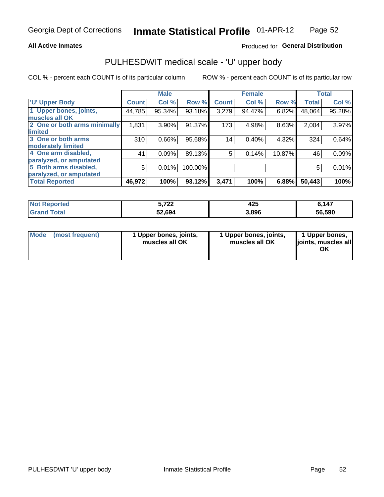### **All Active Inmates**

### Produced for General Distribution

# PULHESDWIT medical scale - 'U' upper body

COL % - percent each COUNT is of its particular column

|                              |              | <b>Male</b> |         |              | <b>Female</b> |        |              | <b>Total</b> |
|------------------------------|--------------|-------------|---------|--------------|---------------|--------|--------------|--------------|
| <b>U' Upper Body</b>         | <b>Count</b> | Col %       | Row %   | <b>Count</b> | Col %         | Row %  | <b>Total</b> | Col %        |
| 1 Upper bones, joints,       | 44,785       | 95.34%      | 93.18%  | 3,279        | 94.47%        | 6.82%  | 48,064       | 95.28%       |
| muscles all OK               |              |             |         |              |               |        |              |              |
| 2 One or both arms minimally | 1,831        | 3.90%       | 91.37%  | 173          | 4.98%         | 8.63%  | 2,004        | 3.97%        |
| limited                      |              |             |         |              |               |        |              |              |
| 3 One or both arms           | 310          | 0.66%       | 95.68%  | 14           | 0.40%         | 4.32%  | 324          | 0.64%        |
| <b>moderately limited</b>    |              |             |         |              |               |        |              |              |
| 4 One arm disabled,          | 41           | 0.09%       | 89.13%  | 5            | 0.14%         | 10.87% | 46           | 0.09%        |
| paralyzed, or amputated      |              |             |         |              |               |        |              |              |
| 5 Both arms disabled,        | 5            | 0.01%       | 100.00% |              |               |        | 5            | 0.01%        |
| paralyzed, or amputated      |              |             |         |              |               |        |              |              |
| <b>Total Reported</b>        | 46,972       | 100%        | 93.12%  | 3,471        | 100%          | 6.88%  | 50,443       | 100%         |

| <b>Not Reported</b>   | フヘヘ<br>3.IZZ | 425   | 6,147  |
|-----------------------|--------------|-------|--------|
| <b>Total</b><br>Grand | 52,694       | 3,896 | 56,590 |

| Mode<br>(most frequent) | 1 Upper bones, joints,<br>muscles all OK | 1 Upper bones, joints,<br>muscles all OK | 1 Upper bones,<br>joints, muscles all<br>ΟK |
|-------------------------|------------------------------------------|------------------------------------------|---------------------------------------------|
|-------------------------|------------------------------------------|------------------------------------------|---------------------------------------------|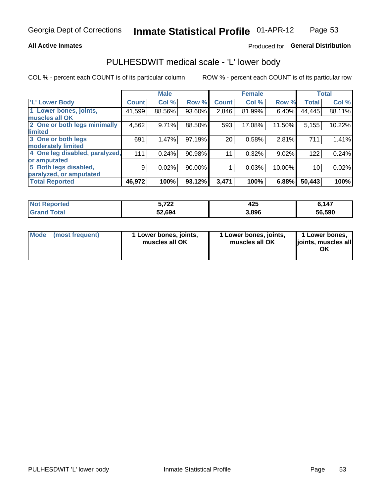### **All Active Inmates**

### Produced for General Distribution

# PULHESDWIT medical scale - 'L' lower body

COL % - percent each COUNT is of its particular column

|                                |               | <b>Male</b> |        |              | <b>Female</b> |        |              | <b>Total</b> |
|--------------------------------|---------------|-------------|--------|--------------|---------------|--------|--------------|--------------|
| 'L' Lower Body                 | <b>Count!</b> | Col %       | Row %  | <b>Count</b> | Col %         | Row %  | <b>Total</b> | Col %        |
| 1 Lower bones, joints,         | 41,599        | 88.56%      | 93.60% | 2,846        | 81.99%        | 6.40%  | 44,445       | 88.11%       |
| muscles all OK                 |               |             |        |              |               |        |              |              |
| 2 One or both legs minimally   | 4,562         | 9.71%       | 88.50% | 593          | 17.08%        | 11.50% | 5,155        | 10.22%       |
| limited                        |               |             |        |              |               |        |              |              |
| 3 One or both legs             | 691           | 1.47%       | 97.19% | 20           | 0.58%         | 2.81%  | 711          | 1.41%        |
| moderately limited             |               |             |        |              |               |        |              |              |
| 4 One leg disabled, paralyzed, | 111           | 0.24%       | 90.98% | 11           | 0.32%         | 9.02%  | 122          | 0.24%        |
| or amputated                   |               |             |        |              |               |        |              |              |
| 5 Both legs disabled,          | 9             | 0.02%       | 90.00% |              | 0.03%         | 10.00% | 10           | 0.02%        |
| paralyzed, or amputated        |               |             |        |              |               |        |              |              |
| <b>Total Reported</b>          | 46,972        | 100%        | 93.12% | 3,471        | 100%          | 6.88%  | 50,443       | 100%         |

| <b>Not Reported</b>   | フヘヘ<br>3.IZZ | 425   | 6,147  |
|-----------------------|--------------|-------|--------|
| <b>Total</b><br>Grand | 52,694       | 3,896 | 56,590 |

| Mode | (most frequent) | 1 Lower bones, joints,<br>muscles all OK | 1 Lower bones, joints,<br>muscles all OK | 1 Lower bones,<br>joints, muscles all<br>ΟK |
|------|-----------------|------------------------------------------|------------------------------------------|---------------------------------------------|
|------|-----------------|------------------------------------------|------------------------------------------|---------------------------------------------|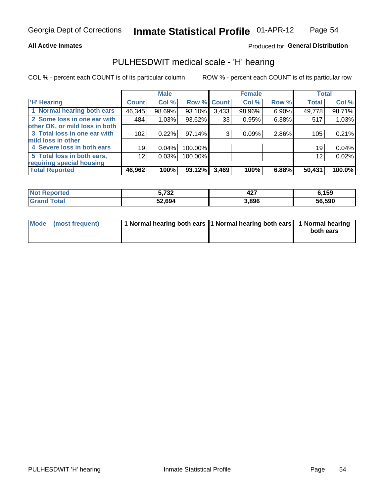### **All Active Inmates**

### Produced for General Distribution

# PULHESDWIT medical scale - 'H' hearing

COL % - percent each COUNT is of its particular column

|                                |                 | <b>Male</b> |         |             | <b>Female</b> |       | <b>Total</b> |        |
|--------------------------------|-----------------|-------------|---------|-------------|---------------|-------|--------------|--------|
| <b>H' Hearing</b>              | <b>Count</b>    | Col %       |         | Row % Count | Col %         | Row % | <b>Total</b> | Col %  |
| 1 Normal hearing both ears     | 46,345          | 98.69%      | 93.10%  | 3,433       | 98.96%        | 6.90% | 49,778       | 98.71% |
| 2 Some loss in one ear with    | 484             | 1.03%       | 93.62%  | 33          | 0.95%         | 6.38% | 517          | 1.03%  |
| other OK, or mild loss in both |                 |             |         |             |               |       |              |        |
| 3 Total loss in one ear with   | 102             | 0.22%       | 97.14%  | 3           | 0.09%         | 2.86% | 105          | 0.21%  |
| mild loss in other             |                 |             |         |             |               |       |              |        |
| 4 Severe loss in both ears     | 19              | 0.04%       | 100.00% |             |               |       | 19           | 0.04%  |
| 5 Total loss in both ears,     | 12 <sub>2</sub> | 0.03%       | 100.00% |             |               |       | 12           | 0.02%  |
| requiring special housing      |                 |             |         |             |               |       |              |        |
| <b>Total Reported</b>          | 46,962          | 100%        | 93.12%  | 3,469       | 100%          | 6.88% | 50,431       | 100.0% |

| morted and   | <b>E</b> 722<br>ـ⊿ت י<br>v.<br>$\sim$ $\sim$ $\sim$ | "~~<br>ч4. | ,159   |
|--------------|-----------------------------------------------------|------------|--------|
| <b>Total</b> | 52,694                                              | 3,896      | 56,590 |

| Mode (most frequent) | 1 Normal hearing both ears 11 Normal hearing both ears 1 Normal hearing | both ears |
|----------------------|-------------------------------------------------------------------------|-----------|
|                      |                                                                         |           |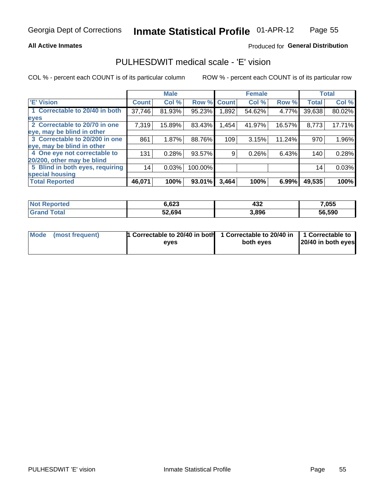### **All Active Inmates**

### Produced for General Distribution

# PULHESDWIT medical scale - 'E' vision

COL % - percent each COUNT is of its particular column

|                                 |              | <b>Male</b> |         |              | <b>Female</b> |        |              | <b>Total</b> |
|---------------------------------|--------------|-------------|---------|--------------|---------------|--------|--------------|--------------|
| <b>E' Vision</b>                | <b>Count</b> | Col %       | Row %   | <b>Count</b> | Col %         | Row %  | <b>Total</b> | Col %        |
| 1 Correctable to 20/40 in both  | 37,746       | 81.93%      | 95.23%  | .892         | 54.62%        | 4.77%  | 39,638       | 80.02%       |
| eyes                            |              |             |         |              |               |        |              |              |
| 2 Correctable to 20/70 in one   | 7,319        | 15.89%      | 83.43%  | 1,454        | 41.97%        | 16.57% | 8,773        | 17.71%       |
| eye, may be blind in other      |              |             |         |              |               |        |              |              |
| 3 Correctable to 20/200 in one  | 861          | 1.87%       | 88.76%  | 109          | 3.15%         | 11.24% | 970          | 1.96%        |
| eye, may be blind in other      |              |             |         |              |               |        |              |              |
| 4 One eye not correctable to    | 131          | 0.28%       | 93.57%  | 9.           | 0.26%         | 6.43%  | 140          | 0.28%        |
| 20/200, other may be blind      |              |             |         |              |               |        |              |              |
| 5 Blind in both eyes, requiring | 14           | 0.03%       | 100.00% |              |               |        | 14           | 0.03%        |
| special housing                 |              |             |         |              |               |        |              |              |
| <b>Total Reported</b>           | 46,071       | 100%        | 93.01%  | 3,464        | 100%          | 6.99%  | 49,535       | 100%         |

| <b>Not Reported</b>               | 6,623  | 432   | 7,055  |
|-----------------------------------|--------|-------|--------|
| <b>Total</b><br>Gran <sub>(</sub> | 52,694 | 3,896 | 56,590 |

| Mode (most frequent) | 1 Correctable to 20/40 in both<br>eves | 1 Correctable to 20/40 in   1 Correctable to  <br>both eves | 20/40 in both eyes |  |
|----------------------|----------------------------------------|-------------------------------------------------------------|--------------------|--|
|                      |                                        |                                                             |                    |  |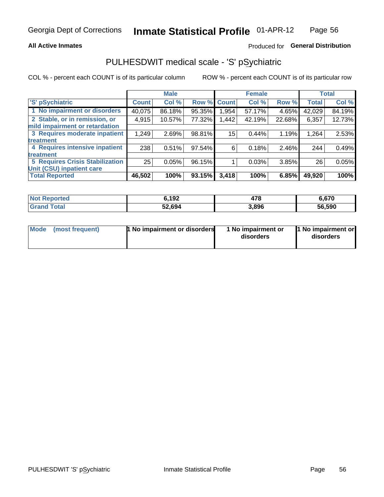### **All Active Inmates**

### Produced for General Distribution

# PULHESDWIT medical scale - 'S' pSychiatric

COL % - percent each COUNT is of its particular column

|                                        |              | <b>Male</b> |        |              | <b>Female</b> |        |              | <b>Total</b> |
|----------------------------------------|--------------|-------------|--------|--------------|---------------|--------|--------------|--------------|
| 'S' pSychiatric                        | <b>Count</b> | Col %       | Row %  | <b>Count</b> | Col %         | Row %  | <b>Total</b> | Col %        |
| 1 No impairment or disorders           | 40,075       | 86.18%      | 95.35% | .954         | 57.17%        | 4.65%  | 42,029       | 84.19%       |
| 2 Stable, or in remission, or          | 4,915        | 10.57%      | 77.32% | .442         | 42.19%        | 22.68% | 6,357        | 12.73%       |
| mild impairment or retardation         |              |             |        |              |               |        |              |              |
| 3 Requires moderate inpatient          | 1,249        | 2.69%       | 98.81% | 15           | 0.44%         | 1.19%  | 1,264        | 2.53%        |
| <b>treatment</b>                       |              |             |        |              |               |        |              |              |
| 4 Requires intensive inpatient         | 238          | 0.51%       | 97.54% | 6            | 0.18%         | 2.46%  | 244          | 0.49%        |
| treatment                              |              |             |        |              |               |        |              |              |
| <b>5 Requires Crisis Stabilization</b> | 25           | 0.05%       | 96.15% |              | 0.03%         | 3.85%  | 26           | 0.05%        |
| Unit (CSU) inpatient care              |              |             |        |              |               |        |              |              |
| <b>Total Reported</b>                  | 46,502       | 100%        | 93.15% | 3,418        | 100%          | 6.85%  | 49,920       | 100%         |

| <b>Not Reported</b>   | 6,192  | 478   | 6,670  |
|-----------------------|--------|-------|--------|
| Total<br><b>Grand</b> | 52,694 | 3,896 | 56,590 |

| Mode<br>1 No impairment or disorders<br>(most frequent) | 1 No impairment or<br>disorders | 1 No impairment or<br>disorders |
|---------------------------------------------------------|---------------------------------|---------------------------------|
|---------------------------------------------------------|---------------------------------|---------------------------------|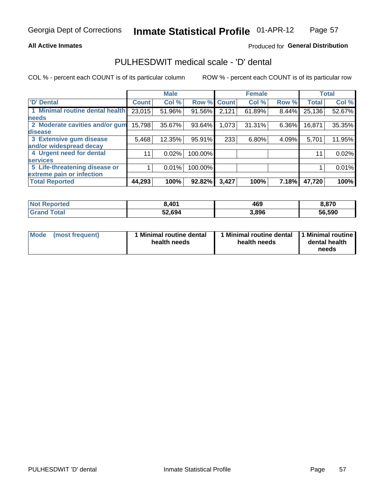### **All Active Inmates**

### Produced for General Distribution

# PULHESDWIT medical scale - 'D' dental

COL % - percent each COUNT is of its particular column

|                                 |              | <b>Male</b> |         |              | <b>Female</b> |       |              | <b>Total</b> |
|---------------------------------|--------------|-------------|---------|--------------|---------------|-------|--------------|--------------|
| 'D' Dental                      | <b>Count</b> | Col %       | Row %   | <b>Count</b> | Col %         | Row % | <b>Total</b> | Col %        |
| 1 Minimal routine dental health | 23,015       | 51.96%      | 91.56%  | 2,121        | 61.89%        | 8.44% | 25,136       | 52.67%       |
| <b>needs</b>                    |              |             |         |              |               |       |              |              |
| 2 Moderate cavities and/or gum  | 15,798       | 35.67%      | 93.64%  | 1,073        | 31.31%        | 6.36% | 16,871       | 35.35%       |
| disease                         |              |             |         |              |               |       |              |              |
| 3 Extensive gum disease         | 5,468        | 12.35%      | 95.91%  | 233          | 6.80%         | 4.09% | 5,701        | 11.95%       |
| and/or widespread decay         |              |             |         |              |               |       |              |              |
| 4 Urgent need for dental        | 11           | 0.02%       | 100.00% |              |               |       | 11           | 0.02%        |
| <b>services</b>                 |              |             |         |              |               |       |              |              |
| 5 Life-threatening disease or   |              | 0.01%       | 100.00% |              |               |       |              | 0.01%        |
| extreme pain or infection       |              |             |         |              |               |       |              |              |
| <b>Total Reported</b>           | 44,293       | 100%        | 92.82%  | 3,427        | 100%          | 7.18% | 47,720       | 100%         |

| <b>Not Reported</b>   | 3,401  | 469   | 8,870  |
|-----------------------|--------|-------|--------|
| <b>Total</b><br>Grand | 52,694 | 3,896 | 56,590 |

| 1 Minimal routine dental<br>Mode<br>(most frequent)<br>health needs | 1 Minimal routine dental 1 Minimal routine<br>health needs | dental health<br>needs |
|---------------------------------------------------------------------|------------------------------------------------------------|------------------------|
|---------------------------------------------------------------------|------------------------------------------------------------|------------------------|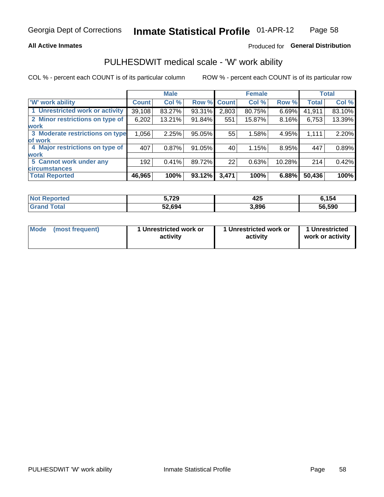### **All Active Inmates**

### Produced for General Distribution

# PULHESDWIT medical scale - 'W' work ability

COL % - percent each COUNT is of its particular column

|                                 |              | <b>Male</b> |        |              | <b>Female</b> |        |              | <b>Total</b> |
|---------------------------------|--------------|-------------|--------|--------------|---------------|--------|--------------|--------------|
| 'W' work ability                | <b>Count</b> | Col %       | Row %  | <b>Count</b> | Col %         | Row %  | <b>Total</b> | Col %        |
| 1 Unrestricted work or activity | 39,108       | 83.27%      | 93.31% | 2,803        | 80.75%        | 6.69%  | 41,911       | 83.10%       |
| 2 Minor restrictions on type of | 6,202        | 13.21%      | 91.84% | 551          | 15.87%        | 8.16%  | 6,753        | 13.39%       |
| <b>work</b>                     |              |             |        |              |               |        |              |              |
| 3 Moderate restrictions on type | 1,056        | 2.25%       | 95.05% | 55           | 1.58%         | 4.95%  | 1,111        | 2.20%        |
| of work                         |              |             |        |              |               |        |              |              |
| 4 Major restrictions on type of | 407          | 0.87%       | 91.05% | 40           | 1.15%         | 8.95%  | 447          | 0.89%        |
| <b>work</b>                     |              |             |        |              |               |        |              |              |
| 5 Cannot work under any         | 192          | 0.41%       | 89.72% | 22           | 0.63%         | 10.28% | 214          | 0.42%        |
| <b>circumstances</b>            |              |             |        |              |               |        |              |              |
| <b>Total Reported</b>           | 46,965       | 100%        | 93.12% | 3,471        | 100%          | 6.88%  | 50,436       | 100%         |

| <b>Not Reported</b>   | 5,729  | 425   | 6.154  |
|-----------------------|--------|-------|--------|
| Total<br><b>Grand</b> | 52,694 | 3,896 | 56,590 |

| <b>Mode</b>     | 1 Unrestricted work or | 1 Unrestricted work or | 1 Unrestricted   |
|-----------------|------------------------|------------------------|------------------|
| (most frequent) | activity               | activity               | work or activity |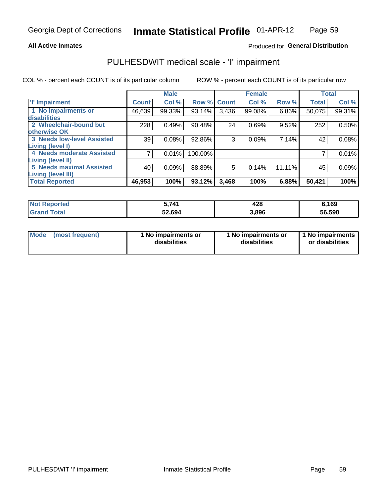### **All Active Inmates**

### Produced for General Distribution

# PULHESDWIT medical scale - 'I' impairment

COL % - percent each COUNT is of its particular column

|                                   |              | <b>Male</b> |             |       | <b>Female</b> |        |              | <b>Total</b> |
|-----------------------------------|--------------|-------------|-------------|-------|---------------|--------|--------------|--------------|
| <b>T' Impairment</b>              | <b>Count</b> | Col %       | Row % Count |       | Col %         | Row %  | <b>Total</b> | Col %        |
| 1 No impairments or               | 46,639       | 99.33%      | 93.14%      | 3,436 | 99.08%        | 6.86%  | 50,075       | 99.31%       |
| <b>disabilities</b>               |              |             |             |       |               |        |              |              |
| 2 Wheelchair-bound but            | 228          | 0.49%       | 90.48%      | 24    | 0.69%         | 9.52%  | 252          | 0.50%        |
| otherwise OK                      |              |             |             |       |               |        |              |              |
| <b>3 Needs low-level Assisted</b> | 39           | 0.08%       | 92.86%      | 3     | 0.09%         | 7.14%  | 42           | 0.08%        |
| Living (level I)                  |              |             |             |       |               |        |              |              |
| 4 Needs moderate Assisted         |              | 0.01%       | 100.00%     |       |               |        |              | 0.01%        |
| Living (level II)                 |              |             |             |       |               |        |              |              |
| <b>5 Needs maximal Assisted</b>   | 40           | 0.09%       | 88.89%      | 5     | 0.14%         | 11.11% | 45           | 0.09%        |
| <b>Living (level III)</b>         |              |             |             |       |               |        |              |              |
| <b>Total Reported</b>             | 46,953       | 100%        | 93.12%      | 3,468 | 100%          | 6.88%  | 50,421       | 100%         |

| <b>Not</b><br>Reported | 5 741  | 428<br>__ | 6,169  |
|------------------------|--------|-----------|--------|
| Total                  | 52,694 | 3,896     | 56,590 |

| Mode | (most frequent) | 1 No impairments or<br>disabilities | 1 No impairments or<br>disabilities | 1 No impairments<br>or disabilities |
|------|-----------------|-------------------------------------|-------------------------------------|-------------------------------------|
|------|-----------------|-------------------------------------|-------------------------------------|-------------------------------------|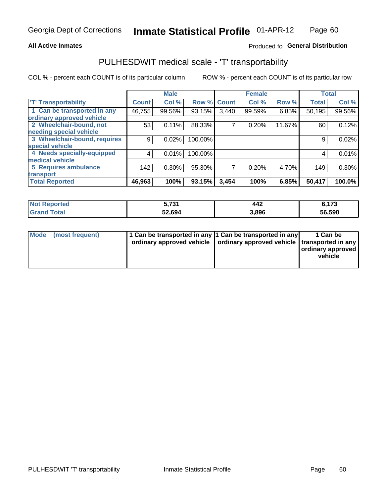### **All Active Inmates**

### Produced fo General Distribution

# PULHESDWIT medical scale - 'T' transportability

COL % - percent each COUNT is of its particular column

|                              |                    | <b>Male</b> |         |              | <b>Female</b> |        |              | <b>Total</b> |
|------------------------------|--------------------|-------------|---------|--------------|---------------|--------|--------------|--------------|
| <b>T' Transportability</b>   | Count <sup>!</sup> | Col %       | Row %   | <b>Count</b> | Col %         | Row %  | <b>Total</b> | Col %        |
| 1 Can be transported in any  | 46,755             | 99.56%      | 93.15%  | 3,440        | 99.59%        | 6.85%  | 50,195       | 99.56%       |
| ordinary approved vehicle    |                    |             |         |              |               |        |              |              |
| 2 Wheelchair-bound, not      | 53                 | 0.11%       | 88.33%  | 7            | 0.20%         | 11.67% | 60           | 0.12%        |
| needing special vehicle      |                    |             |         |              |               |        |              |              |
| 3 Wheelchair-bound, requires | 9                  | 0.02%       | 100.00% |              |               |        | 9            | 0.02%        |
| special vehicle              |                    |             |         |              |               |        |              |              |
| 4 Needs specially-equipped   | 4                  | 0.01%       | 100.00% |              |               |        | 4            | 0.01%        |
| medical vehicle              |                    |             |         |              |               |        |              |              |
| <b>5 Requires ambulance</b>  | 142                | 0.30%       | 95.30%  | 7            | 0.20%         | 4.70%  | 149          | 0.30%        |
| transport                    |                    |             |         |              |               |        |              |              |
| <b>Total Reported</b>        | 46,963             | 100%        | 93.15%  | 3,454        | 100%          | 6.85%  | 50,417       | 100.0%       |

| <b>Not</b> | E 794  | 442   | C 479    |
|------------|--------|-------|----------|
| Reported   | . J I  |       | 0. I I J |
| Total      | 52,694 | 3.896 | 56,590   |

|  | Mode (most frequent) | 1 Can be transported in any 1 Can be transported in any<br>ordinary approved vehicle   ordinary approved vehicle   transported in any |  | 1 Can be<br>  ordinary approved  <br>vehicle |
|--|----------------------|---------------------------------------------------------------------------------------------------------------------------------------|--|----------------------------------------------|
|--|----------------------|---------------------------------------------------------------------------------------------------------------------------------------|--|----------------------------------------------|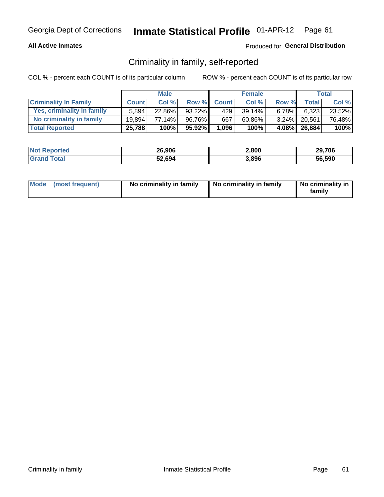### **All Active Inmates**

### Produced for General Distribution

# Criminality in family, self-reported

COL % - percent each COUNT is of its particular column

|                              |              | <b>Male</b> |           |              | <b>Female</b> |          |              | Total  |
|------------------------------|--------------|-------------|-----------|--------------|---------------|----------|--------------|--------|
| <b>Criminality In Family</b> | <b>Count</b> | Col%        | Row %     | <b>Count</b> | Col %         | Row %    | Total        | Col %  |
| Yes, criminality in family   | 5.894        | 22.86%      | 93.22%    | 429'         | 39.14%        | $6.78\%$ | 6,323        | 23.52% |
| No criminality in family     | 19.894       | 77.14%      | 96.76%    | 667          | 60.86%        |          | 3.24% 20,561 | 76.48% |
| <b>Total Reported</b>        | 25,788       | 100%        | $95.92\%$ | 1,096        | 100%          |          | 4.08% 26,884 | 100%   |

| <b>Not Reported</b> | 26.906 | 2,800 | 29,706 |
|---------------------|--------|-------|--------|
| ⊺ota                | 52,694 | 3,896 | 56.590 |

|  | Mode (most frequent) | No criminality in family | No criminality in family | No criminality in<br>family |
|--|----------------------|--------------------------|--------------------------|-----------------------------|
|--|----------------------|--------------------------|--------------------------|-----------------------------|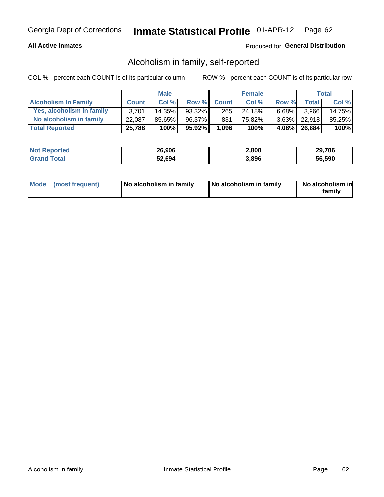### **All Active Inmates**

### Produced for General Distribution

# Alcoholism in family, self-reported

COL % - percent each COUNT is of its particular column

|                             |              | <b>Male</b> |           |              | <b>Female</b> |          |                 | Total   |
|-----------------------------|--------------|-------------|-----------|--------------|---------------|----------|-----------------|---------|
| <b>Alcoholism In Family</b> | <b>Count</b> | Col%        | Row %     | <b>Count</b> | Col%          | Row %    | <b>Total</b>    | Col %   |
| Yes, alcoholism in family   | 3.701        | 14.35%      | 93.32%    | 265          | 24.18%        | $6.68\%$ | 3.966           | 14.75%  |
| No alcoholism in family     | 22,087       | 85.65%      | 96.37%    | 831          | 75.82%        |          | $3.63\%$ 22.918 | 85.25%  |
| <b>Total Reported</b>       | 25,788       | 100%        | $95.92\%$ | 1,096        | 100%          |          | 4.08% 26,884    | $100\%$ |

| <b>Not Reported</b> | 26,906 | 2,800 | 29,706 |
|---------------------|--------|-------|--------|
| ⊺ota                | 52,694 | 3,896 | 56.590 |

|  | Mode (most frequent) | No alcoholism in family | No alcoholism in family | No alcoholism in<br>family |
|--|----------------------|-------------------------|-------------------------|----------------------------|
|--|----------------------|-------------------------|-------------------------|----------------------------|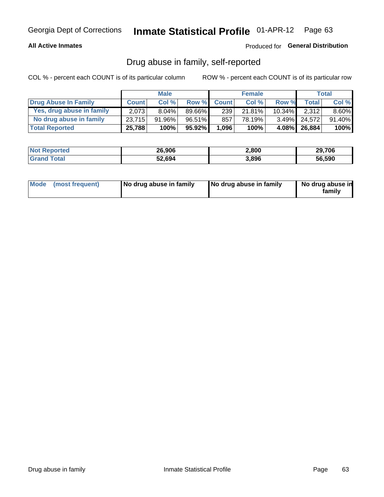### **All Active Inmates**

### Produced for General Distribution

# Drug abuse in family, self-reported

COL % - percent each COUNT is of its particular column

|                           |              | <b>Male</b> |           |              | <b>Female</b> |           |              | Total    |
|---------------------------|--------------|-------------|-----------|--------------|---------------|-----------|--------------|----------|
| Drug Abuse In Family      | <b>Count</b> | Col %       | Row %     | <b>Count</b> | Col %         | Row %     | Total        | Col %    |
| Yes, drug abuse in family | 2,073        | 8.04%       | 89.66%    | 239          | $21.81\%$     | $10.34\%$ | 2,312        | $8.60\%$ |
| No drug abuse in family   | 23.715       | 91.96%      | 96.51%    | 857          | 78.19%        |           | 3.49% 24.572 | 91.40%   |
| <b>Total Reported</b>     | 25,788       | 100%        | $95.92\%$ | 1,096        | 100%          |           | 4.08% 26,884 | $100\%$  |

| <b>Not Reported</b> | 26,906 | 2,800 | 29,706 |
|---------------------|--------|-------|--------|
| ⊺ota                | 52,694 | 3,896 | 56.590 |

|  | Mode (most frequent) | No drug abuse in family | No drug abuse in family | No drug abuse in<br>familv |
|--|----------------------|-------------------------|-------------------------|----------------------------|
|--|----------------------|-------------------------|-------------------------|----------------------------|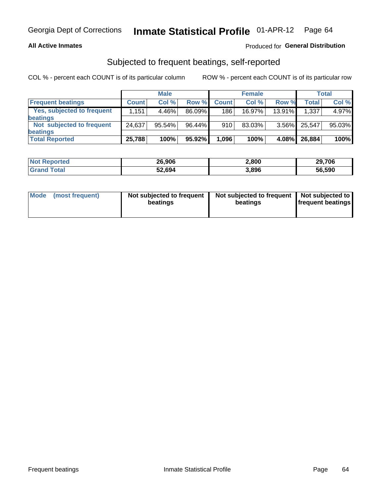### **All Active Inmates**

### Produced for General Distribution

# Subjected to frequent beatings, self-reported

COL % - percent each COUNT is of its particular column

|                                   |              | <b>Male</b> |        |              | <b>Female</b> |          |              | Total  |
|-----------------------------------|--------------|-------------|--------|--------------|---------------|----------|--------------|--------|
| <b>Frequent beatings</b>          | <b>Count</b> | Col %       | Row %  | <b>Count</b> | Col %         | Row %    | <b>Total</b> | Col%   |
| <b>Yes, subjected to frequent</b> | 1,151        | 4.46%       | 86.09% | 186          | $16.97\%$     | 13.91%   | 1,337        | 4.97%  |
| beatings                          |              |             |        |              |               |          |              |        |
| Not subjected to frequent         | 24,637       | 95.54%      | 96.44% | 910          | 83.03%        | $3.56\%$ | 25.547       | 95.03% |
| beatings                          |              |             |        |              |               |          |              |        |
| <b>Total Reported</b>             | 25,788       | 100%        | 95.92% | 1,096        | 100%          | 4.08%    | 26,884       | 100%   |

| <b>Not</b><br>Reported | 26,906 | 2,800 | 29,706 |
|------------------------|--------|-------|--------|
| Total                  | 52,694 | 3,896 | 56,590 |

| Mode | (most frequent) | Not subjected to frequent<br>beatings | Not subjected to frequent   Not subjected to<br>beatings | <b>frequent beatings</b> |
|------|-----------------|---------------------------------------|----------------------------------------------------------|--------------------------|
|      |                 |                                       |                                                          |                          |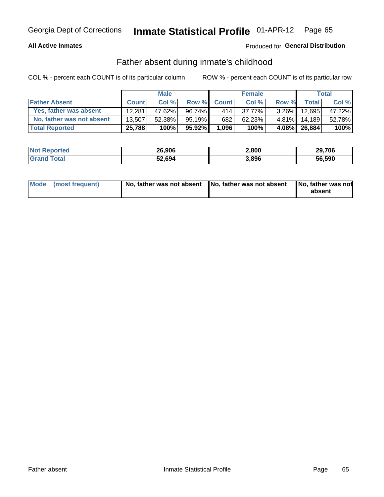### **All Active Inmates**

### Produced for General Distribution

# Father absent during inmate's childhood

COL % - percent each COUNT is of its particular column

|                           |              | <b>Male</b> |           |              | <b>Female</b> |          |              | Total  |
|---------------------------|--------------|-------------|-----------|--------------|---------------|----------|--------------|--------|
| <b>Father Absent</b>      | <b>Count</b> | Col%        | Row %     | <b>Count</b> | Col %         | Row %    | <b>Total</b> | Col %  |
| Yes, father was absent    | 12.281       | 47.62%      | 96.74%    | 414          | 37.77%        | $3.26\%$ | 12.695       | 47.22% |
| No, father was not absent | 13.507       | 52.38%      | $95.19\%$ | 682          | 62.23%        | $4.81\%$ | 14.189       | 52.78% |
| <b>Total Reported</b>     | 25,788       | 100%        | $95.92\%$ | 1,096        | 100%          |          | 4.08% 26,884 | 100%   |

| <b>Not Reported</b> | 26,906 | 2,800 | 29,706 |
|---------------------|--------|-------|--------|
| ſotal               | 52,694 | 3,896 | 56,590 |

|  | Mode (most frequent) |  | No, father was not absent No, father was not absent No, father was not | absent |
|--|----------------------|--|------------------------------------------------------------------------|--------|
|--|----------------------|--|------------------------------------------------------------------------|--------|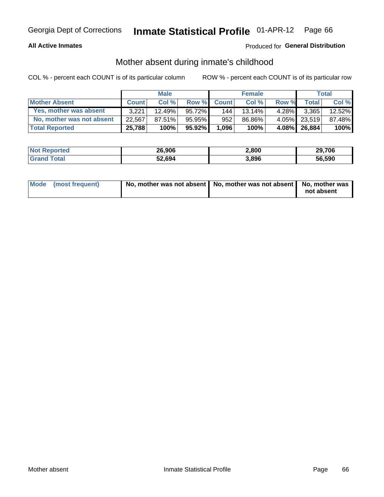### **All Active Inmates**

### Produced for General Distribution

# Mother absent during inmate's childhood

COL % - percent each COUNT is of its particular column

|                           |              | <b>Male</b> |           |              | <b>Female</b> |          |                | Total  |
|---------------------------|--------------|-------------|-----------|--------------|---------------|----------|----------------|--------|
| <b>Mother Absent</b>      | <b>Count</b> | Col%        | Row %     | <b>Count</b> | Col %         | Row %    | <b>Total</b> I | Col %  |
| Yes, mother was absent    | 3.221        | $12.49\%$   | $95.72\%$ | 144          | $13.14\%$     | $4.28\%$ | 3,365          | 12.52% |
| No, mother was not absent | 22.567       | 87.51%      | $95.95\%$ | 952          | 86.86%        | $4.05\%$ | 23.519         | 87.48% |
| <b>Total Reported</b>     | 25,788       | 100%        | $95.92\%$ | 1,096        | 100%          |          | 4.08% 26,884   | 100%   |

| <b>Not Reported</b> | 26.906 | 2,800 | 29,706 |
|---------------------|--------|-------|--------|
| ⊺ota                | 52,694 | 3,896 | 56.590 |

| Mode (most frequent) | No, mother was not absent   No, mother was not absent   No, mother was | not absent |
|----------------------|------------------------------------------------------------------------|------------|
|                      |                                                                        |            |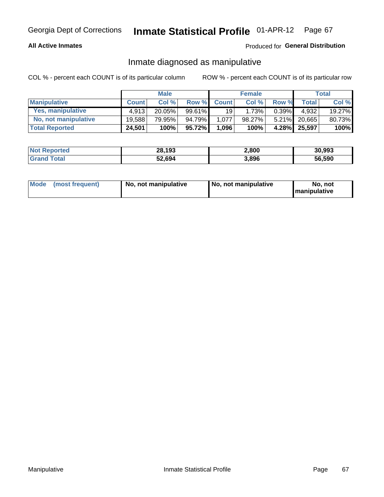### **All Active Inmates**

### Produced for General Distribution

# Inmate diagnosed as manipulative

COL % - percent each COUNT is of its particular column

|                       |              | <b>Male</b> |           |              | <b>Female</b> |          |              | Total  |
|-----------------------|--------------|-------------|-----------|--------------|---------------|----------|--------------|--------|
| <b>Manipulative</b>   | <b>Count</b> | Col %       | Row %     | <b>Count</b> | Col%          | Row %    | <b>Total</b> | Col %  |
| Yes, manipulative     | 4.913        | 20.05%      | 99.61%    | 19           | 1.73%         | 0.39%    | 4.932        | 19.27% |
| No, not manipulative  | 19.588       | 79.95%      | 94.79%    | 1.077        | 98.27%        | $5.21\%$ | 20.665       | 80.73% |
| <b>Total Reported</b> | 24,501       | 100%        | $95.72\%$ | 1,096        | 100%          | $4.28\%$ | 25,597       | 100%   |

| <b>Not Reported</b> | 28,193 | 2,800 | 30,993 |
|---------------------|--------|-------|--------|
| <b>ota</b>          | 52,694 | 3,896 | 56,590 |

|  | Mode (most frequent) | No, not manipulative | No, not manipulative | No. not<br><b>I</b> manipulative |
|--|----------------------|----------------------|----------------------|----------------------------------|
|--|----------------------|----------------------|----------------------|----------------------------------|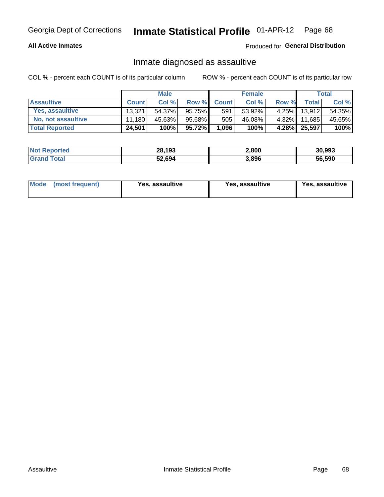### **All Active Inmates**

Produced for General Distribution

# Inmate diagnosed as assaultive

COL % - percent each COUNT is of its particular column

|                           |              | <b>Male</b> |        |              | <b>Female</b> |       |              | Total  |
|---------------------------|--------------|-------------|--------|--------------|---------------|-------|--------------|--------|
| <b>Assaultive</b>         | <b>Count</b> | Col %       | Row %  | <b>Count</b> | Col %         | Row % | <b>Total</b> | Col %  |
| Yes, assaultive           | 13.321       | 54.37%      | 95.75% | 591          | 53.92%        |       | 4.25% 13,912 | 54.35% |
| <b>No, not assaultive</b> | 11.180       | 45.63%      | 95.68% | 505          | 46.08%        | 4.32% | 11,685       | 45.65% |
| <b>Total Reported</b>     | 24,501       | 100%        | 95.72% | 1,096        | 100%          |       | 4.28% 25,597 | 100%   |

| <b>Not Reported</b> | 28,193 | 2,800 | 30,993 |
|---------------------|--------|-------|--------|
| Tota                | 52,694 | 3,896 | 56.590 |

| Mode (most frequent) |  | Yes, assaultive | Yes, assaultive | <b>Yes, assaultive</b> |
|----------------------|--|-----------------|-----------------|------------------------|
|----------------------|--|-----------------|-----------------|------------------------|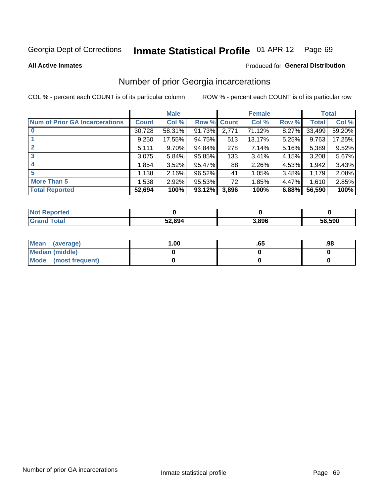#### Inmate Statistical Profile 01-APR-12 Page 69

**All Active Inmates** 

### **Produced for General Distribution**

# Number of prior Georgia incarcerations

COL % - percent each COUNT is of its particular column

|                                       |              | <b>Male</b> |                    |       | <b>Female</b> |       |        | <b>Total</b> |
|---------------------------------------|--------------|-------------|--------------------|-------|---------------|-------|--------|--------------|
| <b>Num of Prior GA Incarcerations</b> | <b>Count</b> | Col %       | <b>Row % Count</b> |       | Col %         | Row % | Total  | Col %        |
| $\bf{0}$                              | 30,728       | 58.31%      | 91.73%             | 2,771 | 71.12%        | 8.27% | 33,499 | 59.20%       |
|                                       | 9,250        | 17.55%      | 94.75%             | 513   | 13.17%        | 5.25% | 9,763  | 17.25%       |
|                                       | 5,111        | 9.70%       | 94.84%             | 278   | 7.14%         | 5.16% | 5,389  | 9.52%        |
| 3                                     | 3,075        | 5.84%       | 95.85%             | 133   | 3.41%         | 4.15% | 3,208  | 5.67%        |
| 4                                     | 1,854        | 3.52%       | 95.47%             | 88    | 2.26%         | 4.53% | 1,942  | 3.43%        |
| 5                                     | 1,138        | 2.16%       | 96.52%             | 41    | 1.05%         | 3.48% | 1,179  | 2.08%        |
| <b>More Than 5</b>                    | 1,538        | 2.92%       | 95.53%             | 72    | 1.85%         | 4.47% | 1,610  | 2.85%        |
| <b>Total Reported</b>                 | 52,694       | 100%        | 93.12%             | 3,896 | 100%          | 6.88% | 56,590 | 100%         |

| <b>Not</b><br>Reported  |        |       |        |  |
|-------------------------|--------|-------|--------|--|
| Total<br><b>'</b> Gran⊾ | 52,694 | 3,896 | 56,590 |  |

| Mean (average)         | 1.00 | כס. | .98 |
|------------------------|------|-----|-----|
| <b>Median (middle)</b> |      |     |     |
| Mode (most frequent)   |      |     |     |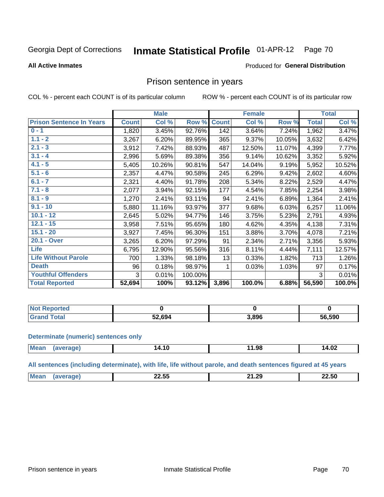#### Inmate Statistical Profile 01-APR-12 Page 70

### **All Active Inmates**

### Produced for General Distribution

### Prison sentence in years

COL % - percent each COUNT is of its particular column

ROW % - percent each COUNT is of its particular row

|                                 |              | <b>Male</b> |         |              | <b>Female</b> |        |              | <b>Total</b> |
|---------------------------------|--------------|-------------|---------|--------------|---------------|--------|--------------|--------------|
| <b>Prison Sentence In Years</b> | <b>Count</b> | Col %       | Row %   | <b>Count</b> | Col %         | Row %  | <b>Total</b> | Col %        |
| $0 - 1$                         | 1,820        | 3.45%       | 92.76%  | 142          | 3.64%         | 7.24%  | 1,962        | 3.47%        |
| $1.1 - 2$                       | 3,267        | 6.20%       | 89.95%  | 365          | 9.37%         | 10.05% | 3,632        | 6.42%        |
| $2.1 - 3$                       | 3,912        | 7.42%       | 88.93%  | 487          | 12.50%        | 11.07% | 4,399        | 7.77%        |
| $3.1 - 4$                       | 2,996        | 5.69%       | 89.38%  | 356          | 9.14%         | 10.62% | 3,352        | 5.92%        |
| $4.1 - 5$                       | 5,405        | 10.26%      | 90.81%  | 547          | 14.04%        | 9.19%  | 5,952        | 10.52%       |
| $5.1 - 6$                       | 2,357        | 4.47%       | 90.58%  | 245          | 6.29%         | 9.42%  | 2,602        | 4.60%        |
| $6.1 - 7$                       | 2,321        | 4.40%       | 91.78%  | 208          | 5.34%         | 8.22%  | 2,529        | 4.47%        |
| $7.1 - 8$                       | 2,077        | 3.94%       | 92.15%  | 177          | 4.54%         | 7.85%  | 2,254        | 3.98%        |
| $8.1 - 9$                       | 1,270        | 2.41%       | 93.11%  | 94           | 2.41%         | 6.89%  | 1,364        | 2.41%        |
| $9.1 - 10$                      | 5,880        | 11.16%      | 93.97%  | 377          | 9.68%         | 6.03%  | 6,257        | 11.06%       |
| $10.1 - 12$                     | 2,645        | 5.02%       | 94.77%  | 146          | 3.75%         | 5.23%  | 2,791        | 4.93%        |
| $12.1 - 15$                     | 3,958        | 7.51%       | 95.65%  | 180          | 4.62%         | 4.35%  | 4,138        | 7.31%        |
| $15.1 - 20$                     | 3,927        | 7.45%       | 96.30%  | 151          | 3.88%         | 3.70%  | 4,078        | 7.21%        |
| 20.1 - Over                     | 3,265        | 6.20%       | 97.29%  | 91           | 2.34%         | 2.71%  | 3,356        | 5.93%        |
| <b>Life</b>                     | 6,795        | 12.90%      | 95.56%  | 316          | 8.11%         | 4.44%  | 7,111        | 12.57%       |
| <b>Life Without Parole</b>      | 700          | 1.33%       | 98.18%  | 13           | 0.33%         | 1.82%  | 713          | 1.26%        |
| <b>Death</b>                    | 96           | 0.18%       | 98.97%  |              | 0.03%         | 1.03%  | 97           | 0.17%        |
| <b>Youthful Offenders</b>       | 3            | 0.01%       | 100.00% |              |               |        | 3            | 0.01%        |
| <b>Total Reported</b>           | 52,694       | 100%        | 93.12%  | 3,896        | 100.0%        | 6.88%  | 56,590       | 100.0%       |

| <b>Not Reported</b> |        |       |        |
|---------------------|--------|-------|--------|
| $\sim$<br>$CT^*$    | 52.694 | 3,896 | 56,590 |

### **Determinate (numeric) sentences only**

| <b>Mear</b> | 14.10 | ۹۶<br>__ | 14.02<br>$\sim$ $\sim$ |
|-------------|-------|----------|------------------------|
|             |       |          |                        |

All sentences (including determinate), with life, life without parole, and death sentences figured at 45 years

| Me | $\cdots$<br>.<br>-4.JJ<br>___ | $\sim$<br><u>та п</u><br>. | 22.50<br>___ |
|----|-------------------------------|----------------------------|--------------|
|    |                               |                            |              |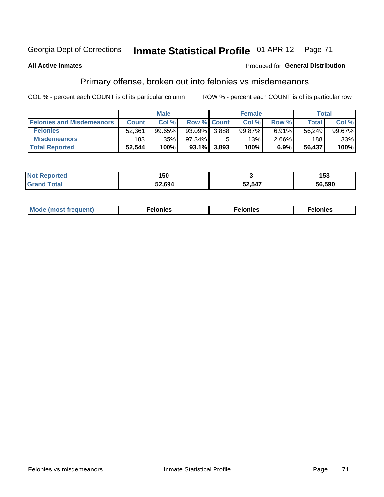#### **Inmate Statistical Profile 01-APR-12** Georgia Dept of Corrections Page 71

### **All Active Inmates**

### **Produced for General Distribution**

# Primary offense, broken out into felonies vs misdemeanors

COL % - percent each COUNT is of its particular column

|                                  | <b>Male</b>  |        |           |             | <b>Female</b> | Total    |        |        |
|----------------------------------|--------------|--------|-----------|-------------|---------------|----------|--------|--------|
| <b>Felonies and Misdemeanors</b> | <b>Count</b> | Col%   |           | Row % Count | Col%          | Row %    | Total, | Col %  |
| <b>Felonies</b>                  | 52,361       | 99.65% | $93.09\%$ | 3.888       | 99.87%        | 6.91%    | 56.249 | 99.67% |
| <b>Misdemeanors</b>              | 183          | .35%   | 97.34%    |             | .13% '        | $2.66\%$ | 188    | .33%   |
| <b>Total Reported</b>            | 52,544       | 100%   | 93.1%     | 3,893       | 100%          | 6.9%     | 56,437 | 100%   |

| <b>Not</b>    | .      |        | --     |
|---------------|--------|--------|--------|
| 'ted          | טטו    |        | 153    |
| ⊺otar<br>Gran | 52,694 | 52,547 | 56.590 |

| Mo | ____ | 11 C.S<br>. | onies<br>. |
|----|------|-------------|------------|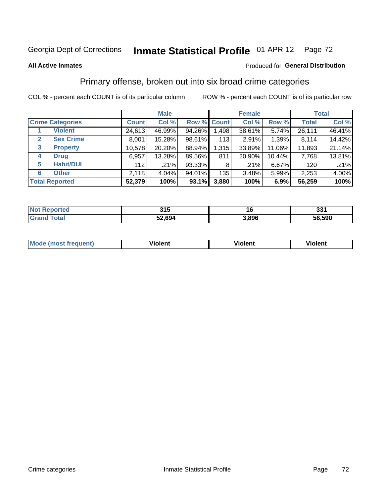# Georgia Dept of Corrections **Inmate Statistical Profile** 01-APR-12 Page 72

### **All Active Inmates**

### Produced for **General Distribution**

# Primary offense, broken out into six broad crime categories

COL % - percent each COUNT is of its particular column ROW % - percent each COUNT is of its particular row

|                                  | <b>Male</b>  |        |        |             | <b>Female</b> | <b>Total</b> |              |        |
|----------------------------------|--------------|--------|--------|-------------|---------------|--------------|--------------|--------|
| <b>Crime Categories</b>          | <b>Count</b> | Col %  |        | Row % Count | Col %         | Row %        | <b>Total</b> | Col %  |
| <b>Violent</b>                   | 24,613       | 46.99% | 94.26% | 1,498       | 38.61%        | 5.74%        | 26,111       | 46.41% |
| <b>Sex Crime</b><br>$\mathbf{2}$ | 8,001        | 15.28% | 98.61% | 113         | 2.91%         | 1.39%        | 8,114        | 14.42% |
| 3<br><b>Property</b>             | 10,578       | 20.20% | 88.94% | 1,315       | 33.89%        | 11.06%       | 11,893       | 21.14% |
| <b>Drug</b><br>4                 | 6,957        | 13.28% | 89.56% | 811         | 20.90%        | 10.44%       | 7,768        | 13.81% |
| <b>Habit/DUI</b><br>5            | 112          | .21%   | 93.33% | 8           | .21%          | 6.67%        | 120          | .21%   |
| <b>Other</b><br>6                | 2,118        | 4.04%  | 94.01% | 135         | 3.48%         | 5.99%        | 2,253        | 4.00%  |
| <b>Total Reported</b>            | 52,379       | 100%   | 93.1%  | 3,880       | 100%          | 6.9%         | 56,259       | 100%   |

| enorted | 24E    |              | ∌ פ    |
|---------|--------|--------------|--------|
| N0      | JIJ    |              | ડગ     |
| `otal   | 52,694 | 906<br>).OJL | 56.590 |

| Mode<br>freauent)<br>anst tr | .<br>/iolent | <br>Violent | .<br><b>Tiolent</b> |
|------------------------------|--------------|-------------|---------------------|
|                              |              |             |                     |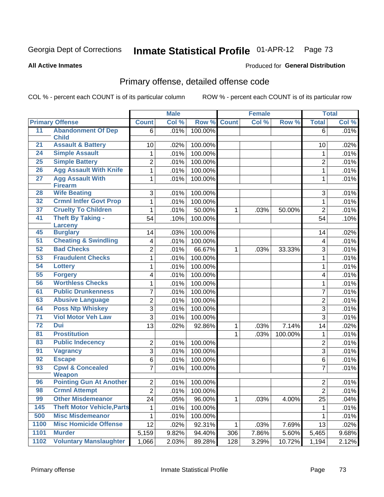# Georgia Dept of Corrections **Inmate Statistical Profile** 01-APR-12 Page 73

**All Active Inmates**

### Produced for **General Distribution**

# Primary offense, detailed offense code

COL % - percent each COUNT is of its particular column ROW % - percent each COUNT is of its particular row

|                 |                                              | <b>Male</b>    |       | <b>Female</b> |              |       | <b>Total</b> |                         |       |
|-----------------|----------------------------------------------|----------------|-------|---------------|--------------|-------|--------------|-------------------------|-------|
|                 | <b>Primary Offense</b>                       | <b>Count</b>   | Col % | Row %         | <b>Count</b> | Col % | Row %        | <b>Total</b>            | Col % |
| 11              | <b>Abandonment Of Dep</b>                    | 6              | .01%  | 100.00%       |              |       |              | 6                       | .01%  |
| 21              | <b>Child</b><br><b>Assault &amp; Battery</b> | 10             | .02%  | 100.00%       |              |       |              | 10                      | .02%  |
| $\overline{24}$ | <b>Simple Assault</b>                        | 1              | .01%  | 100.00%       |              |       |              | 1                       | .01%  |
| 25              | <b>Simple Battery</b>                        | 2              | .01%  | 100.00%       |              |       |              | $\overline{2}$          | .01%  |
| 26              | <b>Agg Assault With Knife</b>                | 1              | .01%  | 100.00%       |              |       |              | $\mathbf 1$             | .01%  |
| $\overline{27}$ | <b>Agg Assault With</b>                      | 1              | .01%  | 100.00%       |              |       |              | 1                       | .01%  |
|                 | <b>Firearm</b>                               |                |       |               |              |       |              |                         |       |
| 28              | <b>Wife Beating</b>                          | 3              | .01%  | 100.00%       |              |       |              | 3                       | .01%  |
| 32              | <b>Crmnl Intfer Govt Prop</b>                | 1              | .01%  | 100.00%       |              |       |              | 1                       | .01%  |
| 37              | <b>Cruelty To Children</b>                   | 1              | .01%  | 50.00%        | $\mathbf{1}$ | .03%  | 50.00%       | $\overline{2}$          | .01%  |
| 41              | <b>Theft By Taking -</b>                     | 54             | .10%  | 100.00%       |              |       |              | 54                      | .10%  |
|                 | Larceny                                      |                |       |               |              |       |              |                         |       |
| 45              | <b>Burglary</b>                              | 14             | .03%  | 100.00%       |              |       |              | 14                      | .02%  |
| 51              | <b>Cheating &amp; Swindling</b>              | 4              | .01%  | 100.00%       |              |       |              | $\overline{\mathbf{4}}$ | .01%  |
| 52              | <b>Bad Checks</b>                            | $\overline{2}$ | .01%  | 66.67%        | $\mathbf{1}$ | .03%  | 33.33%       | 3                       | .01%  |
| 53              | <b>Fraudulent Checks</b>                     | 1              | .01%  | 100.00%       |              |       |              | 1                       | .01%  |
| 54              | <b>Lottery</b>                               | $\mathbf{1}$   | .01%  | 100.00%       |              |       |              | 1                       | .01%  |
| 55              | <b>Forgery</b>                               | 4              | .01%  | 100.00%       |              |       |              | 4                       | .01%  |
| 56              | <b>Worthless Checks</b>                      | 1              | .01%  | 100.00%       |              |       |              | $\mathbf 1$             | .01%  |
| 61              | <b>Public Drunkenness</b>                    | 7              | .01%  | 100.00%       |              |       |              | 7                       | .01%  |
| 63              | <b>Abusive Language</b>                      | 2              | .01%  | 100.00%       |              |       |              | $\overline{2}$          | .01%  |
| 64              | <b>Poss Ntp Whiskey</b>                      | 3              | .01%  | 100.00%       |              |       |              | 3                       | .01%  |
| $\overline{71}$ | <b>Viol Motor Veh Law</b>                    | 3              | .01%  | 100.00%       |              |       |              | 3                       | .01%  |
| 72              | <b>Dui</b>                                   | 13             | .02%  | 92.86%        | 1            | .03%  | 7.14%        | 14                      | .02%  |
| 81              | <b>Prostitution</b>                          |                |       |               | 1            | .03%  | 100.00%      | 1                       | .01%  |
| 83              | <b>Public Indecency</b>                      | $\overline{2}$ | .01%  | 100.00%       |              |       |              | $\overline{2}$          | .01%  |
| 91              | <b>Vagrancy</b>                              | 3              | .01%  | 100.00%       |              |       |              | 3                       | .01%  |
| 92              | <b>Escape</b>                                | 6              | .01%  | 100.00%       |              |       |              | 6                       | .01%  |
| 93              | <b>Cpwl &amp; Concealed</b>                  | $\overline{7}$ | .01%  | 100.00%       |              |       |              | $\overline{7}$          | .01%  |
|                 | <b>Weapon</b>                                |                |       |               |              |       |              |                         |       |
| 96              | <b>Pointing Gun At Another</b>               | $\overline{2}$ | .01%  | 100.00%       |              |       |              | $\overline{c}$          | .01%  |
| 98              | <b>Crmnl Attempt</b>                         | $\overline{2}$ | .01%  | 100.00%       |              |       |              | $\overline{2}$          | .01%  |
| 99              | <b>Other Misdemeanor</b>                     | 24             | .05%  | 96.00%        | $\mathbf 1$  | .03%  | 4.00%        | 25                      | .04%  |
| 145             | <b>Theft Motor Vehicle, Parts</b>            | 1              | .01%  | 100.00%       |              |       |              | 1                       | .01%  |
| 500             | <b>Misc Misdemeanor</b>                      | 1              | .01%  | 100.00%       |              |       |              | 1                       | .01%  |
| 1100            | <b>Misc Homicide Offense</b>                 | 12             | .02%  | 92.31%        | $\mathbf{1}$ | .03%  | 7.69%        | 13                      | .02%  |
| 1101            | <b>Murder</b>                                | 5,159          | 9.82% | 94.40%        | 306          | 7.86% | 5.60%        | 5,465                   | 9.68% |
| 1102            | <b>Voluntary Manslaughter</b>                | 1,066          | 2.03% | 89.28%        | 128          | 3.29% | 10.72%       | 1,194                   | 2.12% |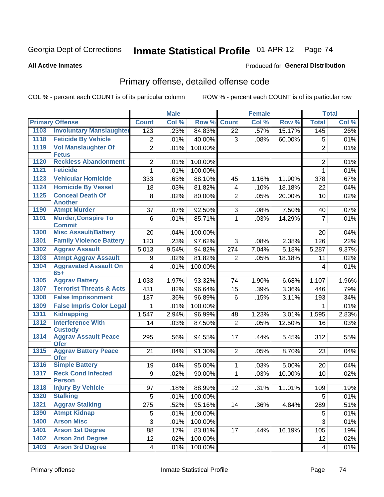# Georgia Dept of Corrections **Inmate Statistical Profile** 01-APR-12 Page 74

### **All Active Inmates**

### Produced for **General Distribution**

# Primary offense, detailed offense code

COL % - percent each COUNT is of its particular column ROW % - percent each COUNT is of its particular row

|      |                                               |                         | <b>Male</b> |         |                 | <b>Female</b> |        |                | <b>Total</b> |
|------|-----------------------------------------------|-------------------------|-------------|---------|-----------------|---------------|--------|----------------|--------------|
|      | <b>Primary Offense</b>                        | <b>Count</b>            | Col %       | Row %   | <b>Count</b>    | Col %         | Row %  | <b>Total</b>   | Col %        |
| 1103 | <b>Involuntary Manslaughter</b>               | 123                     | .23%        | 84.83%  | 22              | .57%          | 15.17% | 145            | .26%         |
| 1118 | <b>Feticide By Vehicle</b>                    | $\overline{2}$          | .01%        | 40.00%  | 3               | .08%          | 60.00% | 5              | .01%         |
| 1119 | <b>Vol Manslaughter Of</b><br><b>Fetus</b>    | $\overline{2}$          | .01%        | 100.00% |                 |               |        | $\overline{2}$ | .01%         |
| 1120 | <b>Reckless Abandonment</b>                   | $\overline{2}$          | .01%        | 100.00% |                 |               |        | $\overline{2}$ | .01%         |
| 1121 | <b>Feticide</b>                               | 1                       | .01%        | 100.00% |                 |               |        | 1              | .01%         |
| 1123 | <b>Vehicular Homicide</b>                     | 333                     | .63%        | 88.10%  | 45              | 1.16%         | 11.90% | 378            | .67%         |
| 1124 | <b>Homicide By Vessel</b>                     | 18                      | .03%        | 81.82%  | 4               | .10%          | 18.18% | 22             | .04%         |
| 1125 | <b>Conceal Death Of</b>                       | 8                       | .02%        | 80.00%  | $\overline{2}$  | .05%          | 20.00% | 10             | .02%         |
|      | <b>Another</b>                                |                         |             |         |                 |               |        |                |              |
| 1190 | <b>Atmpt Murder</b>                           | 37                      | .07%        | 92.50%  | 3               | .08%          | 7.50%  | 40             | .07%         |
| 1191 | <b>Murder, Conspire To</b><br><b>Commit</b>   | 6                       | .01%        | 85.71%  | 1               | .03%          | 14.29% | $\overline{7}$ | .01%         |
| 1300 | <b>Misc Assault/Battery</b>                   | 20                      | .04%        | 100.00% |                 |               |        | 20             | .04%         |
| 1301 | <b>Family Violence Battery</b>                | 123                     | .23%        | 97.62%  | 3               | .08%          | 2.38%  | 126            | .22%         |
| 1302 | <b>Aggrav Assault</b>                         | 5,013                   | 9.54%       | 94.82%  | 274             | 7.04%         | 5.18%  | 5,287          | 9.37%        |
| 1303 | <b>Atmpt Aggrav Assault</b>                   | 9                       | .02%        | 81.82%  | $\overline{2}$  | .05%          | 18.18% | 11             | .02%         |
| 1304 | <b>Aggravated Assault On</b>                  | $\overline{\mathbf{4}}$ | .01%        | 100.00% |                 |               |        | 4              | .01%         |
|      | $65+$                                         |                         |             |         |                 |               |        |                |              |
| 1305 | <b>Aggrav Battery</b>                         | 1,033                   | 1.97%       | 93.32%  | 74              | 1.90%         | 6.68%  | 1,107          | 1.96%        |
| 1307 | <b>Terrorist Threats &amp; Acts</b>           | 431                     | .82%        | 96.64%  | 15              | .39%          | 3.36%  | 446            | .79%         |
| 1308 | <b>False Imprisonment</b>                     | 187                     | .36%        | 96.89%  | $6\phantom{1}6$ | .15%          | 3.11%  | 193            | .34%         |
| 1309 | <b>False Impris Color Legal</b>               | 1                       | .01%        | 100.00% |                 |               |        | 1              | .01%         |
| 1311 | <b>Kidnapping</b>                             | 1,547                   | 2.94%       | 96.99%  | 48              | 1.23%         | 3.01%  | 1,595          | 2.83%        |
| 1312 | <b>Interference With</b>                      | 14                      | .03%        | 87.50%  | $\overline{2}$  | .05%          | 12.50% | 16             | .03%         |
| 1314 | <b>Custody</b><br><b>Aggrav Assault Peace</b> |                         |             |         | 17              |               |        |                |              |
|      | <b>Ofcr</b>                                   | 295                     | .56%        | 94.55%  |                 | .44%          | 5.45%  | 312            | .55%         |
| 1315 | <b>Aggrav Battery Peace</b><br><b>Ofcr</b>    | 21                      | .04%        | 91.30%  | $\overline{2}$  | .05%          | 8.70%  | 23             | .04%         |
| 1316 | <b>Simple Battery</b>                         | 19                      | .04%        | 95.00%  | 1               | .03%          | 5.00%  | 20             | .04%         |
| 1317 | <b>Reck Cond Infected</b>                     | 9                       | .02%        | 90.00%  | $\mathbf{1}$    | .03%          | 10.00% | 10             | .02%         |
|      | <b>Person</b>                                 |                         |             |         |                 |               |        |                |              |
| 1318 | <b>Injury By Vehicle</b>                      | 97                      | .18%        | 88.99%  | 12              | .31%          | 11.01% | 109            | .19%         |
| 1320 | <b>Stalking</b>                               | 5                       | .01%        | 100.00% |                 |               |        | 5              | .01%         |
| 1321 | <b>Aggrav Stalking</b>                        | 275                     | .52%        | 95.16%  | 14              | .36%          | 4.84%  | 289            | .51%         |
| 1390 | <b>Atmpt Kidnap</b>                           | 5                       | .01%        | 100.00% |                 |               |        | 5              | .01%         |
| 1400 | <b>Arson Misc</b>                             | 3                       | .01%        | 100.00% |                 |               |        | 3              | .01%         |
| 1401 | <b>Arson 1st Degree</b>                       | 88                      | .17%        | 83.81%  | 17              | .44%          | 16.19% | 105            | .19%         |
| 1402 | <b>Arson 2nd Degree</b>                       | 12                      | .02%        | 100.00% |                 |               |        | 12             | .02%         |
| 1403 | <b>Arson 3rd Degree</b>                       | 4                       | .01%        | 100.00% |                 |               |        | 4              | .01%         |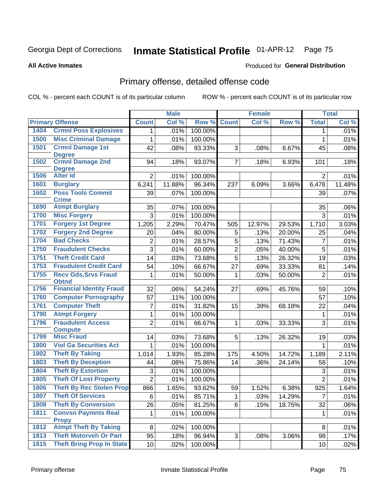#### **All Active Inmates**

#### Produced for **General Distribution**

## Primary offense, detailed offense code

|      |                                          |                | <b>Male</b> |         |                | <b>Female</b> |        | <b>Total</b>   |         |
|------|------------------------------------------|----------------|-------------|---------|----------------|---------------|--------|----------------|---------|
|      | <b>Primary Offense</b>                   | <b>Count</b>   | Col %       | Row %   | <b>Count</b>   | Col %         | Row %  | <b>Total</b>   | Col %   |
| 1404 | <b>Crmnl Poss Explosives</b>             | 1              | .01%        | 100.00% |                |               |        | 1              | .01%    |
| 1500 | <b>Misc Criminal Damage</b>              | $\mathbf 1$    | .01%        | 100.00% |                |               |        | 1              | .01%    |
| 1501 | <b>Crmnl Damage 1st</b>                  | 42             | .08%        | 93.33%  | 3              | .08%          | 6.67%  | 45             | .08%    |
|      | <b>Degree</b>                            |                |             |         |                |               |        |                |         |
| 1502 | <b>Crmnl Damage 2nd</b><br><b>Degree</b> | 94             | .18%        | 93.07%  | $\overline{7}$ | .18%          | 6.93%  | 101            | .18%    |
| 1506 | <b>Alter Id</b>                          | $\overline{2}$ | .01%        | 100.00% |                |               |        | $\overline{2}$ | .01%    |
| 1601 | <b>Burglary</b>                          | 6,241          | 11.88%      | 96.34%  | 237            | 6.09%         | 3.66%  | 6,478          | 11.48%  |
| 1602 | <b>Poss Tools Commit</b>                 | 39             | .07%        | 100.00% |                |               |        | 39             | $.07\%$ |
|      | <b>Crime</b>                             |                |             |         |                |               |        |                |         |
| 1690 | <b>Atmpt Burglary</b>                    | 35             | .07%        | 100.00% |                |               |        | 35             | $.06\%$ |
| 1700 | <b>Misc Forgery</b>                      | 3              | .01%        | 100.00% |                |               |        | 3              | .01%    |
| 1701 | <b>Forgery 1st Degree</b>                | 1,205          | 2.29%       | 70.47%  | 505            | 12.97%        | 29.53% | 1,710          | 3.03%   |
| 1702 | <b>Forgery 2nd Degree</b>                | 20             | .04%        | 80.00%  | 5              | .13%          | 20.00% | 25             | .04%    |
| 1704 | <b>Bad Checks</b>                        | $\overline{2}$ | .01%        | 28.57%  | 5              | .13%          | 71.43% | $\overline{7}$ | .01%    |
| 1750 | <b>Fraudulent Checks</b>                 | $\overline{3}$ | .01%        | 60.00%  | $\overline{2}$ | .05%          | 40.00% | 5              | .01%    |
| 1751 | <b>Theft Credit Card</b>                 | 14             | .03%        | 73.68%  | $\overline{5}$ | .13%          | 26.32% | 19             | .03%    |
| 1753 | <b>Fraudulent Credit Card</b>            | 54             | .10%        | 66.67%  | 27             | .69%          | 33.33% | 81             | .14%    |
| 1755 | <b>Recv Gds, Srvs Fraud</b>              | 1              | .01%        | 50.00%  | 1              | .03%          | 50.00% | $\overline{2}$ | .01%    |
|      | <b>Obtnd</b>                             |                |             |         |                |               |        |                |         |
| 1756 | <b>Financial Identity Fraud</b>          | 32             | .06%        | 54.24%  | 27             | .69%          | 45.76% | 59             | .10%    |
| 1760 | <b>Computer Pornography</b>              | 57             | .11%        | 100.00% |                |               |        | 57             | .10%    |
| 1761 | <b>Computer Theft</b>                    | 7              | .01%        | 31.82%  | 15             | .39%          | 68.18% | 22             | .04%    |
| 1790 | <b>Atmpt Forgery</b>                     | 1              | .01%        | 100.00% |                |               |        | $\mathbf 1$    | .01%    |
| 1796 | <b>Fraudulent Access</b>                 | $\overline{2}$ | .01%        | 66.67%  | 1              | .03%          | 33.33% | 3              | .01%    |
| 1799 | <b>Compute</b><br><b>Misc Fraud</b>      | 14             | .03%        | 73.68%  | 5              | .13%          | 26.32% | 19             | .03%    |
| 1800 | <b>Viol Ga Securities Act</b>            | $\mathbf{1}$   | .01%        | 100.00% |                |               |        | $\mathbf{1}$   | .01%    |
| 1802 | <b>Theft By Taking</b>                   | 1,014          | 1.93%       | 85.28%  | 175            | 4.50%         | 14.72% | 1,189          | 2.11%   |
| 1803 | <b>Theft By Deception</b>                | 44             | .08%        | 75.86%  | 14             | .36%          | 24.14% | 58             | .10%    |
| 1804 | <b>Theft By Extortion</b>                | 3              | .01%        | 100.00% |                |               |        | 3              | .01%    |
| 1805 | <b>Theft Of Lost Property</b>            | $\overline{2}$ | .01%        | 100.00% |                |               |        | $\overline{2}$ | .01%    |
| 1806 | <b>Theft By Rec Stolen Prop</b>          | 866            | 1.65%       | 93.62%  | 59             | 1.52%         | 6.38%  | 925            | 1.64%   |
| 1807 | <b>Theft Of Services</b>                 | 6              | .01%        | 85.71%  | $\mathbf{1}$   | .03%          | 14.29% | $\overline{7}$ | .01%    |
| 1808 | <b>Theft By Conversion</b>               | 26             | .05%        | 81.25%  | 6              | .15%          | 18.75% | 32             | .06%    |
| 1811 | <b>Convsn Paymnts Real</b>               | $\mathbf{1}$   | .01%        | 100.00% |                |               |        | 1              | .01%    |
|      | <b>Propy</b>                             |                |             |         |                |               |        |                |         |
| 1812 | <b>Atmpt Theft By Taking</b>             | 8              | .02%        | 100.00% |                |               |        | 8              | .01%    |
| 1813 | <b>Theft Motorveh Or Part</b>            | 95             | .18%        | 96.94%  | 3              | .08%          | 3.06%  | 98             | .17%    |
| 1815 | <b>Theft Bring Prop In State</b>         | 10             | .02%        | 100.00% |                |               |        | 10             | .02%    |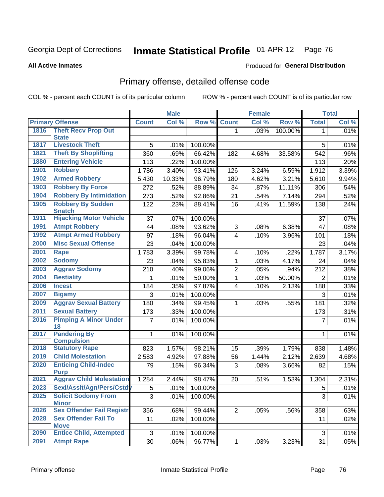#### **All Active Inmates**

#### Produced for **General Distribution**

### Primary offense, detailed offense code

|      |                                                  |                 | <b>Male</b> |         |                         | <b>Female</b> |         |                | <b>Total</b> |
|------|--------------------------------------------------|-----------------|-------------|---------|-------------------------|---------------|---------|----------------|--------------|
|      | <b>Primary Offense</b>                           | <b>Count</b>    | Col %       | Row %   | <b>Count</b>            | Col %         | Row %   | <b>Total</b>   | Col %        |
| 1816 | <b>Theft Recv Prop Out</b>                       |                 |             |         | $\mathbf{1}$            | .03%          | 100.00% | $\mathbf 1$    | .01%         |
|      | <b>State</b>                                     |                 |             |         |                         |               |         |                |              |
| 1817 | <b>Livestock Theft</b>                           | 5               | .01%        | 100.00% |                         |               |         | 5              | .01%         |
| 1821 | <b>Theft By Shoplifting</b>                      | 360             | .69%        | 66.42%  | 182                     | 4.68%         | 33.58%  | 542            | .96%         |
| 1880 | <b>Entering Vehicle</b>                          | 113             | .22%        | 100.00% |                         |               |         | 113            | .20%         |
| 1901 | <b>Robbery</b>                                   | 1,786           | 3.40%       | 93.41%  | 126                     | 3.24%         | 6.59%   | 1,912          | 3.39%        |
| 1902 | <b>Armed Robbery</b>                             | 5,430           | 10.33%      | 96.79%  | 180                     | 4.62%         | 3.21%   | 5,610          | 9.94%        |
| 1903 | <b>Robbery By Force</b>                          | 272             | .52%        | 88.89%  | 34                      | .87%          | 11.11%  | 306            | .54%         |
| 1904 | <b>Robbery By Intimidation</b>                   | 273             | .52%        | 92.86%  | 21                      | .54%          | 7.14%   | 294            | .52%         |
| 1905 | <b>Robbery By Sudden</b><br><b>Snatch</b>        | 122             | .23%        | 88.41%  | 16                      | .41%          | 11.59%  | 138            | .24%         |
| 1911 | <b>Hijacking Motor Vehicle</b>                   | 37              | .07%        | 100.00% |                         |               |         | 37             | .07%         |
| 1991 | <b>Atmpt Robbery</b>                             | 44              | .08%        | 93.62%  | 3                       | .08%          | 6.38%   | 47             | .08%         |
| 1992 | <b>Atmpt Armed Robbery</b>                       | 97              | .18%        | 96.04%  | $\overline{4}$          | .10%          | 3.96%   | 101            | .18%         |
| 2000 | <b>Misc Sexual Offense</b>                       | 23              | .04%        | 100.00% |                         |               |         | 23             | .04%         |
| 2001 | <b>Rape</b>                                      | 1,783           | 3.39%       | 99.78%  | $\overline{\mathbf{4}}$ | .10%          | .22%    | 1,787          | 3.17%        |
| 2002 | <b>Sodomy</b>                                    | 23              | .04%        | 95.83%  | 1                       | .03%          | 4.17%   | 24             | .04%         |
| 2003 | <b>Aggrav Sodomy</b>                             | 210             | .40%        | 99.06%  | $\overline{2}$          | .05%          | .94%    | 212            | .38%         |
| 2004 | <b>Bestiality</b>                                |                 | .01%        | 50.00%  | 1                       | .03%          | 50.00%  | $\overline{2}$ | .01%         |
| 2006 | <b>Incest</b>                                    | 184             | .35%        | 97.87%  | $\overline{\mathbf{4}}$ | .10%          | 2.13%   | 188            | .33%         |
| 2007 | <b>Bigamy</b>                                    | 3               | .01%        | 100.00% |                         |               |         | 3              | .01%         |
| 2009 | <b>Aggrav Sexual Battery</b>                     | 180             | .34%        | 99.45%  | 1                       | .03%          | .55%    | 181            | .32%         |
| 2011 | <b>Sexual Battery</b>                            | 173             | .33%        | 100.00% |                         |               |         | 173            | .31%         |
| 2016 | <b>Pimping A Minor Under</b>                     | 7               | .01%        | 100.00% |                         |               |         | 7              | .01%         |
| 2017 | 18<br><b>Pandering By</b>                        | 1               | .01%        | 100.00% |                         |               |         | 1              | .01%         |
|      | <b>Compulsion</b>                                |                 |             |         |                         |               |         |                |              |
| 2018 | <b>Statutory Rape</b>                            | 823             | 1.57%       | 98.21%  | 15                      | .39%          | 1.79%   | 838            | 1.48%        |
| 2019 | <b>Child Molestation</b>                         | 2,583           | 4.92%       | 97.88%  | 56                      | 1.44%         | 2.12%   | 2,639          | 4.68%        |
| 2020 | <b>Enticing Child-Indec</b><br><b>Purp</b>       | 79              | .15%        | 96.34%  | 3                       | .08%          | 3.66%   | 82             | .15%         |
| 2021 | <b>Aggrav Child Molestation</b>                  | 1,284           | 2.44%       | 98.47%  | 20                      | .51%          | 1.53%   | 1,304          | 2.31%        |
| 2023 | Sexl/Asslt/Agn/Pers/Cstdy                        | 5               | .01%        | 100.00% |                         |               |         | 5              | .01%         |
| 2025 | <b>Solicit Sodomy From</b>                       | 3               | .01%        | 100.00% |                         |               |         | 3              | .01%         |
|      | <b>Minor</b><br><b>Sex Offender Fail Registr</b> |                 |             |         |                         |               |         |                |              |
| 2026 |                                                  | 356             | .68%        | 99.44%  | $\overline{2}$          | .05%          | .56%    | 358            | .63%         |
| 2028 | <b>Sex Offender Fail To</b><br><b>Move</b>       | 11              | .02%        | 100.00% |                         |               |         | 11             | .02%         |
| 2090 | <b>Entice Child, Attempted</b>                   | 3               | .01%        | 100.00% |                         |               |         | 3              | .01%         |
| 2091 | <b>Atmpt Rape</b>                                | $\overline{30}$ | .06%        | 96.77%  | $\mathbf{1}$            | .03%          | 3.23%   | 31             | .05%         |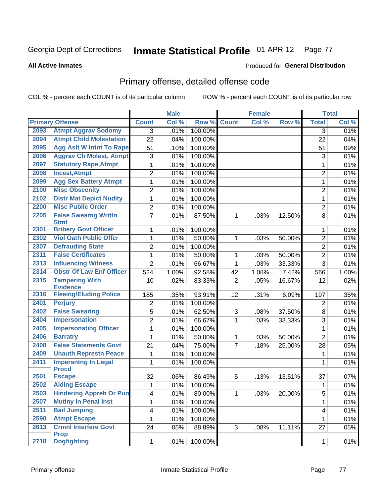**All Active Inmates**

#### Produced for **General Distribution**

## Primary offense, detailed offense code

|      |                                            |                         | <b>Male</b> |            |                | <b>Female</b> |        |                         | <b>Total</b> |
|------|--------------------------------------------|-------------------------|-------------|------------|----------------|---------------|--------|-------------------------|--------------|
|      | <b>Primary Offense</b>                     | <b>Count</b>            | Col %       | Row %      | <b>Count</b>   | Col %         | Row %  | <b>Total</b>            | Col %        |
| 2093 | <b>Atmpt Aggrav Sodomy</b>                 | 3                       | .01%        | 100.00%    |                |               |        | 3                       | .01%         |
| 2094 | <b>Atmpt Child Molestation</b>             | 22                      | .04%        | 100.00%    |                |               |        | 22                      | .04%         |
| 2095 | <b>Agg Aslt W Intnt To Rape</b>            | 51                      | .10%        | 100.00%    |                |               |        | 51                      | .09%         |
| 2096 | <b>Aggrav Ch Molest, Atmpt</b>             | 3                       | .01%        | 100.00%    |                |               |        | 3                       | .01%         |
| 2097 | <b>Statutory Rape, Atmpt</b>               | $\mathbf{1}$            | .01%        | 100.00%    |                |               |        | $\mathbf{1}$            | .01%         |
| 2098 | <b>Incest, Atmpt</b>                       | $\overline{2}$          | .01%        | 100.00%    |                |               |        | $\overline{2}$          | .01%         |
| 2099 | <b>Agg Sex Battery Atmpt</b>               | $\mathbf 1$             | .01%        | 100.00%    |                |               |        | $\mathbf{1}$            | .01%         |
| 2100 | <b>Misc Obscenity</b>                      | $\overline{2}$          | .01%        | 100.00%    |                |               |        | $\overline{2}$          | .01%         |
| 2102 | <b>Distr Mat Depict Nudity</b>             | $\mathbf{1}$            | .01%        | 100.00%    |                |               |        | $\mathbf{1}$            | .01%         |
| 2200 | <b>Misc Public Order</b>                   | $\overline{2}$          | .01%        | 100.00%    |                |               |        | $\overline{2}$          | .01%         |
| 2205 | <b>False Swearng Writtn</b>                | $\overline{7}$          | .01%        | 87.50%     | 1              | .03%          | 12.50% | 8                       | .01%         |
|      | <b>Stmt</b>                                |                         |             |            |                |               |        |                         |              |
| 2301 | <b>Bribery Govt Officer</b>                | $\mathbf{1}$            | .01%        | 100.00%    |                |               |        | 1                       | .01%         |
| 2302 | <b>Viol Oath Public Offcr</b>              | $\mathbf{1}$            | .01%        | 50.00%     | 1              | .03%          | 50.00% | $\overline{2}$          | .01%         |
| 2307 | <b>Defrauding State</b>                    | $\overline{2}$          | .01%        | 100.00%    |                |               |        | $\overline{2}$          | .01%         |
| 2311 | <b>False Certificates</b>                  | $\mathbf{1}$            | .01%        | 50.00%     | 1              | .03%          | 50.00% | $\overline{2}$          | .01%         |
| 2313 | <b>Influencing Witness</b>                 | $\overline{2}$          | .01%        | 66.67%     | 1              | .03%          | 33.33% | 3                       | .01%         |
| 2314 | <b>Obstr Of Law Enf Officer</b>            | 524                     | 1.00%       | 92.58%     | 42             | 1.08%         | 7.42%  | 566                     | 1.00%        |
| 2315 | <b>Tampering With</b><br><b>Evidence</b>   | 10                      | .02%        | 83.33%     | $\overline{2}$ | .05%          | 16.67% | 12                      | .02%         |
| 2316 | <b>Fleeing/Eluding Police</b>              | 185                     | .35%        | 93.91%     | 12             | .31%          | 6.09%  | 197                     | .35%         |
| 2401 | <b>Perjury</b>                             | $\overline{2}$          | .01%        | 100.00%    |                |               |        | $\overline{2}$          | .01%         |
| 2402 | <b>False Swearing</b>                      | 5                       | .01%        | 62.50%     | 3              | .08%          | 37.50% | 8                       | .01%         |
| 2404 | <b>Impersonation</b>                       | $\overline{2}$          | .01%        | 66.67%     | 1              | .03%          | 33.33% | 3                       | .01%         |
| 2405 | <b>Impersonating Officer</b>               | $\mathbf{1}$            | .01%        | 100.00%    |                |               |        | $\mathbf{1}$            | .01%         |
| 2406 | <b>Barratry</b>                            | 1                       | .01%        | 50.00%     | 1              | .03%          | 50.00% | $\overline{2}$          | .01%         |
| 2408 | <b>False Statements Govt</b>               | 21                      | .04%        | 75.00%     | $\overline{7}$ | .18%          | 25.00% | 28                      | .05%         |
| 2409 | <b>Unauth Represtn Peace</b>               | $\mathbf{1}$            | .01%        | 100.00%    |                |               |        | 1                       | .01%         |
| 2411 | <b>Impersntng In Legal</b>                 | 1                       | .01%        | 100.00%    |                |               |        | 1                       | .01%         |
|      | <b>Procd</b>                               |                         |             |            |                |               |        |                         |              |
| 2501 | <b>Escape</b>                              | 32                      | .06%        | 86.49%     | 5              | .13%          | 13.51% | 37                      | .07%         |
| 2502 | <b>Aiding Escape</b>                       | $\mathbf{1}$            | .01%        | 100.00%    |                |               |        | 1                       | .01%         |
| 2503 | <b>Hindering Appreh Or Pun</b>             | 4                       | .01%        | 80.00%     | $\mathbf{1}$   | .03%          | 20.00% | 5                       | .01%         |
| 2507 | <b>Mutiny In Penal Inst</b>                | $\mathbf{1}$            | .01%        | 100.00%    |                |               |        | 1                       | .01%         |
| 2511 | <b>Bail Jumping</b>                        | $\overline{\mathbf{4}}$ | .01%        | $100.00\%$ |                |               |        | $\overline{\mathbf{4}}$ | .01%         |
| 2590 | <b>Atmpt Escape</b>                        | $\mathbf{1}$            | .01%        | 100.00%    |                |               |        | 1                       | .01%         |
| 2613 | <b>Crmnl Interfere Govt</b><br><b>Prop</b> | 24                      | .05%        | 88.89%     | 3              | .08%          | 11.11% | 27                      | .05%         |
| 2718 | <b>Dogfighting</b>                         | 1                       | .01%        | 100.00%    |                |               |        | $\mathbf{1}$            | .01%         |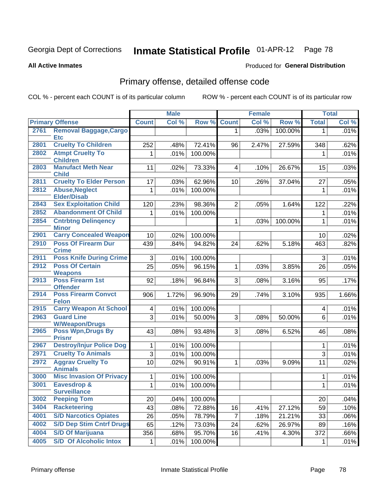Produced for **General Distribution**

#### **All Active Inmates**

# Primary offense, detailed offense code

|      |                                               |              | <b>Male</b>  |         |                | <b>Female</b> |         |              | <b>Total</b> |
|------|-----------------------------------------------|--------------|--------------|---------|----------------|---------------|---------|--------------|--------------|
|      | <b>Primary Offense</b>                        | <b>Count</b> | Col %        | Row %   | <b>Count</b>   | Col %         | Row %   | <b>Total</b> | Col %        |
| 2761 | <b>Removal Baggage, Cargo</b>                 |              |              |         | $\mathbf{1}$   | .03%          | 100.00% | $\mathbf 1$  | .01%         |
|      | <b>Etc</b>                                    |              |              |         |                |               |         |              |              |
| 2801 | <b>Cruelty To Children</b>                    | 252          | .48%         | 72.41%  | 96             | 2.47%         | 27.59%  | 348          | .62%         |
| 2802 | <b>Atmpt Cruelty To</b><br><b>Children</b>    | 1            | .01%         | 100.00% |                |               |         | 1            | .01%         |
| 2803 | <b>Manufact Meth Near</b><br><b>Child</b>     | 11           | .02%         | 73.33%  | $\overline{4}$ | .10%          | 26.67%  | 15           | .03%         |
| 2811 | <b>Cruelty To Elder Person</b>                | 17           | .03%         | 62.96%  | 10             | .26%          | 37.04%  | 27           | .05%         |
| 2812 | <b>Abuse, Neglect</b><br><b>Elder/Disab</b>   | 1            | .01%         | 100.00% |                |               |         | 1            | .01%         |
| 2843 | <b>Sex Exploitation Child</b>                 | 120          | .23%         | 98.36%  | $\overline{2}$ | .05%          | 1.64%   | 122          | .22%         |
| 2852 | <b>Abandonment Of Child</b>                   | 1            | .01%         | 100.00% |                |               |         | 1            | .01%         |
| 2854 | <b>Cntrbtng Delingency</b>                    |              |              |         | $\mathbf 1$    | .03%          | 100.00% | $\mathbf{1}$ | .01%         |
| 2901 | <b>Minor</b><br><b>Carry Concealed Weapon</b> |              |              | 100.00% |                |               |         |              |              |
| 2910 | <b>Poss Of Firearm Dur</b>                    | 10<br>439    | .02%<br>.84% | 94.82%  | 24             |               | 5.18%   | 10<br>463    | .02%<br>.82% |
|      | <b>Crime</b>                                  |              |              |         |                | .62%          |         |              |              |
| 2911 | <b>Poss Knife During Crime</b>                | 3            | .01%         | 100.00% |                |               |         | 3            | .01%         |
| 2912 | <b>Poss Of Certain</b><br><b>Weapons</b>      | 25           | .05%         | 96.15%  | $\mathbf 1$    | .03%          | 3.85%   | 26           | .05%         |
| 2913 | <b>Poss Firearm 1st</b><br><b>Offender</b>    | 92           | .18%         | 96.84%  | 3              | .08%          | 3.16%   | 95           | .17%         |
| 2914 | <b>Poss Firearm Convct</b><br><b>Felon</b>    | 906          | 1.72%        | 96.90%  | 29             | .74%          | 3.10%   | 935          | 1.66%        |
| 2915 | <b>Carry Weapon At School</b>                 | 4            | .01%         | 100.00% |                |               |         | 4            | .01%         |
| 2963 | <b>Guard Line</b><br><b>W/Weapon/Drugs</b>    | 3            | .01%         | 50.00%  | 3              | .08%          | 50.00%  | 6            | .01%         |
| 2965 | <b>Poss Wpn, Drugs By</b><br><b>Prisnr</b>    | 43           | .08%         | 93.48%  | 3 <sup>1</sup> | .08%          | 6.52%   | 46           | .08%         |
| 2967 | <b>Destroy/Injur Police Dog</b>               | 1            | .01%         | 100.00% |                |               |         | 1            | .01%         |
| 2971 | <b>Cruelty To Animals</b>                     | 3            | .01%         | 100.00% |                |               |         | 3            | .01%         |
| 2972 | <b>Aggrav Cruelty To</b>                      | 10           | .02%         | 90.91%  | $\mathbf 1$    | .03%          | 9.09%   | 11           | .02%         |
|      | <b>Animals</b>                                |              |              |         |                |               |         |              |              |
| 3000 | <b>Misc Invasion Of Privacy</b>               | 1            | .01%         | 100.00% |                |               |         | 1            | .01%         |
| 3001 | <b>Eavesdrop &amp;</b><br><b>Surveillance</b> | 1            | .01%         | 100.00% |                |               |         | 1            | .01%         |
| 3002 | <b>Peeping Tom</b>                            | 20           | .04%         | 100.00% |                |               |         | 20           | .04%         |
| 3404 | <b>Racketeering</b>                           | 43           | .08%         | 72.88%  | 16             | .41%          | 27.12%  | 59           | .10%         |
| 4001 | <b>S/D Narcotics Opiates</b>                  | 26           | .05%         | 78.79%  | $\overline{7}$ | .18%          | 21.21%  | 33           | .06%         |
| 4002 | <b>S/D Dep Stim Cntrf Drugs</b>               | 65           | .12%         | 73.03%  | 24             | .62%          | 26.97%  | 89           | .16%         |
| 4004 | <b>S/D Of Marijuana</b>                       | 356          | .68%         | 95.70%  | 16             | .41%          | 4.30%   | 372          | .66%         |
| 4005 | <b>S/D Of Alcoholic Intox</b>                 | 1            | .01%         | 100.00% |                |               |         | 1            | .01%         |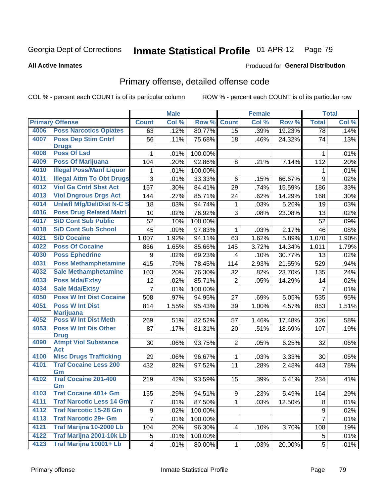#### **All Active Inmates**

### Produced for **General Distribution**

## Primary offense, detailed offense code

|      |                                            |                | <b>Male</b> |         |                 | <b>Female</b> |        |                 | <b>Total</b> |
|------|--------------------------------------------|----------------|-------------|---------|-----------------|---------------|--------|-----------------|--------------|
|      | <b>Primary Offense</b>                     | <b>Count</b>   | Col %       | Row %   | <b>Count</b>    | Col %         | Row %  | <b>Total</b>    | Col %        |
| 4006 | <b>Poss Narcotics Opiates</b>              | 63             | .12%        | 80.77%  | $\overline{15}$ | .39%          | 19.23% | $\overline{78}$ | .14%         |
| 4007 | <b>Poss Dep Stim Cntrf</b><br><b>Drugs</b> | 56             | .11%        | 75.68%  | 18              | .46%          | 24.32% | 74              | .13%         |
| 4008 | <b>Poss Of Lsd</b>                         | 1              | .01%        | 100.00% |                 |               |        | 1               | .01%         |
| 4009 | <b>Poss Of Marijuana</b>                   | 104            | .20%        | 92.86%  | 8               | .21%          | 7.14%  | 112             | .20%         |
| 4010 | <b>Illegal Poss/Manf Liquor</b>            | 1              | .01%        | 100.00% |                 |               |        | 1               | .01%         |
| 4011 | <b>Illegal Attm To Obt Drugs</b>           | 3              | .01%        | 33.33%  | 6               | .15%          | 66.67% | 9               | .02%         |
| 4012 | <b>Viol Ga Cntrl Sbst Act</b>              | 157            | .30%        | 84.41%  | 29              | .74%          | 15.59% | 186             | .33%         |
| 4013 | <b>Viol Dngrous Drgs Act</b>               | 144            | .27%        | 85.71%  | 24              | .62%          | 14.29% | 168             | .30%         |
| 4014 | <b>Uniwfl Mfg/Del/Dist N-C S</b>           | 18             | .03%        | 94.74%  | $\mathbf 1$     | .03%          | 5.26%  | 19              | .03%         |
| 4016 | <b>Poss Drug Related Matri</b>             | 10             | .02%        | 76.92%  | 3               | .08%          | 23.08% | 13              | .02%         |
| 4017 | <b>S/D Cont Sub Public</b>                 | 52             | .10%        | 100.00% |                 |               |        | 52              | .09%         |
| 4018 | <b>S/D Cont Sub School</b>                 | 45             | .09%        | 97.83%  | 1               | .03%          | 2.17%  | 46              | .08%         |
| 4021 | <b>S/D Cocaine</b>                         | 1,007          | 1.92%       | 94.11%  | 63              | 1.62%         | 5.89%  | 1,070           | 1.90%        |
| 4022 | <b>Poss Of Cocaine</b>                     | 866            | 1.65%       | 85.66%  | 145             | 3.72%         | 14.34% | 1,011           | 1.79%        |
| 4030 | <b>Poss Ephedrine</b>                      | 9              | .02%        | 69.23%  | $\overline{4}$  | .10%          | 30.77% | 13              | .02%         |
| 4031 | <b>Poss Methamphetamine</b>                | 415            | .79%        | 78.45%  | 114             | 2.93%         | 21.55% | 529             | .94%         |
| 4032 | <b>Sale Methamphetamine</b>                | 103            | .20%        | 76.30%  | 32              | .82%          | 23.70% | 135             | .24%         |
| 4033 | <b>Poss Mda/Extsy</b>                      | 12             | .02%        | 85.71%  | $\overline{2}$  | .05%          | 14.29% | 14              | .02%         |
| 4034 | <b>Sale Mda/Extsy</b>                      | 7              | .01%        | 100.00% |                 |               |        | $\overline{7}$  | .01%         |
| 4050 | <b>Poss W Int Dist Cocaine</b>             | 508            | .97%        | 94.95%  | 27              | .69%          | 5.05%  | 535             | .95%         |
| 4051 | <b>Poss W Int Dist</b>                     | 814            | 1.55%       | 95.43%  | 39              | 1.00%         | 4.57%  | 853             | 1.51%        |
|      | <b>Marijuana</b>                           |                |             |         |                 |               |        |                 |              |
| 4052 | <b>Poss W Int Dist Meth</b>                | 269            | .51%        | 82.52%  | 57              | 1.46%         | 17.48% | 326             | .58%         |
| 4053 | <b>Poss W Int Dis Other</b><br><b>Drug</b> | 87             | .17%        | 81.31%  | 20              | .51%          | 18.69% | 107             | .19%         |
| 4090 | <b>Atmpt Viol Substance</b>                | 30             | .06%        | 93.75%  | $\overline{2}$  | .05%          | 6.25%  | 32              | .06%         |
|      | <b>Act</b>                                 |                |             |         |                 |               |        |                 |              |
| 4100 | <b>Misc Drugs Trafficking</b>              | 29             | .06%        | 96.67%  | $\mathbf 1$     | .03%          | 3.33%  | 30              | .05%         |
| 4101 | <b>Traf Cocaine Less 200</b>               | 432            | .82%        | 97.52%  | 11              | .28%          | 2.48%  | 443             | .78%         |
| 4102 | Gm<br><b>Traf Cocaine 201-400</b>          |                |             |         |                 |               |        |                 |              |
|      | Gm                                         | 219            | .42%        | 93.59%  | 15              | .39%          | 6.41%  | 234             | .41%         |
| 4103 | <b>Traf Cocaine 401+ Gm</b>                | 155            | .29%        | 94.51%  | 9               | .23%          | 5.49%  | 164             | .29%         |
| 4111 | <b>Traf Narcotic Less 14 Gm</b>            | $\overline{7}$ | .01%        | 87.50%  | $\mathbf{1}$    | .03%          | 12.50% | 8               | .01%         |
| 4112 | <b>Traf Narcotic 15-28 Gm</b>              | 9              | .02%        | 100.00% |                 |               |        | 9               | .02%         |
| 4113 | <b>Traf Narcotic 29+ Gm</b>                | $\overline{7}$ | .01%        | 100.00% |                 |               |        | $\overline{7}$  | .01%         |
| 4121 | Traf Marijna 10-2000 Lb                    | 104            | .20%        | 96.30%  | 4               | .10%          | 3.70%  | 108             | .19%         |
| 4122 | <b>Traf Marijna 2001-10k Lb</b>            | 5              | .01%        | 100.00% |                 |               |        | 5               | .01%         |
| 4123 | Traf Marijna 10001+ Lb                     | 4              | .01%        | 80.00%  | $\mathbf{1}$    | .03%          | 20.00% | 5               | .01%         |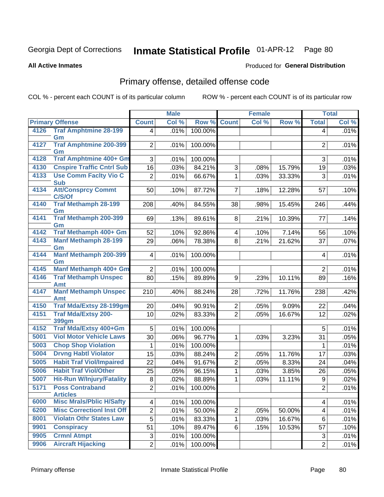#### **All Active Inmates**

#### Produced for **General Distribution**

## Primary offense, detailed offense code

|              |                                                                     |                         | <b>Male</b>  |                  |                                | <b>Female</b> |                  |                  | <b>Total</b> |
|--------------|---------------------------------------------------------------------|-------------------------|--------------|------------------|--------------------------------|---------------|------------------|------------------|--------------|
|              | <b>Primary Offense</b>                                              | <b>Count</b>            | Col %        | Row %            | <b>Count</b>                   | Col %         | Row %            | <b>Total</b>     | Col %        |
| 4126         | <b>Traf Amphtmine 28-199</b>                                        | $\overline{4}$          | .01%         | 100.00%          |                                |               |                  | 4                | .01%         |
| 4127         | Gm<br><b>Traf Amphtmine 200-399</b>                                 |                         |              |                  |                                |               |                  |                  |              |
|              | Gm                                                                  | $\overline{2}$          | .01%         | 100.00%          |                                |               |                  | 2                | .01%         |
| 4128         | Traf Amphtmine 400+ Gm                                              | 3                       | .01%         | 100.00%          |                                |               |                  | 3                | .01%         |
| 4130         | <b>Cnspire Traffic Cntrl Sub</b>                                    | 16                      | .03%         | 84.21%           | 3                              | .08%          | 15.79%           | 19               | .03%         |
| 4133         | <b>Use Comm Facity Vio C</b>                                        | $\overline{2}$          | .01%         | 66.67%           | $\mathbf{1}$                   | .03%          | 33.33%           | 3                | .01%         |
|              | <b>Sub</b>                                                          |                         |              |                  |                                |               |                  |                  |              |
| 4134         | <b>Att/Consprcy Commt</b><br>C/S/Of                                 | 50                      | .10%         | 87.72%           | $\overline{7}$                 | .18%          | 12.28%           | 57               | .10%         |
| 4140         | <b>Traf Methamph 28-199</b>                                         | 208                     | .40%         | 84.55%           | 38                             | .98%          | 15.45%           | 246              | .44%         |
|              | Gm                                                                  |                         |              |                  |                                |               |                  |                  |              |
| 4141         | <b>Traf Methamph 200-399</b>                                        | 69                      | .13%         | 89.61%           | 8                              | .21%          | 10.39%           | 77               | .14%         |
| 4142         | Gm<br>Traf Methamph 400+ Gm                                         | 52                      | .10%         | 92.86%           | 4                              | .10%          | 7.14%            | 56               | .10%         |
| 4143         | <b>Manf Methamph 28-199</b>                                         | 29                      | .06%         | 78.38%           | 8                              | .21%          | 21.62%           | 37               | .07%         |
|              | Gm                                                                  |                         |              |                  |                                |               |                  |                  |              |
| 4144         | <b>Manf Methamph 200-399</b>                                        | $\overline{4}$          | .01%         | 100.00%          |                                |               |                  | $\overline{4}$   | .01%         |
|              | Gm<br>Manf Methamph 400+ Gm                                         |                         |              |                  |                                |               |                  |                  |              |
| 4145<br>4146 | <b>Traf Methamph Unspec</b>                                         | $\overline{2}$          | .01%         | 100.00%          |                                |               |                  | $\overline{2}$   | .01%         |
|              | Amt                                                                 | 80                      | .15%         | 89.89%           | 9                              | .23%          | 10.11%           | 89               | .16%         |
| 4147         | <b>Manf Methamph Unspec</b>                                         | 210                     | .40%         | 88.24%           | 28                             | .72%          | 11.76%           | 238              | .42%         |
|              | Amt                                                                 |                         |              |                  |                                |               |                  |                  |              |
| 4150         | <b>Traf Mda/Extsy 28-199gm</b>                                      | 20                      | .04%         | 90.91%           | $\overline{a}$                 | .05%          | 9.09%            | 22               | .04%         |
| 4151         | <b>Traf Mda/Extsy 200-</b><br>399gm                                 | 10                      | .02%         | 83.33%           | $\overline{2}$                 | .05%          | 16.67%           | 12               | .02%         |
| 4152         | Traf Mda/Extsy 400+Gm                                               | 5                       | .01%         | 100.00%          |                                |               |                  | 5                | .01%         |
| 5001         | <b>Viol Motor Vehicle Laws</b>                                      | 30                      | .06%         | 96.77%           | $\mathbf{1}$                   | .03%          | 3.23%            | 31               | .05%         |
| 5003         | <b>Chop Shop Violation</b>                                          | 1                       | .01%         | 100.00%          |                                |               |                  | 1                | .01%         |
| 5004         | <b>Drvng Habtl Violator</b>                                         | 15                      | .03%         | 88.24%           | $\overline{2}$                 | .05%          | 11.76%           | 17               | .03%         |
| 5005         | <b>Habit Traf Viol/Impaired</b>                                     | 22                      | .04%         | 91.67%           | $\overline{2}$                 | .05%          | 8.33%            | 24               | .04%         |
| 5006         | <b>Habit Traf Viol/Other</b>                                        | 25                      | .05%         | 96.15%           | $\mathbf{1}$                   | .03%          | 3.85%            | 26               | .05%         |
| 5007         | <b>Hit-Run W/Injury/Fatality</b>                                    | 8                       | .02%         | 88.89%           | 1                              | .03%          | 11.11%           | $\boldsymbol{9}$ | .02%         |
| 5171         | <b>Poss Contraband</b>                                              | $\overline{2}$          | .01%         | 100.00%          |                                |               |                  | $\overline{2}$   | .01%         |
|              | <b>Articles</b>                                                     |                         |              |                  |                                |               |                  |                  |              |
| 6000<br>6200 | <b>Misc Mrals/Pblic H/Safty</b><br><b>Misc Correctionl Inst Off</b> | $\overline{\mathbf{4}}$ | .01%         | 100.00%          |                                |               |                  | 4                | .01%         |
| 8001         | <b>Violatn Othr States Law</b>                                      | $\overline{2}$<br>5     | .01%         | 50.00%<br>83.33% | $\overline{2}$<br>$\mathbf{1}$ | .05%          | 50.00%<br>16.67% | 4<br>6           | .01%         |
| 9901         | <b>Conspiracy</b>                                                   | 51                      | .01%<br>.10% | 89.47%           | 6                              | .03%<br>.15%  | 10.53%           | 57               | .01%<br>.10% |
| 9905         | <b>Crmnl Atmpt</b>                                                  | 3                       | .01%         | 100.00%          |                                |               |                  | $\sqrt{3}$       | .01%         |
| 9906         | <b>Aircraft Hijacking</b>                                           | $\overline{2}$          | .01%         | 100.00%          |                                |               |                  | $\overline{2}$   | .01%         |
|              |                                                                     |                         |              |                  |                                |               |                  |                  |              |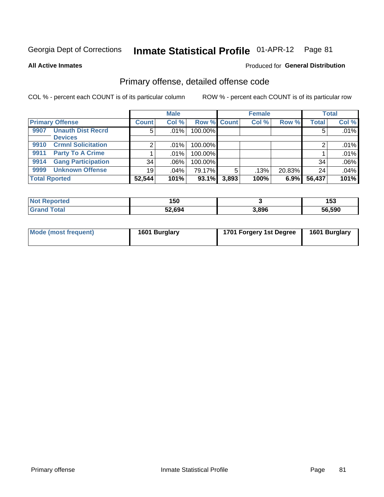**All Active Inmates**

#### Produced for **General Distribution**

### Primary offense, detailed offense code

|                                   |                 | <b>Male</b> |             |       | <b>Female</b> |        |              | <b>Total</b> |
|-----------------------------------|-----------------|-------------|-------------|-------|---------------|--------|--------------|--------------|
| <b>Primary Offense</b>            | <b>Count</b>    | Col %       | Row % Count |       | Col %         | Row %  | <b>Total</b> | Col %        |
| <b>Unauth Dist Recrd</b><br>9907  | 5               | .01%        | 100.00%     |       |               |        | 5            | .01%         |
| <b>Devices</b>                    |                 |             |             |       |               |        |              |              |
| <b>Crmnl Solicitation</b><br>9910 |                 | $.01\%$     | 100.00%     |       |               |        |              | .01%         |
| <b>Party To A Crime</b><br>9911   |                 | .01%        | 100.00%     |       |               |        |              | .01%         |
| <b>Gang Participation</b><br>9914 | 34              | $.06\%$     | 100.00%     |       |               |        | 34           | .06%         |
| <b>Unknown Offense</b><br>9999    | 19 <sup>1</sup> | $.04\%$     | 79.17%      | 5     | .13%          | 20.83% | 24           | .04%         |
| <b>Total Rported</b>              | 52,544          | 101%        | 93.1%       | 3,893 | 100%          | 6.9%   | 56,437       | 101%         |

| ported<br>' N∩t | 150    |       | 452<br>טטו |
|-----------------|--------|-------|------------|
| $\sim$          | 52,694 | 3,896 | 56,590     |

| Mode (most frequent) | 1601 Burglary | 1701 Forgery 1st Degree | 1601 Burglary |
|----------------------|---------------|-------------------------|---------------|
|                      |               |                         |               |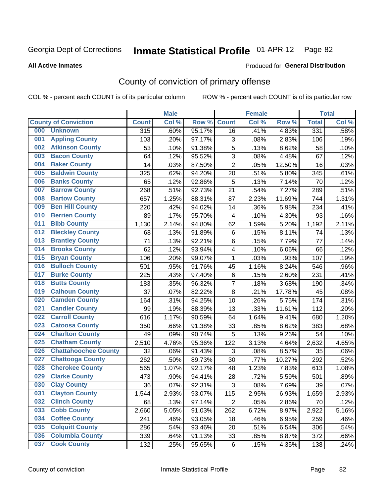Produced for **General Distribution**

#### **All Active Inmates**

## County of conviction of primary offense

|     |                             |              | <b>Male</b> |        | <b>Female</b>           |       |        | <b>Total</b> |       |
|-----|-----------------------------|--------------|-------------|--------|-------------------------|-------|--------|--------------|-------|
|     | <b>County of Conviction</b> | <b>Count</b> | Col %       | Row %  | <b>Count</b>            | Col % | Row %  | <b>Total</b> | Col % |
| 000 | <b>Unknown</b>              | 315          | .60%        | 95.17% | 16                      | .41%  | 4.83%  | 331          | .58%  |
| 001 | <b>Appling County</b>       | 103          | .20%        | 97.17% | 3                       | .08%  | 2.83%  | 106          | .19%  |
| 002 | <b>Atkinson County</b>      | 53           | .10%        | 91.38% | 5                       | .13%  | 8.62%  | 58           | .10%  |
| 003 | <b>Bacon County</b>         | 64           | .12%        | 95.52% | 3                       | .08%  | 4.48%  | 67           | .12%  |
| 004 | <b>Baker County</b>         | 14           | .03%        | 87.50% | $\overline{2}$          | .05%  | 12.50% | 16           | .03%  |
| 005 | <b>Baldwin County</b>       | 325          | .62%        | 94.20% | 20                      | .51%  | 5.80%  | 345          | .61%  |
| 006 | <b>Banks County</b>         | 65           | .12%        | 92.86% | 5                       | .13%  | 7.14%  | 70           | .12%  |
| 007 | <b>Barrow County</b>        | 268          | .51%        | 92.73% | 21                      | .54%  | 7.27%  | 289          | .51%  |
| 008 | <b>Bartow County</b>        | 657          | 1.25%       | 88.31% | 87                      | 2.23% | 11.69% | 744          | 1.31% |
| 009 | <b>Ben Hill County</b>      | 220          | .42%        | 94.02% | 14                      | .36%  | 5.98%  | 234          | .41%  |
| 010 | <b>Berrien County</b>       | 89           | .17%        | 95.70% | $\overline{\mathbf{4}}$ | .10%  | 4.30%  | 93           | .16%  |
| 011 | <b>Bibb County</b>          | 1,130        | 2.14%       | 94.80% | 62                      | 1.59% | 5.20%  | 1,192        | 2.11% |
| 012 | <b>Bleckley County</b>      | 68           | .13%        | 91.89% | 6                       | .15%  | 8.11%  | 74           | .13%  |
| 013 | <b>Brantley County</b>      | 71           | .13%        | 92.21% | 6                       | .15%  | 7.79%  | 77           | .14%  |
| 014 | <b>Brooks County</b>        | 62           | .12%        | 93.94% | 4                       | .10%  | 6.06%  | 66           | .12%  |
| 015 | <b>Bryan County</b>         | 106          | .20%        | 99.07% | 1                       | .03%  | .93%   | 107          | .19%  |
| 016 | <b>Bulloch County</b>       | 501          | .95%        | 91.76% | 45                      | 1.16% | 8.24%  | 546          | .96%  |
| 017 | <b>Burke County</b>         | 225          | .43%        | 97.40% | $\,6$                   | .15%  | 2.60%  | 231          | .41%  |
| 018 | <b>Butts County</b>         | 183          | .35%        | 96.32% | $\overline{7}$          | .18%  | 3.68%  | 190          | .34%  |
| 019 | <b>Calhoun County</b>       | 37           | .07%        | 82.22% | 8                       | .21%  | 17.78% | 45           | .08%  |
| 020 | <b>Camden County</b>        | 164          | .31%        | 94.25% | 10                      | .26%  | 5.75%  | 174          | .31%  |
| 021 | <b>Candler County</b>       | 99           | .19%        | 88.39% | 13                      | .33%  | 11.61% | 112          | .20%  |
| 022 | <b>Carroll County</b>       | 616          | 1.17%       | 90.59% | 64                      | 1.64% | 9.41%  | 680          | 1.20% |
| 023 | <b>Catoosa County</b>       | 350          | .66%        | 91.38% | 33                      | .85%  | 8.62%  | 383          | .68%  |
| 024 | <b>Charlton County</b>      | 49           | .09%        | 90.74% | 5                       | .13%  | 9.26%  | 54           | .10%  |
| 025 | <b>Chatham County</b>       | 2,510        | 4.76%       | 95.36% | 122                     | 3.13% | 4.64%  | 2,632        | 4.65% |
| 026 | <b>Chattahoochee County</b> | 32           | .06%        | 91.43% | 3                       | .08%  | 8.57%  | 35           | .06%  |
| 027 | <b>Chattooga County</b>     | 262          | .50%        | 89.73% | 30                      | .77%  | 10.27% | 292          | .52%  |
| 028 | <b>Cherokee County</b>      | 565          | 1.07%       | 92.17% | 48                      | 1.23% | 7.83%  | 613          | 1.08% |
| 029 | <b>Clarke County</b>        | 473          | .90%        | 94.41% | 28                      | .72%  | 5.59%  | 501          | .89%  |
| 030 | <b>Clay County</b>          | 36           | .07%        | 92.31% | 3                       | .08%  | 7.69%  | 39           | .07%  |
| 031 | <b>Clayton County</b>       | 1,544        | 2.93%       | 93.07% | 115                     | 2.95% | 6.93%  | 1,659        | 2.93% |
| 032 | <b>Clinch County</b>        | 68           | .13%        | 97.14% | $\overline{2}$          | .05%  | 2.86%  | 70           | .12%  |
| 033 | <b>Cobb County</b>          | 2,660        | 5.05%       | 91.03% | 262                     | 6.72% | 8.97%  | 2,922        | 5.16% |
| 034 | <b>Coffee County</b>        | 241          | .46%        | 93.05% | 18                      | .46%  | 6.95%  | 259          | .46%  |
| 035 | <b>Colquitt County</b>      | 286          | .54%        | 93.46% | 20                      | .51%  | 6.54%  | 306          | .54%  |
| 036 | <b>Columbia County</b>      | 339          | .64%        | 91.13% | 33                      | .85%  | 8.87%  | 372          | .66%  |
| 037 | <b>Cook County</b>          | 132          | .25%        | 95.65% | 6                       | .15%  | 4.35%  | 138          | .24%  |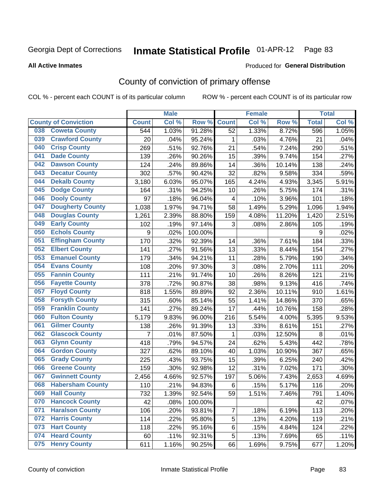**All Active Inmates**

#### Produced for **General Distribution**

## County of conviction of primary offense

| <b>Male</b><br><b>Female</b> |                             |                | <b>Total</b> |         |                           |          |        |              |       |
|------------------------------|-----------------------------|----------------|--------------|---------|---------------------------|----------|--------|--------------|-------|
|                              | <b>County of Conviction</b> | <b>Count</b>   | Col %        | Row %   | <b>Count</b>              | Col%     | Row %  | <b>Total</b> | Col % |
| 038                          | <b>Coweta County</b>        | 544            | 1.03%        | 91.28%  | 52                        | 1.33%    | 8.72%  | 596          | 1.05% |
| 039                          | <b>Crawford County</b>      | 20             | .04%         | 95.24%  | 1                         | .03%     | 4.76%  | 21           | .04%  |
| 040                          | <b>Crisp County</b>         | 269            | .51%         | 92.76%  | 21                        | .54%     | 7.24%  | 290          | .51%  |
| 041                          | <b>Dade County</b>          | 139            | .26%         | 90.26%  | 15                        | .39%     | 9.74%  | 154          | .27%  |
| 042                          | <b>Dawson County</b>        | 124            | .24%         | 89.86%  | 14                        | .36%     | 10.14% | 138          | .24%  |
| 043                          | <b>Decatur County</b>       | 302            | .57%         | 90.42%  | 32                        | .82%     | 9.58%  | 334          | .59%  |
| 044                          | <b>Dekalb County</b>        | 3,180          | 6.03%        | 95.07%  | 165                       | 4.24%    | 4.93%  | 3,345        | 5.91% |
| 045                          | <b>Dodge County</b>         | 164            | .31%         | 94.25%  | 10                        | .26%     | 5.75%  | 174          | .31%  |
| 046                          | <b>Dooly County</b>         | 97             | .18%         | 96.04%  | 4                         | .10%     | 3.96%  | 101          | .18%  |
| 047                          | <b>Dougherty County</b>     | 1,038          | 1.97%        | 94.71%  | 58                        | 1.49%    | 5.29%  | 1,096        | 1.94% |
| 048                          | <b>Douglas County</b>       | 1,261          | 2.39%        | 88.80%  | 159                       | 4.08%    | 11.20% | 1,420        | 2.51% |
| 049                          | <b>Early County</b>         | 102            | .19%         | 97.14%  | 3                         | .08%     | 2.86%  | 105          | .19%  |
| 050                          | <b>Echols County</b>        | 9              | .02%         | 100.00% |                           |          |        | 9            | .02%  |
| 051                          | <b>Effingham County</b>     | 170            | .32%         | 92.39%  | 14                        | .36%     | 7.61%  | 184          | .33%  |
| 052                          | <b>Elbert County</b>        | 141            | .27%         | 91.56%  | 13                        | .33%     | 8.44%  | 154          | .27%  |
| 053                          | <b>Emanuel County</b>       | 179            | .34%         | 94.21%  | 11                        | .28%     | 5.79%  | 190          | .34%  |
| 054                          | <b>Evans County</b>         | 108            | .20%         | 97.30%  | $\ensuremath{\mathsf{3}}$ | .08%     | 2.70%  | 111          | .20%  |
| 055                          | <b>Fannin County</b>        | 111            | .21%         | 91.74%  | 10                        | .26%     | 8.26%  | 121          | .21%  |
| 056                          | <b>Fayette County</b>       | 378            | .72%         | 90.87%  | 38                        | .98%     | 9.13%  | 416          | .74%  |
| 057                          | <b>Floyd County</b>         | 818            | 1.55%        | 89.89%  | 92                        | 2.36%    | 10.11% | 910          | 1.61% |
| 058                          | <b>Forsyth County</b>       | 315            | .60%         | 85.14%  | 55                        | 1.41%    | 14.86% | 370          | .65%  |
| 059                          | <b>Franklin County</b>      | 141            | .27%         | 89.24%  | 17                        | .44%     | 10.76% | 158          | .28%  |
| 060                          | <b>Fulton County</b>        | 5,179          | 9.83%        | 96.00%  | 216                       | $5.54\%$ | 4.00%  | 5,395        | 9.53% |
| 061                          | <b>Gilmer County</b>        | 138            | .26%         | 91.39%  | 13                        | .33%     | 8.61%  | 151          | .27%  |
| 062                          | <b>Glascock County</b>      | $\overline{7}$ | .01%         | 87.50%  | $\mathbf{1}$              | .03%     | 12.50% | 8            | .01%  |
| 063                          | <b>Glynn County</b>         | 418            | .79%         | 94.57%  | 24                        | .62%     | 5.43%  | 442          | .78%  |
| 064                          | <b>Gordon County</b>        | 327            | .62%         | 89.10%  | 40                        | 1.03%    | 10.90% | 367          | .65%  |
| 065                          | <b>Grady County</b>         | 225            | .43%         | 93.75%  | 15                        | .39%     | 6.25%  | 240          | .42%  |
| 066                          | <b>Greene County</b>        | 159            | .30%         | 92.98%  | 12                        | .31%     | 7.02%  | 171          | .30%  |
| 067                          | <b>Gwinnett County</b>      | 2,456          | 4.66%        | 92.57%  | 197                       | 5.06%    | 7.43%  | 2,653        | 4.69% |
| 068                          | <b>Habersham County</b>     | 110            | .21%         | 94.83%  | 6                         | .15%     | 5.17%  | 116          | .20%  |
| 069                          | <b>Hall County</b>          | 732            | 1.39%        | 92.54%  | 59                        | 1.51%    | 7.46%  | 791          | 1.40% |
| 070                          | <b>Hancock County</b>       | 42             | .08%         | 100.00% |                           |          |        | 42           | .07%  |
| 071                          | <b>Haralson County</b>      | 106            | .20%         | 93.81%  | $\overline{7}$            | .18%     | 6.19%  | 113          | .20%  |
| 072                          | <b>Harris County</b>        | 114            | .22%         | 95.80%  | 5                         | .13%     | 4.20%  | 119          | .21%  |
| 073                          | <b>Hart County</b>          | 118            | .22%         | 95.16%  | 6                         | .15%     | 4.84%  | 124          | .22%  |
| 074                          | <b>Heard County</b>         | 60             | .11%         | 92.31%  | 5                         | .13%     | 7.69%  | 65           | .11%  |
| 075                          | <b>Henry County</b>         | 611            | 1.16%        | 90.25%  | 66                        | 1.69%    | 9.75%  | 677          | 1.20% |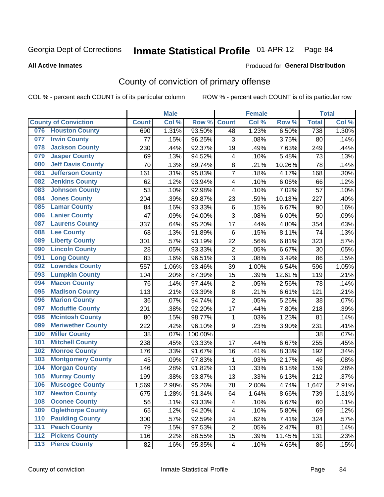Produced for **General Distribution**

#### **All Active Inmates**

# County of conviction of primary offense

|     |                             |              | <b>Male</b> |         |                         | <b>Female</b> |        |              | <b>Total</b> |
|-----|-----------------------------|--------------|-------------|---------|-------------------------|---------------|--------|--------------|--------------|
|     | <b>County of Conviction</b> | <b>Count</b> | Col %       | Row %   | <b>Count</b>            | Col %         | Row %  | <b>Total</b> | Col %        |
| 076 | <b>Houston County</b>       | 690          | 1.31%       | 93.50%  | 48                      | 1.23%         | 6.50%  | 738          | 1.30%        |
| 077 | <b>Irwin County</b>         | 77           | .15%        | 96.25%  | 3                       | .08%          | 3.75%  | 80           | .14%         |
| 078 | <b>Jackson County</b>       | 230          | .44%        | 92.37%  | 19                      | .49%          | 7.63%  | 249          | .44%         |
| 079 | <b>Jasper County</b>        | 69           | .13%        | 94.52%  | 4                       | .10%          | 5.48%  | 73           | .13%         |
| 080 | <b>Jeff Davis County</b>    | 70           | .13%        | 89.74%  | 8                       | .21%          | 10.26% | 78           | .14%         |
| 081 | <b>Jefferson County</b>     | 161          | .31%        | 95.83%  | $\overline{7}$          | .18%          | 4.17%  | 168          | .30%         |
| 082 | <b>Jenkins County</b>       | 62           | .12%        | 93.94%  | $\overline{\mathbf{4}}$ | .10%          | 6.06%  | 66           | .12%         |
| 083 | <b>Johnson County</b>       | 53           | .10%        | 92.98%  | 4                       | .10%          | 7.02%  | 57           | .10%         |
| 084 | <b>Jones County</b>         | 204          | .39%        | 89.87%  | 23                      | .59%          | 10.13% | 227          | .40%         |
| 085 | <b>Lamar County</b>         | 84           | .16%        | 93.33%  | 6                       | .15%          | 6.67%  | 90           | .16%         |
| 086 | <b>Lanier County</b>        | 47           | .09%        | 94.00%  | 3                       | .08%          | 6.00%  | 50           | .09%         |
| 087 | <b>Laurens County</b>       | 337          | .64%        | 95.20%  | 17                      | .44%          | 4.80%  | 354          | .63%         |
| 088 | <b>Lee County</b>           | 68           | .13%        | 91.89%  | 6                       | .15%          | 8.11%  | 74           | .13%         |
| 089 | <b>Liberty County</b>       | 301          | .57%        | 93.19%  | 22                      | .56%          | 6.81%  | 323          | .57%         |
| 090 | <b>Lincoln County</b>       | 28           | .05%        | 93.33%  | $\overline{2}$          | .05%          | 6.67%  | 30           | .05%         |
| 091 | <b>Long County</b>          | 83           | .16%        | 96.51%  | 3                       | .08%          | 3.49%  | 86           | .15%         |
| 092 | <b>Lowndes County</b>       | 557          | 1.06%       | 93.46%  | 39                      | 1.00%         | 6.54%  | 596          | 1.05%        |
| 093 | <b>Lumpkin County</b>       | 104          | .20%        | 87.39%  | 15                      | .39%          | 12.61% | 119          | .21%         |
| 094 | <b>Macon County</b>         | 76           | .14%        | 97.44%  | $\mathbf 2$             | .05%          | 2.56%  | 78           | .14%         |
| 095 | <b>Madison County</b>       | 113          | .21%        | 93.39%  | $\bf 8$                 | .21%          | 6.61%  | 121          | .21%         |
| 096 | <b>Marion County</b>        | 36           | .07%        | 94.74%  | $\overline{2}$          | .05%          | 5.26%  | 38           | .07%         |
| 097 | <b>Mcduffie County</b>      | 201          | .38%        | 92.20%  | 17                      | .44%          | 7.80%  | 218          | .39%         |
| 098 | <b>Mcintosh County</b>      | 80           | .15%        | 98.77%  | 1                       | .03%          | 1.23%  | 81           | .14%         |
| 099 | <b>Meriwether County</b>    | 222          | .42%        | 96.10%  | 9                       | .23%          | 3.90%  | 231          | .41%         |
| 100 | <b>Miller County</b>        | 38           | .07%        | 100.00% |                         |               |        | 38           | .07%         |
| 101 | <b>Mitchell County</b>      | 238          | .45%        | 93.33%  | 17                      | .44%          | 6.67%  | 255          | .45%         |
| 102 | <b>Monroe County</b>        | 176          | .33%        | 91.67%  | 16                      | .41%          | 8.33%  | 192          | .34%         |
| 103 | <b>Montgomery County</b>    | 45           | .09%        | 97.83%  | $\mathbf{1}$            | .03%          | 2.17%  | 46           | .08%         |
| 104 | <b>Morgan County</b>        | 146          | .28%        | 91.82%  | 13                      | .33%          | 8.18%  | 159          | .28%         |
| 105 | <b>Murray County</b>        | 199          | .38%        | 93.87%  | 13                      | .33%          | 6.13%  | 212          | .37%         |
| 106 | <b>Muscogee County</b>      | 1,569        | 2.98%       | 95.26%  | 78                      | 2.00%         | 4.74%  | 1,647        | 2.91%        |
| 107 | <b>Newton County</b>        | 675          | 1.28%       | 91.34%  | 64                      | 1.64%         | 8.66%  | 739          | 1.31%        |
| 108 | <b>Oconee County</b>        | 56           | .11%        | 93.33%  | 4                       | .10%          | 6.67%  | 60           | .11%         |
| 109 | <b>Oglethorpe County</b>    | 65           | .12%        | 94.20%  | 4                       | .10%          | 5.80%  | 69           | .12%         |
| 110 | <b>Paulding County</b>      | 300          | .57%        | 92.59%  | 24                      | .62%          | 7.41%  | 324          | .57%         |
| 111 | <b>Peach County</b>         | 79           | .15%        | 97.53%  | $\overline{2}$          | .05%          | 2.47%  | 81           | .14%         |
| 112 | <b>Pickens County</b>       | 116          | .22%        | 88.55%  | 15                      | .39%          | 11.45% | 131          | .23%         |
| 113 | <b>Pierce County</b>        | 82           | .16%        | 95.35%  | 4                       | .10%          | 4.65%  | 86           | .15%         |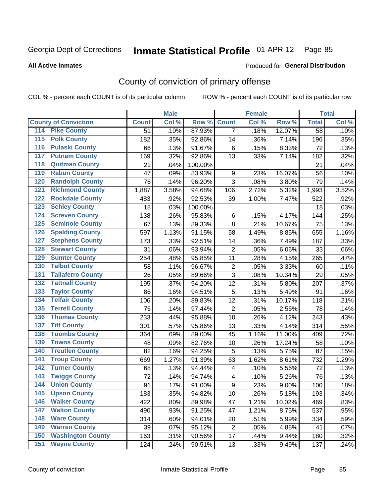Produced for **General Distribution**

#### **All Active Inmates**

## County of conviction of primary offense

|                                          |                 | <b>Male</b> |         |                         | <b>Female</b> |        |              | <b>Total</b> |
|------------------------------------------|-----------------|-------------|---------|-------------------------|---------------|--------|--------------|--------------|
| <b>County of Conviction</b>              | <b>Count</b>    | Col %       | Row %   | <b>Count</b>            | Col %         | Row %  | <b>Total</b> | Col %        |
| 114 Pike County                          | $\overline{51}$ | .10%        | 87.93%  | $\overline{7}$          | .18%          | 12.07% | 58           | .10%         |
| <b>Polk County</b><br>$\overline{115}$   | 182             | .35%        | 92.86%  | 14                      | .36%          | 7.14%  | 196          | .35%         |
| <b>Pulaski County</b><br>116             | 66              | .13%        | 91.67%  | $6\phantom{1}6$         | .15%          | 8.33%  | 72           | .13%         |
| 117<br><b>Putnam County</b>              | 169             | .32%        | 92.86%  | 13                      | .33%          | 7.14%  | 182          | .32%         |
| <b>Quitman County</b><br>118             | 21              | .04%        | 100.00% |                         |               |        | 21           | .04%         |
| <b>Rabun County</b><br>119               | 47              | .09%        | 83.93%  | 9                       | .23%          | 16.07% | 56           | .10%         |
| <b>Randolph County</b><br>120            | 76              | .14%        | 96.20%  | 3                       | .08%          | 3.80%  | 79           | .14%         |
| <b>Richmond County</b><br>121            | 1,887           | 3.58%       | 94.68%  | 106                     | 2.72%         | 5.32%  | 1,993        | 3.52%        |
| <b>Rockdale County</b><br>122            | 483             | .92%        | 92.53%  | 39                      | 1.00%         | 7.47%  | 522          | .92%         |
| <b>Schley County</b><br>123              | 18              | .03%        | 100.00% |                         |               |        | 18           | .03%         |
| <b>Screven County</b><br>124             | 138             | .26%        | 95.83%  | $\,6$                   | .15%          | 4.17%  | 144          | .25%         |
| <b>Seminole County</b><br>125            | 67              | .13%        | 89.33%  | 8                       | .21%          | 10.67% | 75           | .13%         |
| <b>Spalding County</b><br>126            | 597             | 1.13%       | 91.15%  | 58                      | 1.49%         | 8.85%  | 655          | 1.16%        |
| <b>Stephens County</b><br>127            | 173             | .33%        | 92.51%  | 14                      | .36%          | 7.49%  | 187          | .33%         |
| <b>Stewart County</b><br>128             | 31              | .06%        | 93.94%  | $\overline{2}$          | .05%          | 6.06%  | 33           | .06%         |
| <b>Sumter County</b><br>129              | 254             | .48%        | 95.85%  | 11                      | .28%          | 4.15%  | 265          | .47%         |
| <b>Talbot County</b><br>130              | 58              | .11%        | 96.67%  | $\overline{2}$          | .05%          | 3.33%  | 60           | .11%         |
| <b>Taliaferro County</b><br>131          | 26              | .05%        | 89.66%  | 3                       | .08%          | 10.34% | 29           | .05%         |
| <b>Tattnall County</b><br>132            | 195             | .37%        | 94.20%  | 12                      | .31%          | 5.80%  | 207          | .37%         |
| <b>Taylor County</b><br>133              | 86              | .16%        | 94.51%  | $\sqrt{5}$              | .13%          | 5.49%  | 91           | .16%         |
| <b>Telfair County</b><br>134             | 106             | .20%        | 89.83%  | 12                      | .31%          | 10.17% | 118          | .21%         |
| <b>Terrell County</b><br>135             | 76              | .14%        | 97.44%  | $\overline{2}$          | .05%          | 2.56%  | 78           | .14%         |
| <b>Thomas County</b><br>136              | 233             | .44%        | 95.88%  | 10                      | .26%          | 4.12%  | 243          | .43%         |
| <b>Tift County</b><br>137                | 301             | .57%        | 95.86%  | 13                      | .33%          | 4.14%  | 314          | .55%         |
| <b>Toombs County</b><br>138              | 364             | .69%        | 89.00%  | 45                      | 1.16%         | 11.00% | 409          | .72%         |
| <b>Towns County</b><br>139               | 48              | .09%        | 82.76%  | 10                      | .26%          | 17.24% | 58           | .10%         |
| <b>Treutlen County</b><br>140            | 82              | .16%        | 94.25%  | 5                       | .13%          | 5.75%  | 87           | .15%         |
| <b>Troup County</b><br>141               | 669             | 1.27%       | 91.39%  | 63                      | 1.62%         | 8.61%  | 732          | 1.29%        |
| <b>Turner County</b><br>142              | 68              | .13%        | 94.44%  | $\overline{\mathbf{4}}$ | .10%          | 5.56%  | 72           | .13%         |
| <b>Twiggs County</b><br>$\overline{143}$ | 72              | .14%        | 94.74%  | $\overline{\mathbf{4}}$ | .10%          | 5.26%  | 76           | .13%         |
| <b>Union County</b><br>144               | 91              | .17%        | 91.00%  | $\boldsymbol{9}$        | .23%          | 9.00%  | 100          | .18%         |
| 145<br><b>Upson County</b>               | 183             | .35%        | 94.82%  | 10                      | .26%          | 5.18%  | 193          | .34%         |
| <b>Walker County</b><br>146              | 422             | .80%        | 89.98%  | 47                      | 1.21%         | 10.02% | 469          | .83%         |
| <b>Walton County</b><br>147              | 490             | .93%        | 91.25%  | 47                      | 1.21%         | 8.75%  | 537          | .95%         |
| <b>Ware County</b><br>148                | 314             | .60%        | 94.01%  | 20                      | .51%          | 5.99%  | 334          | .59%         |
| <b>Warren County</b><br>149              | 39              | .07%        | 95.12%  | $\overline{2}$          | .05%          | 4.88%  | 41           | .07%         |
| <b>Washington County</b><br>150          | 163             | .31%        | 90.56%  | 17                      | .44%          | 9.44%  | 180          | .32%         |
| <b>Wayne County</b><br>151               | 124             | .24%        | 90.51%  | 13                      | .33%          | 9.49%  | 137          | .24%         |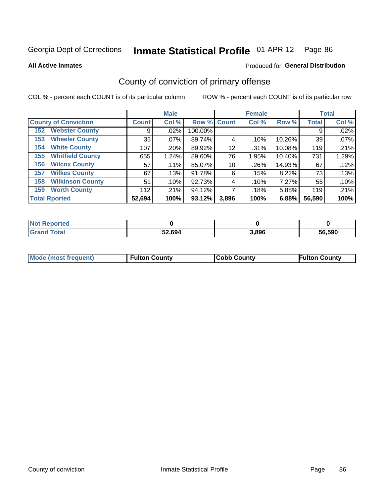**All Active Inmates**

#### Produced for **General Distribution**

### County of conviction of primary offense

|                                |              | <b>Male</b> |             |       | <b>Female</b> |        |              | <b>Total</b> |
|--------------------------------|--------------|-------------|-------------|-------|---------------|--------|--------------|--------------|
| <b>County of Conviction</b>    | <b>Count</b> | Col %       | Row % Count |       | Col %         | Row %  | <b>Total</b> | Col %        |
| <b>Webster County</b><br>152   | 9            | $.02\%$     | 100.00%     |       |               |        | 9            | .02%         |
| <b>Wheeler County</b><br>153   | 35           | $.07\%$     | 89.74%      | 4     | .10%          | 10.26% | 39           | .07%         |
| <b>White County</b><br>154     | 107          | .20%        | 89.92%      | 12    | .31%          | 10.08% | 119          | .21%         |
| <b>Whitfield County</b><br>155 | 655          | 1.24%       | 89.60%      | 76    | 1.95%         | 10.40% | 731          | 1.29%        |
| <b>Wilcox County</b><br>156    | 57           | .11%        | 85.07%      | 10    | .26%          | 14.93% | 67           | .12%         |
| <b>Wilkes County</b><br>157    | 67           | .13%        | 91.78%      | 6     | .15%          | 8.22%  | 73           | .13%         |
| <b>Wilkinson County</b><br>158 | 51           | .10%        | 92.73%      | 4     | .10%          | 7.27%  | 55           | .10%         |
| <b>Worth County</b><br>159     | 112          | .21%        | 94.12%      |       | .18%          | 5.88%  | 119          | .21%         |
| <b>Total Rported</b>           | 52,694       | 100%        | 93.12%      | 3,896 | 100%          | 6.88%  | 56,590       | 100%         |

| <b>Not Reported</b> |        |       |        |
|---------------------|--------|-------|--------|
| <b>Grand Total</b>  | 52,694 | 3,896 | 56,590 |

| <b>Mode (most frequent)</b> | <b>Fulton County</b> | <b>ICobb County</b> | <b>Fulton County</b> |
|-----------------------------|----------------------|---------------------|----------------------|
|                             |                      |                     |                      |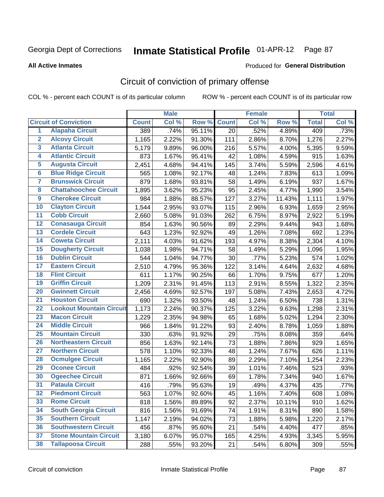#### **All Active Inmates**

#### Produced for **General Distribution**

## Circuit of conviction of primary offense

|                         |                                 |              | <b>Male</b> |        |              | <b>Female</b> |        |              | <b>Total</b> |
|-------------------------|---------------------------------|--------------|-------------|--------|--------------|---------------|--------|--------------|--------------|
|                         | <b>Circuit of Conviction</b>    | <b>Count</b> | Col %       | Row %  | <b>Count</b> | Col %         | Row %  | <b>Total</b> | Col %        |
| $\overline{1}$          | <b>Alapaha Circuit</b>          | 389          | .74%        | 95.11% | 20           | .52%          | 4.89%  | 409          | .73%         |
| $\overline{2}$          | <b>Alcovy Circuit</b>           | 1,165        | 2.22%       | 91.30% | 111          | 2.86%         | 8.70%  | 1,276        | 2.27%        |
| 3                       | <b>Atlanta Circuit</b>          | 5,179        | 9.89%       | 96.00% | 216          | 5.57%         | 4.00%  | 5,395        | 9.59%        |
| 4                       | <b>Atlantic Circuit</b>         | 873          | 1.67%       | 95.41% | 42           | 1.08%         | 4.59%  | 915          | 1.63%        |
| 5                       | <b>Augusta Circuit</b>          | 2,451        | 4.68%       | 94.41% | 145          | 3.74%         | 5.59%  | 2,596        | 4.61%        |
| $6\overline{6}$         | <b>Blue Ridge Circuit</b>       | 565          | 1.08%       | 92.17% | 48           | 1.24%         | 7.83%  | 613          | 1.09%        |
| $\overline{\mathbf{7}}$ | <b>Brunswick Circuit</b>        | 879          | 1.68%       | 93.81% | 58           | 1.49%         | 6.19%  | 937          | 1.67%        |
| 8                       | <b>Chattahoochee Circuit</b>    | 1,895        | 3.62%       | 95.23% | 95           | 2.45%         | 4.77%  | 1,990        | 3.54%        |
| $\overline{9}$          | <b>Cherokee Circuit</b>         | 984          | 1.88%       | 88.57% | 127          | 3.27%         | 11.43% | 1,111        | 1.97%        |
| 10                      | <b>Clayton Circuit</b>          | 1,544        | 2.95%       | 93.07% | 115          | 2.96%         | 6.93%  | 1,659        | 2.95%        |
| 11                      | <b>Cobb Circuit</b>             | 2,660        | 5.08%       | 91.03% | 262          | 6.75%         | 8.97%  | 2,922        | 5.19%        |
| 12                      | <b>Conasauga Circuit</b>        | 854          | 1.63%       | 90.56% | 89           | 2.29%         | 9.44%  | 943          | 1.68%        |
| 13                      | <b>Cordele Circuit</b>          | 643          | 1.23%       | 92.92% | 49           | 1.26%         | 7.08%  | 692          | 1.23%        |
| $\overline{14}$         | <b>Coweta Circuit</b>           | 2,111        | 4.03%       | 91.62% | 193          | 4.97%         | 8.38%  | 2,304        | 4.10%        |
| 15                      | <b>Dougherty Circuit</b>        | 1,038        | 1.98%       | 94.71% | 58           | 1.49%         | 5.29%  | 1,096        | 1.95%        |
| 16                      | <b>Dublin Circuit</b>           | 544          | 1.04%       | 94.77% | 30           | .77%          | 5.23%  | 574          | 1.02%        |
| 17                      | <b>Eastern Circuit</b>          | 2,510        | 4.79%       | 95.36% | 122          | 3.14%         | 4.64%  | 2,632        | 4.68%        |
| 18                      | <b>Flint Circuit</b>            | 611          | 1.17%       | 90.25% | 66           | 1.70%         | 9.75%  | 677          | 1.20%        |
| 19                      | <b>Griffin Circuit</b>          | 1,209        | 2.31%       | 91.45% | 113          | 2.91%         | 8.55%  | 1,322        | 2.35%        |
| 20                      | <b>Gwinnett Circuit</b>         | 2,456        | 4.69%       | 92.57% | 197          | 5.08%         | 7.43%  | 2,653        | 4.72%        |
| $\overline{21}$         | <b>Houston Circuit</b>          | 690          | 1.32%       | 93.50% | 48           | 1.24%         | 6.50%  | 738          | 1.31%        |
| $\overline{22}$         | <b>Lookout Mountain Circuit</b> | 1,173        | 2.24%       | 90.37% | 125          | 3.22%         | 9.63%  | 1,298        | 2.31%        |
| 23                      | <b>Macon Circuit</b>            | 1,229        | 2.35%       | 94.98% | 65           | 1.68%         | 5.02%  | 1,294        | 2.30%        |
| 24                      | <b>Middle Circuit</b>           | 966          | 1.84%       | 91.22% | 93           | 2.40%         | 8.78%  | 1,059        | 1.88%        |
| 25                      | <b>Mountain Circuit</b>         | 330          | .63%        | 91.92% | 29           | .75%          | 8.08%  | 359          | .64%         |
| 26                      | <b>Northeastern Circuit</b>     | 856          | 1.63%       | 92.14% | 73           | 1.88%         | 7.86%  | 929          | 1.65%        |
| $\overline{27}$         | <b>Northern Circuit</b>         | 578          | 1.10%       | 92.33% | 48           | 1.24%         | 7.67%  | 626          | 1.11%        |
| 28                      | <b>Ocmulgee Circuit</b>         | 1,165        | 2.22%       | 92.90% | 89           | 2.29%         | 7.10%  | 1,254        | 2.23%        |
| 29                      | <b>Oconee Circuit</b>           | 484          | .92%        | 92.54% | 39           | 1.01%         | 7.46%  | 523          | .93%         |
| 30                      | <b>Ogeechee Circuit</b>         | 871          | 1.66%       | 92.66% | 69           | 1.78%         | 7.34%  | 940          | 1.67%        |
| $\overline{31}$         | <b>Pataula Circuit</b>          | 416          | .79%        | 95.63% | 19           | .49%          | 4.37%  | 435          | .77%         |
| 32                      | <b>Piedmont Circuit</b>         | 563          | 1.07%       | 92.60% | 45           | 1.16%         | 7.40%  | 608          | 1.08%        |
| 33                      | <b>Rome Circuit</b>             | 818          | 1.56%       | 89.89% | 92           | 2.37%         | 10.11% | 910          | 1.62%        |
| 34                      | <b>South Georgia Circuit</b>    | 816          | 1.56%       | 91.69% | 74           | 1.91%         | 8.31%  | 890          | 1.58%        |
| 35                      | <b>Southern Circuit</b>         | 1,147        | 2.19%       | 94.02% | 73           | 1.88%         | 5.98%  | 1,220        | 2.17%        |
| 36                      | <b>Southwestern Circuit</b>     | 456          | .87%        | 95.60% | 21           | .54%          | 4.40%  | 477          | .85%         |
| 37                      | <b>Stone Mountain Circuit</b>   | 3,180        | 6.07%       | 95.07% | 165          | 4.25%         | 4.93%  | 3,345        | 5.95%        |
| 38                      | <b>Tallapoosa Circuit</b>       | 288          | .55%        | 93.20% | 21           | .54%          | 6.80%  | 309          | .55%         |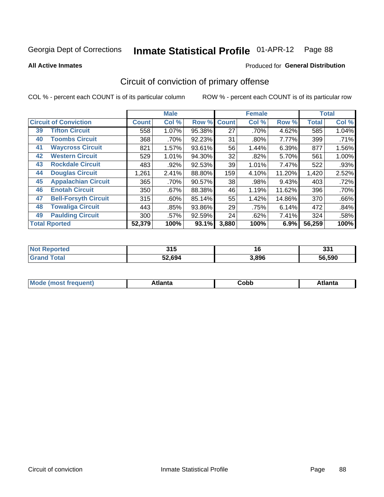Produced for **General Distribution**

#### **All Active Inmates**

# Circuit of conviction of primary offense

|    |                              |              | <b>Male</b> |        |              | <b>Female</b> |        |              | <b>Total</b> |
|----|------------------------------|--------------|-------------|--------|--------------|---------------|--------|--------------|--------------|
|    | <b>Circuit of Conviction</b> | <b>Count</b> | Col %       | Row %  | <b>Count</b> | Col %         | Row %  | <b>Total</b> | Col %        |
| 39 | <b>Tifton Circuit</b>        | 558          | 1.07%       | 95.38% | 27           | .70%          | 4.62%  | 585          | 1.04%        |
| 40 | <b>Toombs Circuit</b>        | 368          | .70%        | 92.23% | 31           | .80%          | 7.77%  | 399          | .71%         |
| 41 | <b>Waycross Circuit</b>      | 821          | 1.57%       | 93.61% | 56           | 1.44%         | 6.39%  | 877          | 1.56%        |
| 42 | <b>Western Circuit</b>       | 529          | 1.01%       | 94.30% | 32           | $.82\%$       | 5.70%  | 561          | 1.00%        |
| 43 | <b>Rockdale Circuit</b>      | 483          | .92%        | 92.53% | 39           | 1.01%         | 7.47%  | 522          | .93%         |
| 44 | <b>Douglas Circuit</b>       | 1,261        | 2.41%       | 88.80% | 159          | 4.10%         | 11.20% | 1,420        | 2.52%        |
| 45 | <b>Appalachian Circuit</b>   | 365          | .70%        | 90.57% | 38           | .98%          | 9.43%  | 403          | .72%         |
| 46 | <b>Enotah Circuit</b>        | 350          | .67%        | 88.38% | 46           | 1.19%         | 11.62% | 396          | .70%         |
| 47 | <b>Bell-Forsyth Circuit</b>  | 315          | $.60\%$     | 85.14% | 55           | 1.42%         | 14.86% | 370          | .66%         |
| 48 | <b>Towaliga Circuit</b>      | 443          | .85%        | 93.86% | 29           | .75%          | 6.14%  | 472          | .84%         |
| 49 | <b>Paulding Circuit</b>      | 300          | .57%        | 92.59% | 24           | .62%          | 7.41%  | 324          | .58%         |
|    | <b>Total Rported</b>         | 52,379       | 100%        | 93.1%  | 3,880        | 100%          | 6.9%   | 56,259       | 100%         |

| тес | 24F<br>J I J<br>$ -$ | ιu    | 994<br>၁၁ ၊ |
|-----|----------------------|-------|-------------|
|     | 52.694               | 3.896 | 56.590      |

| M<br>- - -<br>.<br>.<br>⊂opp<br>нс |
|------------------------------------|
|------------------------------------|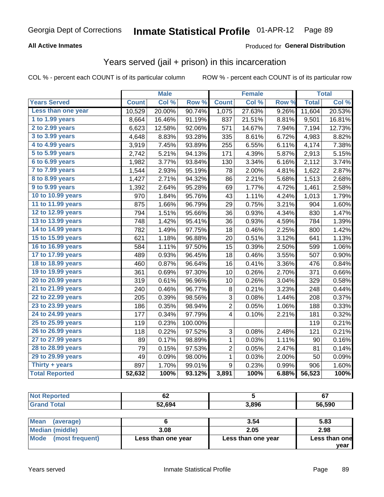#### **All Active Inmates**

#### Produced for **General Distribution**

### Years served (jail + prison) in this incarceration

|                       |              | <b>Male</b> |         |                | <b>Female</b> |       |              | <b>Total</b> |
|-----------------------|--------------|-------------|---------|----------------|---------------|-------|--------------|--------------|
| <b>Years Served</b>   | <b>Count</b> | Col %       | Row %   | <b>Count</b>   | Col %         | Row % | <b>Total</b> | Col %        |
| Less than one year    | 10,529       | 20.00%      | 90.74%  | 1,075          | 27.63%        | 9.26% | 11,604       | 20.53%       |
| 1 to 1.99 years       | 8,664        | 16.46%      | 91.19%  | 837            | 21.51%        | 8.81% | 9,501        | 16.81%       |
| 2 to 2.99 years       | 6,623        | 12.58%      | 92.06%  | 571            | 14.67%        | 7.94% | 7,194        | 12.73%       |
| 3 to 3.99 years       | 4,648        | 8.83%       | 93.28%  | 335            | 8.61%         | 6.72% | 4,983        | 8.82%        |
| 4 to 4.99 years       | 3,919        | 7.45%       | 93.89%  | 255            | 6.55%         | 6.11% | 4,174        | 7.38%        |
| 5 to 5.99 years       | 2,742        | 5.21%       | 94.13%  | 171            | 4.39%         | 5.87% | 2,913        | 5.15%        |
| 6 to 6.99 years       | 1,982        | 3.77%       | 93.84%  | 130            | 3.34%         | 6.16% | 2,112        | 3.74%        |
| 7 to 7.99 years       | 1,544        | 2.93%       | 95.19%  | 78             | 2.00%         | 4.81% | 1,622        | 2.87%        |
| 8 to 8.99 years       | 1,427        | 2.71%       | 94.32%  | 86             | 2.21%         | 5.68% | 1,513        | 2.68%        |
| 9 to 9.99 years       | 1,392        | 2.64%       | 95.28%  | 69             | 1.77%         | 4.72% | 1,461        | 2.58%        |
| 10 to 10.99 years     | 970          | 1.84%       | 95.76%  | 43             | 1.11%         | 4.24% | 1,013        | 1.79%        |
| 11 to 11.99 years     | 875          | 1.66%       | 96.79%  | 29             | 0.75%         | 3.21% | 904          | 1.60%        |
| 12 to 12.99 years     | 794          | 1.51%       | 95.66%  | 36             | 0.93%         | 4.34% | 830          | 1.47%        |
| 13 to 13.99 years     | 748          | 1.42%       | 95.41%  | 36             | 0.93%         | 4.59% | 784          | 1.39%        |
| 14 to 14.99 years     | 782          | 1.49%       | 97.75%  | 18             | 0.46%         | 2.25% | 800          | 1.42%        |
| 15 to 15.99 years     | 621          | 1.18%       | 96.88%  | 20             | 0.51%         | 3.12% | 641          | 1.13%        |
| 16 to 16.99 years     | 584          | 1.11%       | 97.50%  | 15             | 0.39%         | 2.50% | 599          | 1.06%        |
| 17 to 17.99 years     | 489          | 0.93%       | 96.45%  | 18             | 0.46%         | 3.55% | 507          | 0.90%        |
| 18 to 18.99 years     | 460          | 0.87%       | 96.64%  | 16             | 0.41%         | 3.36% | 476          | 0.84%        |
| 19 to 19.99 years     | 361          | 0.69%       | 97.30%  | 10             | 0.26%         | 2.70% | 371          | 0.66%        |
| 20 to 20.99 years     | 319          | 0.61%       | 96.96%  | 10             | 0.26%         | 3.04% | 329          | 0.58%        |
| 21 to 21.99 years     | 240          | 0.46%       | 96.77%  | 8              | 0.21%         | 3.23% | 248          | 0.44%        |
| 22 to 22.99 years     | 205          | 0.39%       | 98.56%  | 3              | 0.08%         | 1.44% | 208          | 0.37%        |
| 23 to 23.99 years     | 186          | 0.35%       | 98.94%  | 2              | 0.05%         | 1.06% | 188          | 0.33%        |
| 24 to 24.99 years     | 177          | 0.34%       | 97.79%  | 4              | 0.10%         | 2.21% | 181          | 0.32%        |
| 25 to 25.99 years     | 119          | 0.23%       | 100.00% |                |               |       | 119          | 0.21%        |
| 26 to 26.99 years     | 118          | 0.22%       | 97.52%  | 3              | 0.08%         | 2.48% | 121          | 0.21%        |
| 27 to 27.99 years     | 89           | 0.17%       | 98.89%  | 1              | 0.03%         | 1.11% | 90           | 0.16%        |
| 28 to 28.99 years     | 79           | 0.15%       | 97.53%  | $\overline{c}$ | 0.05%         | 2.47% | 81           | 0.14%        |
| 29 to 29.99 years     | 49           | 0.09%       | 98.00%  | $\mathbf{1}$   | 0.03%         | 2.00% | 50           | 0.09%        |
| Thirty + years        | 897          | 1.70%       | 99.01%  | 9              | 0.23%         | 0.99% | 906          | 1.60%        |
| <b>Total Reported</b> | 52,632       | 100%        | 93.12%  | 3,891          | 100%          | 6.88% | 56,523       | 100%         |

| <b>Not</b><br><b>Reported</b> | ୰∠     |       | ~<br>v. |
|-------------------------------|--------|-------|---------|
| <b>Cotal</b>                  | 52.694 | 89۴.د | 56.590  |

| Mean<br>(average)    |                    | 3.54               | 5.83          |
|----------------------|--------------------|--------------------|---------------|
| Median (middle)      | 3.08               | 2.05               | 2.98          |
| Mode (most frequent) | Less than one year | Less than one year | Less than one |
|                      |                    |                    | year          |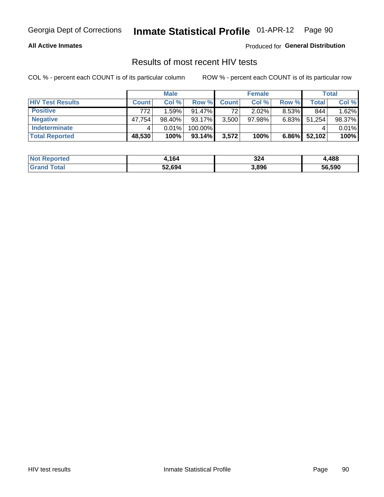#### **All Active Inmates**

Produced for **General Distribution**

#### Results of most recent HIV tests

|                         |              | <b>Male</b> |           |              | <b>Female</b> |          |        | <b>Total</b> |
|-------------------------|--------------|-------------|-----------|--------------|---------------|----------|--------|--------------|
| <b>HIV Test Results</b> | <b>Count</b> | Col %       | Row %I    | <b>Count</b> | Col %         | Row %    | Total  | Col %        |
| <b>Positive</b>         | 772          | 1.59%       | $91.47\%$ | 72           | $2.02\%$      | 8.53%    | 844    | 1.62%        |
| <b>Negative</b>         | 47,754       | 98.40%      | 93.17%    | 3,500        | $97.98\%$     | 6.83%    | 51,254 | 98.37%       |
| <b>Indeterminate</b>    |              | 0.01%       | 100.00%   |              |               |          |        | 0.01%        |
| <b>Total Reported</b>   | 48,530       | 100%        | 93.14%    | 3,572        | 100%          | $6.86\%$ | 52,102 | 100%         |

| <b>Not Reported</b>     | 1,164  | 324   | ,488   |
|-------------------------|--------|-------|--------|
| <b>Total</b><br>' Grand | 52,694 | 3,896 | 56,590 |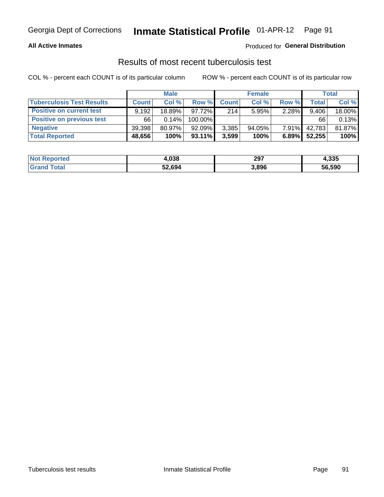#### **All Active Inmates**

#### Produced for **General Distribution**

#### Results of most recent tuberculosis test

|                                  | <b>Male</b>  |        |           | <b>Female</b> |           |          | Total        |        |
|----------------------------------|--------------|--------|-----------|---------------|-----------|----------|--------------|--------|
| <b>Tuberculosis Test Results</b> | <b>Count</b> | Col%   | Row %     | <b>Count</b>  | Col %     | Row %    | <b>Total</b> | Col %  |
| <b>Positive on current test</b>  | 9.192        | 18.89% | 97.72%    | 214           | 5.95%     | 2.28%    | 9,406        | 18.00% |
| <b>Positive on previous test</b> | 66           | 0.14%  | 100.00%   |               |           |          | 66           | 0.13%  |
| <b>Negative</b>                  | 39,398       | 80.97% | 92.09%    | 3,385         | $94.05\%$ | $7.91\%$ | 42,783       | 81.87% |
| <b>Total Reported</b>            | 48,656       | 100%   | $93.11\%$ | 3,599         | 100%      | 6.89%    | 52,255       | 100%   |

| <b>Not Reported</b> | 4,038  | 297   | 4,335  |
|---------------------|--------|-------|--------|
| Total<br>Gran       | 52,694 | 3,896 | 56,590 |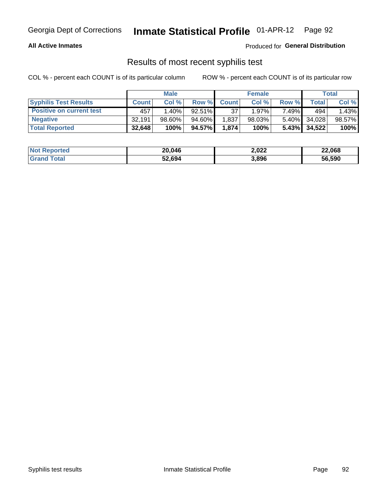#### **All Active Inmates**

Produced for **General Distribution**

#### Results of most recent syphilis test

|                                 | <b>Male</b>  |           |           | <b>Female</b> |           |          | Total           |        |
|---------------------------------|--------------|-----------|-----------|---------------|-----------|----------|-----------------|--------|
| <b>Syphilis Test Results</b>    | <b>Count</b> | Col%      | Row %     | <b>Count</b>  | Col %     | Row %    | Total I         | Col %  |
| <b>Positive on current test</b> | 457          | $1.40\%$  | $92.51\%$ | 37            | $1.97\%$  | 7.49%    | 494             | 1.43%  |
| <b>Negative</b>                 | 32.191       | $98.60\%$ | 94.60%    | .837          | $98.03\%$ | $5.40\%$ | 34,028          | 98.57% |
| <b>Total Reported</b>           | 32,648       | 100%      | 94.57%    | 1,874         | 100%      |          | $5.43\%$ 34,522 | 100%   |

| <b>Not Reported</b> | 20,046 | 2,022 | 22,068 |
|---------------------|--------|-------|--------|
| <b>Grand Total</b>  | 52,694 | 3,896 | 56,590 |